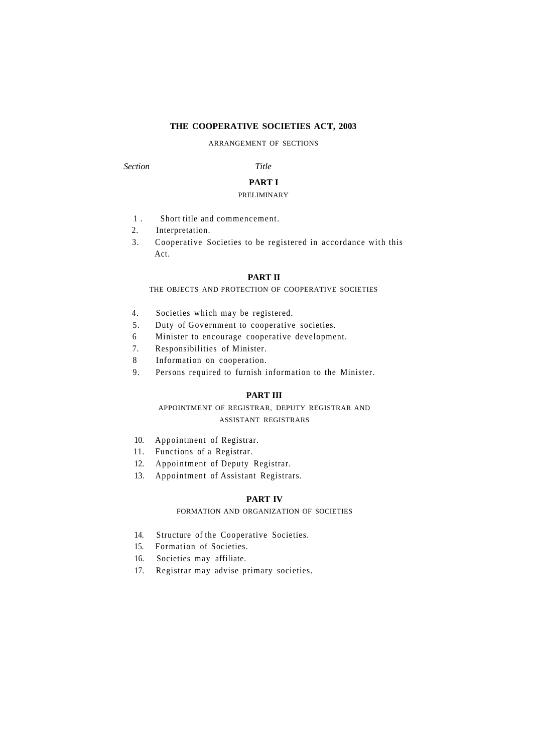## **THE COOPERATIVE SOCIETIES ACT, 2003**

ARRANGEMENT OF SECTIONS

*Section Title* 

# **PART I**

## PRELIMINARY

- 1 . Short title and commencement.
- 2. Interpretation.
- 3. Cooperative Societies to be registered in accordance with this Act.

## **PART II**

THE OBJECTS AND PROTECTION OF COOPERATIVE SOCIETIES

- 4. Societies which may be registered.
- 5. Duty of Government to cooperative societies.
- 6 Minister to encourage cooperative development.
- 7. Responsibilities of Minister.
- 8 Information on cooperation.
- 9. Persons required to furnish information to the Minister.

## **PART III**

## APPOINTMENT OF REGISTRAR, DEPUTY REGISTRAR AND ASSISTANT REGISTRARS

- 10. Appointment of Registrar.
- 11. Functions of a Registrar.
- 12. Appointment of Deputy Registrar.
- 13. Appointment of Assistant Registrars.

## **PART IV**

FORMATION AND ORGANIZATION OF SOCIETIES

- 14. Structure of the Cooperative Societies.
- 15. Formation of Societies.
- 16. Societies may affiliate.
- 17. Registrar may advise primary societies.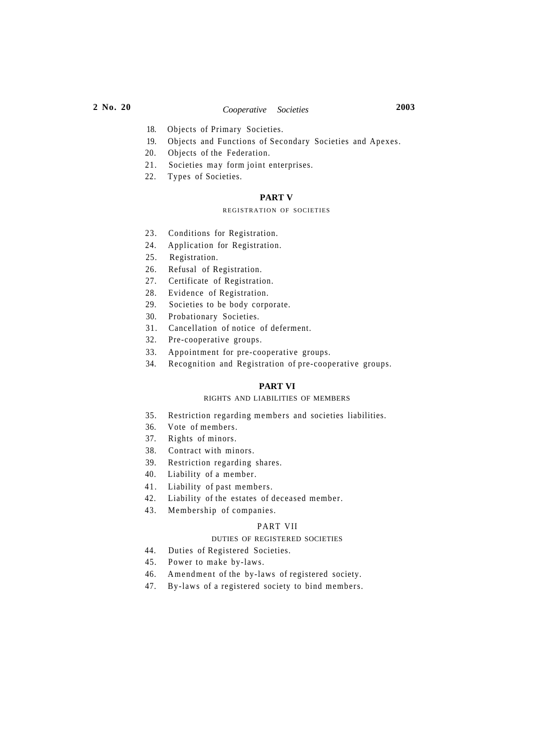- 18. Objects of Primary Societies.
- 19. Objects and Functions of Secondary Societies and Apexes.
- 20. Objects of the Federation.
- 21. Societies may form joint enterprises.
- 22. Types of Societies.

## **PART V**

## REGISTRATION OF SOCIETIES

- 23. Conditions for Registration.
- 24. Application for Registration.
- 25. Registration.
- 26. Refusal of Registration.
- 27. Certificate of Registration.
- 28. Evidence of Registration.
- 29. Societies to be body corporate.
- 30. Probationary Societies.
- 31. Cancellation of notice of deferment.
- 32. Pre-cooperative groups.
- 33. Appointment for pre-cooperative groups.
- 34. Recognition and Registration of pre-cooperative groups.

## **PART VI**

## RIGHTS AND LIABILITIES OF MEMBERS

- 35. Restriction regarding members and societies liabilities.
- 36. Vote of members.
- 37. Rights of minors.
- 38. Contract with minors.
- 39. Restriction regarding shares.
- 40. Liability of a member.
- 41. Liability of past members.
- 42. Liability of the estates of deceased member.
- 43. Membership of companies.

## PART VII

## DUTIES OF REGISTERED SOCIETIES

- 44. Duties of Registered Societies.
- 45. Power to make by-laws.
- 46. Amendment of the by-laws of registered society.
- 47. By-laws of a registered society to bind members.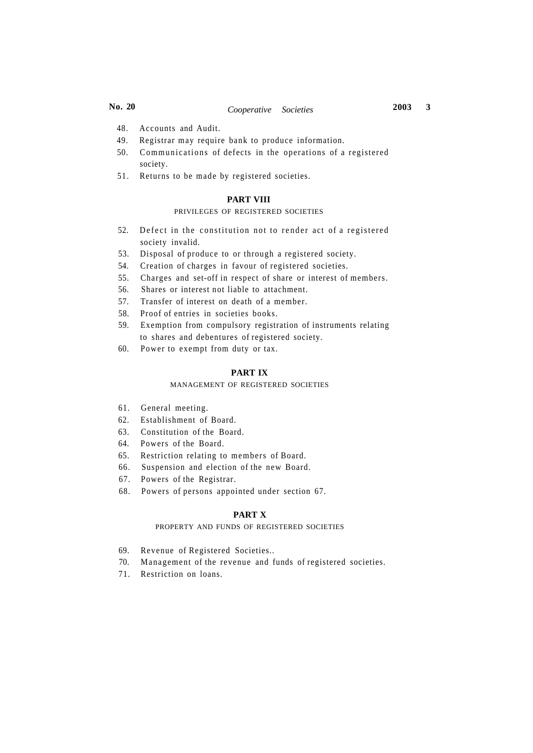- 48. Accounts and Audit.
- 49. Registrar may require bank to produce information.
- 50. Communications of defects in the operations of a registered society.
- 51. Returns to be made by registered societies.

## **PART VIII**

## PRIVILEGES OF REGISTERED SOCIETIES

- 52. Defect in the constitution not to render act of a registered society invalid.
- 53. Disposal of produce to or through a registered society.
- 54. Creation of charges in favour of registered societies.
- 55. Charges and set-off in respect of share or interest of members.
- 56. Shares or interest not liable to attachment.
- 57. Transfer of interest on death of a member.
- 58. Proof of entries in societies books.
- 59. Exemption from compulsory registration of instruments relating to shares and debentures of registered society.
- 60. Power to exempt from duty or tax.

## **PART IX**

#### MANAGEMENT OF REGISTERED SOCIETIES

- 61. General meeting.
- 62. Establishment of Board.
- 63. Constitution of the Board.
- 64. Powers of the Board.
- 65. Restriction relating to members of Board.
- 66. Suspension and election of the new Board.
- 67. Powers of the Registrar.
- 68. Powers of persons appointed under section 67.

## **PART X**

## PROPERTY AND FUNDS OF REGISTERED SOCIETIES

- 69. Revenue of Registered Societies..
- 70. Management of the revenue and funds of registered societies.
- 71. Restriction on loans.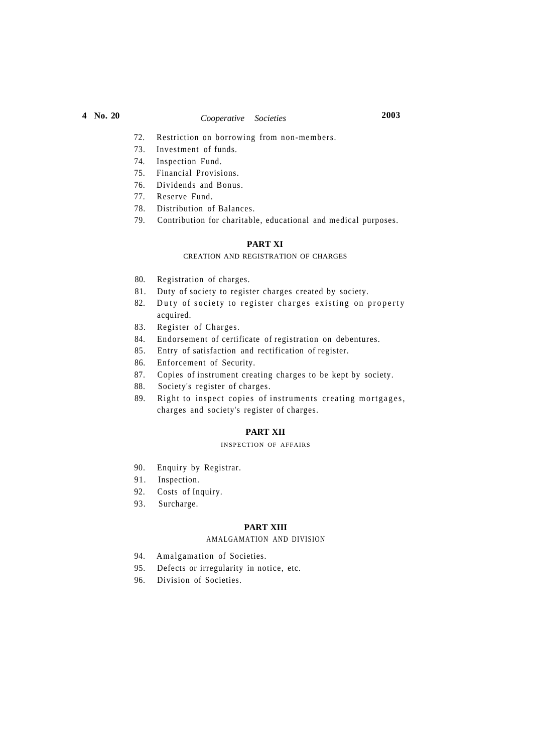# **4 No. 20** *Cooperative Societies* **2003**

- 72. Restriction on borrowing from non-members.
- 73. Investment of funds.
- 74. Inspection Fund.
- 75. Financial Provisions.
- 76. Dividends and Bonus.
- 77. Reserve Fund.
- 78. Distribution of Balances.
- 79. Contribution for charitable, educational and medical purposes.

## **PART XI**

## CREATION AND REGISTRATION OF CHARGES

- 80. Registration of charges.
- 81. Duty of society to register charges created by society.
- 82. Duty of society to register charges existing on property acquired.
- 83. Register of Charges.
- 84. Endorsement of certificate of registration on debentures.
- 85. Entry of satisfaction and rectification of register.
- 86. Enforcement of Security.
- 87. Copies of instrument creating charges to be kept by society.
- 88. Society's register of charges.
- 89. Right to inspect copies of instruments creating mortgages, charges and society's register of charges.

## **PART XII**

## INSPECTION OF AFFAIRS

- 90. Enquiry by Registrar.
- 91. Inspection.
- 92. Costs of Inquiry.
- 93. Surcharge.

## **PART XIII**

## AMALGAMATION AND DIVISION

- 94. Amalgamation of Societies.
- 95. Defects or irregularity in notice, etc.
- 96. Division of Societies.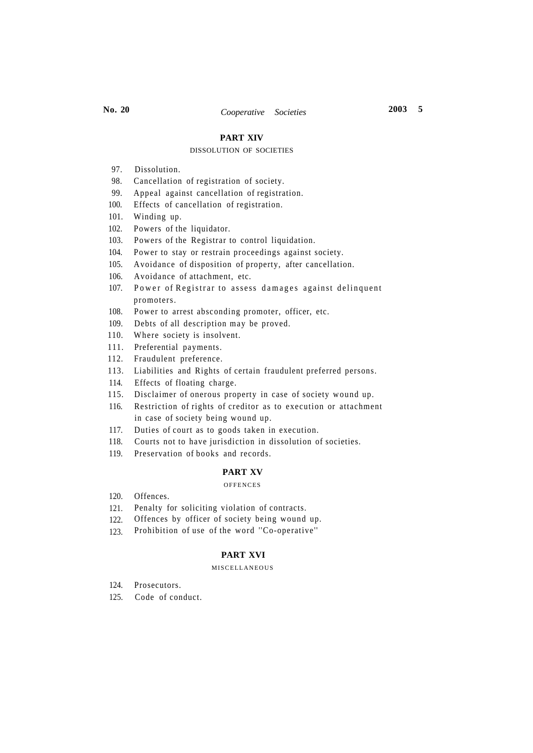## **PART XIV**

### DISSOLUTION OF SOCIETIES

- 97. Dissolution.
- 98. Cancellation of registration of society.
- 99. Appeal against cancellation of registration.
- 100. Effects of cancellation of registration.
- 101. Winding up.
- 102. Powers of the liquidator.
- 103. Powers of the Registrar to control liquidation.
- 104. Power to stay or restrain proceedings against society.
- 105. Avoidance of disposition of property, after cancellation.
- 106. Avoidance of attachment, etc.
- 107. Power of Registrar to assess damages against delinquent promoters.
- 108. Power to arrest absconding promoter, officer, etc.
- 109. Debts of all description may be proved.
- 110. Where society is insolvent.
- 111. Preferential payments.
- 112. Fraudulent preference.
- 113. Liabilities and Rights of certain fraudulent preferred persons.
- 114. Effects of floating charge.
- 115. Disclaimer of onerous property in case of society wound up.
- 116. Restriction of rights of creditor as to execution or attachment in case of society being wound up.
- 117. Duties of court as to goods taken in execution.
- 118. Courts not to have jurisdiction in dissolution of societies.
- 119. Preservation of books and records.

#### **PART XV**

### **OFFENCES**

- 120. Offences.
- 121. Penalty for soliciting violation of contracts.
- 122. Offences by officer of society being wound up.
- 123. Prohibition of use of the word ''Co-operative' '

## **PART XVI**

#### MISCELLANEOUS

- 124. Prosecutors.
- 125. Code of conduct.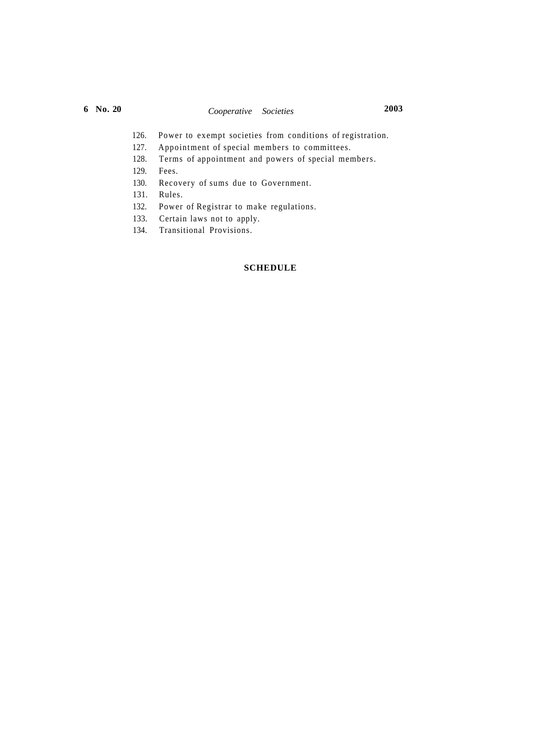- 126. Power to exempt societies from conditions of registration.
- 127. Appointment of special members to committees.
- 128. Terms of appointment and powers of special members.
- 129. Fees.
- 130. Recovery of sums due to Government.
- 131. Rules.
- 132. Power of Registrar to make regulations.
- 133. Certain laws not to apply.
- 134. Transitional Provisions.

## **SCHEDULE**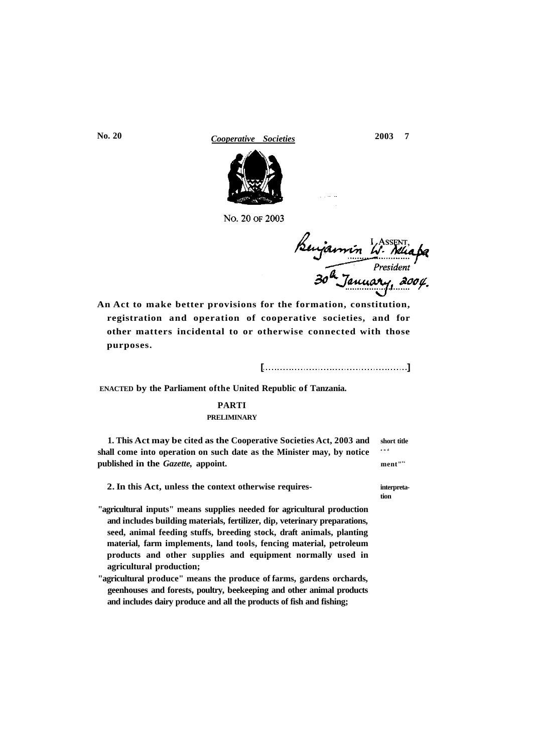**No. 20** *Cooperative Societies* **2003 7** 



No. 20 OF 2003

Benjamin W. Nicapa

**An Act to make better provisions for the formation, constitution, registration and operation of cooperative societies, and for other matters incidental to or otherwise connected with those purposes.** 

**[ ]** 

**ENACTED by the Parliament ofthe United Republic of Tanzania.** 

# **PARTI**

## **PRELIMINARY**

**1. This Act may be cited as the Cooperative Societies Act, 2003 and short title**  shall come into operation on such date as the Minister may, by notice and published in the *Gazette*, appoint. **ment**"<sup>\*\*</sup>

**2. In this Act, unless the context otherwise requires- interpreta-**

- **"agricultural inputs" means supplies needed for agricultural production and includes building materials, fertilizer, dip, veterinary preparations, seed, animal feeding stuffs, breeding stock, draft animals, planting material, farm implements, land tools, fencing material, petroleum products and other supplies and equipment normally used in agricultural production;**
- **"agricultural produce" means the produce of farms, gardens orchards, geenhouses and forests, poultry, beekeeping and other animal products and includes dairy produce and all the products of fish and fishing;**

**tion**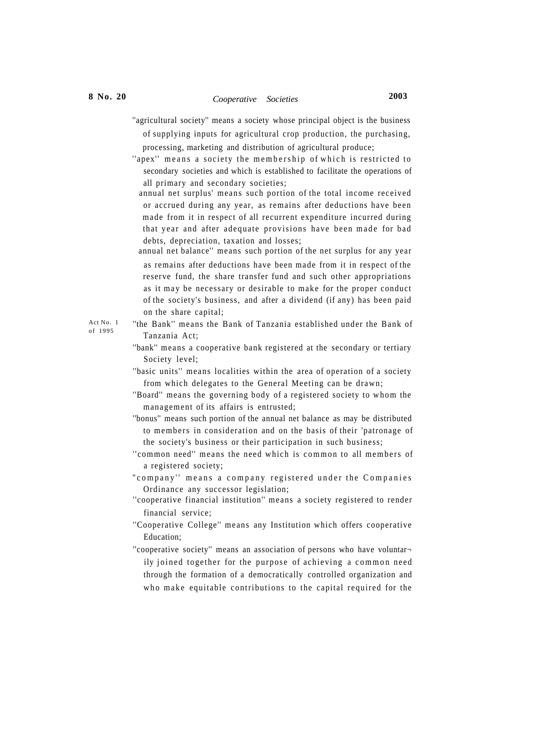- "agricultural society" means a society whose principal object is the business of supplying inputs for agricultural crop production, the purchasing, processing, marketing and distribution of agricultural produce;
- "apex" means a society the membership of which is restricted to secondary societies and which is established to facilitate the operations of all primary and secondary societies;
	- annual net surplus' means such portion of the total income received or accrued during any year, as remains after deductions have been made from it in respect of all recurrent expenditure incurred during that year and after adequate provisions have been made for bad debts, depreciation, taxation and losses;
	- annual net balance'' means such portion of the net surplus for any year as remains after deductions have been made from it in respect of the reserve fund, the share transfer fund and such other appropriations as it may be necessary or desirable to make for the proper conduct of the society's business, and after a dividend (if any) has been paid on the share capital;
- ''the Bank'' means the Bank of Tanzania established under the Bank of Tanzania Act;
- ''bank'' means a cooperative bank registered at the secondary or tertiary Society level;
- "basic units" means localities within the area of operation of a society from which delegates to the General Meeting can be drawn;
- ''Board'' means the governing body of a registered society to whom the management of its affairs is entrusted;
- ''bonus'' means such portion of the annual net balance as may be distributed to members in consideration and on the basis of their 'patronage of the society's business or their participation in such business;
- "common need" means the need which is common to all members of a registered society;
- "company" means a company registered under the Companies Ordinance any successor legislation;
- ''cooperative financial institution'' means a society registered to render financial service;
- ''Cooperative College'' means any Institution which offers cooperative Education;
- "cooperative society" means an association of persons who have voluntarily joined together for the purpose of achieving a common need through the formation of a democratically controlled organization and who make equitable contributions to the capital required for the

Act No. 1 of 1995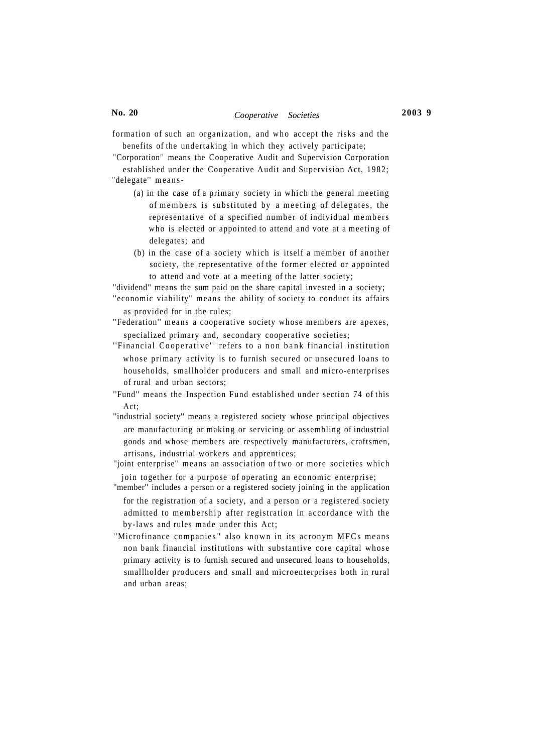formation of such an organization, and who accept the risks and the benefits of the undertaking in which they actively participate;

''Corporation'' means the Cooperative Audit and Supervision Corporation established under the Cooperative Audit and Supervision Act, 1982; "delegate" means-

- (a) in the case of a primary society in which the general meeting of members is substituted by a meeting of delegates, the representative of a specified number of individual members who is elected or appointed to attend and vote at a meeting of delegates; and
- $(b)$  in the case of a society which is itself a member of another society, the representative of the former elected or appointed to attend and vote at a meeting of the latter society;

''dividend'' means the sum paid on the share capital invested in a society; ''economic viability'' means the ability of society to conduct its affairs

as provided for in the rules;

- ''Federation'' means a cooperative society whose members are apexes, specialized primary and, secondary cooperative societies;
- "Financial Cooperative" refers to a non bank financial institution whose primary activity is to furnish secured or unsecured loans to households, smallholder producers and small and micro-enterprises of rural and urban sectors;
- ''Fund'' means the Inspection Fund established under section 74 of this  $Act$
- ''industrial society'' means a registered society whose principal objectives are manufacturing or making or servicing or assembling of industrial goods and whose members are respectively manufacturers, craftsmen, artisans, industrial workers and apprentices;

''joint enterprise'' means an association of two or more societies which join together for a purpose of operating an economic enterprise;

- "member" includes a person or a registered society joining in the application for the registration of a society, and a person or a registered society admitted to membership after registration in accordance with the by-laws and rules made under this Act;
- ''Microfinance companies'' also known in its acronym MFCs means non bank financial institutions with substantive core capital whose primary activity is to furnish secured and unsecured loans to households, smallholder producers and small and microenterprises both in rural and urban areas;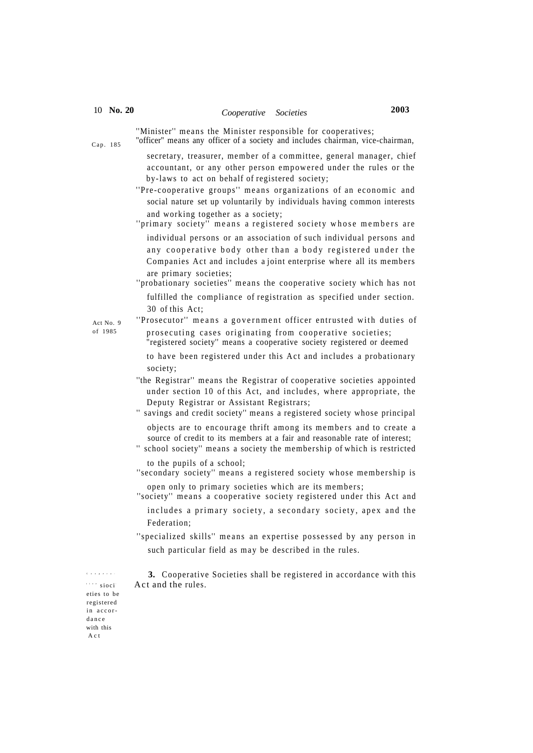## 10 **No. 20** *Cooperative Societies* **2003**

Cap. 185

''Minister'' means the Minister responsible for cooperatives;

"officer" means any officer of a society and includes chairman, vice-chairman,

secretary, treasurer, member of a committee, general manager, chief accountant, or any other person empowered under the rules or the by-laws to act on behalf of registered society;

- "Pre-cooperative groups" means organizations of an economic and social nature set up voluntarily by individuals having common interests and working together as a society;
- "primary society" means a registered society whose members are individual persons or an association of such individual persons and any cooperative body other than a body registered under the Companies Act and includes a joint enterprise where all its members are primary societies;
- "probationary societies" means the cooperative society which has not fulfilled the compliance of registration as specified under section. 30 of this Act;

Act No. 9 of 1985

"Prosecutor" means a government officer entrusted with duties of prosecuting cases originating from cooperative societies;

"registered society'' means a cooperative society registered or deemed

to have been registered under this Act and includes a probationary society;

- ''the Registrar'' means the Registrar of cooperative societies appointed under section 10 of this Act, and includes, where appropriate, the Deputy Registrar or Assistant Registrars;
- '' savings and credit society'' means a registered society whose principal objects are to encourage thrift among its members and to create a
- source of credit to its members at a fair and reasonable rate of interest;
- '' school society'' means a society the membership of which is restricted to the pupils of a school;
- "secondary society" means a registered society whose membership is open only to primary societies which are its members;
- "society" means a cooperative society registered under this Act and includes a primary society, a secondary society, apex and the Federation;

"specialized skills" means an expertise possessed by any person in such particular field as may be described in the rules.

 **3.** Cooperative Societies shall be registered in accordance with this Act and the rules.

'''' sioci eties to be registered in accordanc e with this A c t

Coopera -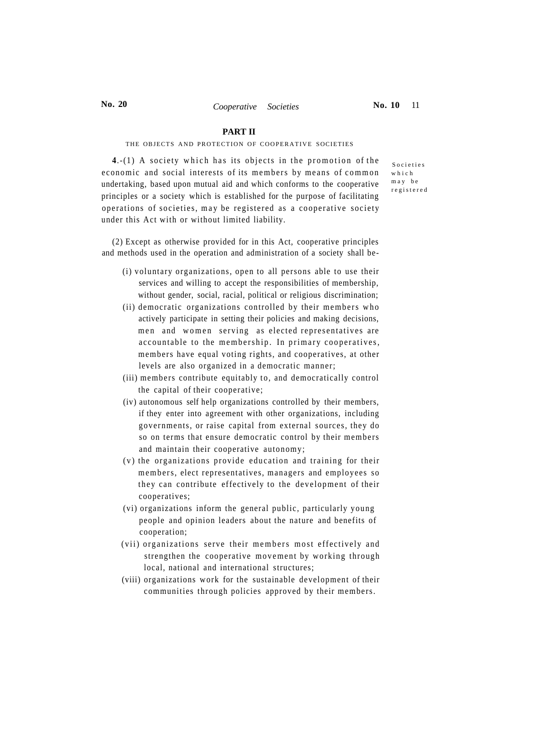## **PART II**

#### THE OBJECTS AND PROTECTION OF COOPERATIVE SOCIETIES

 $4.-(1)$  A society which has its objects in the promotion of the economic and social interests of its members by means of common undertaking, based upon mutual aid and which conforms to the cooperative principles or a society which is established for the purpose of facilitating operations of societies, ma y be registered as a cooperative society under this Act with or without limited liability.

Societie s whic h m a y b e registere d

(2) Except as otherwise provided for in this Act, cooperative principles and methods used in the operation and administration of a society shall be-

- (i) voluntary organizations, open to all persons able to use their services and willing to accept the responsibilities of membership, without gender, social, racial, political or religious discrimination;
- (ii) democratic organizations controlled by their members who actively participate in setting their policies and making decisions, men and women serving as elected representatives are accountable to the membership. In primary cooperatives, members have equal voting rights, and cooperatives, at other levels are also organized in a democratic manner;
- (iii) members contribute equitably to, and democratically control the capital of their cooperative;
- (iv) autonomous self help organizations controlled by their members, if they enter into agreement with other organizations, including governments, or raise capital from external sources, they do so on terms that ensure democratic control by their members and maintain their cooperative autonomy;
- (v) the organizations provide education and training for their members, elect representatives, managers and employees so they can contribute effectively to the development of their cooperatives;
- (vi) organizations inform the general public, particularly young people and opinion leaders about the nature and benefits of cooperation;
- (vii) organizations serve their members most effectively and strengthen the cooperative movement by working through local, national and international structures;
- (viii) organizations work for the sustainable development of their communities through policies approved by their members.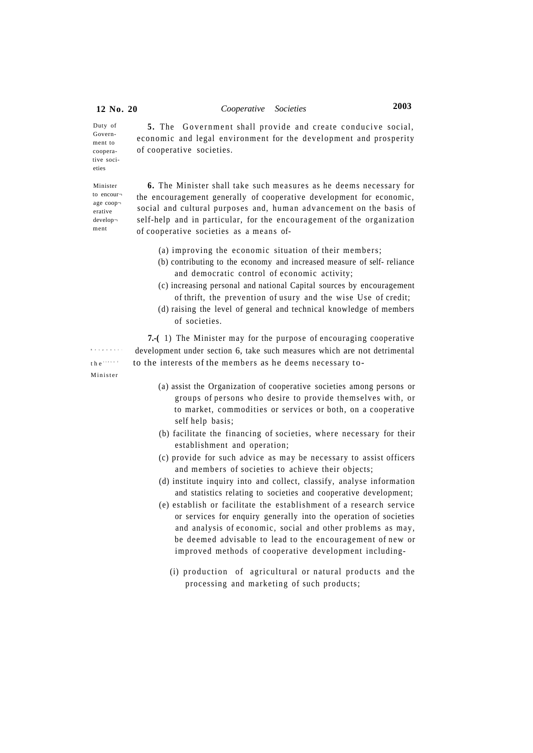5. The Government shall provide and create conducive social, economic and legal environment for the development and prosperity of cooperative societies. Duty of Government to cooperative societies

Minister to encourage coop erative develop ment

**6.** The Minister shall take such measures as he deems necessary for the encouragement generally of cooperative development for economic, social and cultural purposes and, human advancement on the basis of self-help and in particular, for the encouragement of the organization of cooperative societies as a means of-

- (a) improving the economic situation of their members;
- (b) contributing to the economy and increased measure of self- reliance and democratic control of economic activity;
- (c) increasing personal and national Capital sources by encouragement of thrift, the prevention of usury and the wise Use of credit;
- (d) raising the level of general and technical knowledge of members of societies.

**7.-(** 1) The Minister may for the purpose of encouraging cooperative development under section 6, take such measures which are not detrimental to the interests of the members as he deems necessary to-

- Responsi the ties s  $t$ Ministe r
- (a) assist the Organization of cooperative societies among persons or groups of persons who desire to provide themselves with, or to market, commodities or services or both, on a cooperative self help basis;
- (b) facilitate the financing of societies, where necessary for their establishment and operation;
- (c) provide for such advice as may be necessary to assist officers and members of societies to achieve their objects;
- (d) institute inquiry into and collect, classify, analyse information and statistics relating to societies and cooperative development;
- (e) establish or facilitate the establishment of a research service or services for enquiry generally into the operation of societies and analysis of economic, social and other problems as may, be deemed advisable to lead to the encouragement of new or improved methods of cooperative development including-
	- (i) production of agricultural or natural products and the processing and marketing of such products;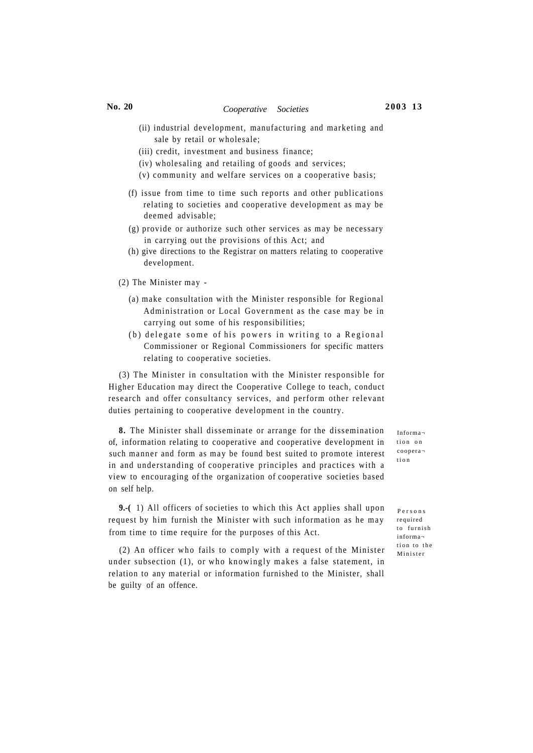# **No. 20** *Cooperative Societies* **2003 13**

- (ii) industrial development, manufacturing and marketing and sale by retail or wholesale;
- (iii) credit, investment and business finance;
- (iv) wholesaling and retailing of goods and services;
- (v) community and welfare services on a cooperative basis;
- (f) issue from time to time such reports and other publications relating to societies and cooperative development as may be deemed advisable;
- (g) provide or authorize such other services as may be necessary in carrying out the provisions of this Act; and
- (h) give directions to the Registrar on matters relating to cooperative development.

(2) The Minister may -

- (a) make consultation with the Minister responsible for Regional Administration or Local Government as the case may be in carrying out some of his responsibilities;
- (b) delegate some of his powers in writing to a Regional Commissioner or Regional Commissioners for specific matters relating to cooperative societies.

(3) The Minister in consultation with the Minister responsible for Higher Education may direct the Cooperative College to teach, conduct research and offer consultancy services, and perform other relevant duties pertaining to cooperative development in the country.

**8.** The Minister shall disseminate or arrange for the dissemination of, information relating to cooperative and cooperative development in such manner and form as may be found best suited to promote interest in and understanding of cooperative principles and practices with a view to encouraging of the organization of cooperative societies based on self help.

**9.-(** 1) All officers of societies to which this Act applies shall upon request by him furnish the Minister with such information as he may from time to time require for the purposes of this Act.

(2) An officer who fails to comply with a request of the Minister under subsection (1), or who knowingly makes a false statement, in relation to any material or information furnished to the Minister, shall be guilty of an offence.

Informa tion on coopera tio n

Person s required to furnish informa tion to the Ministe r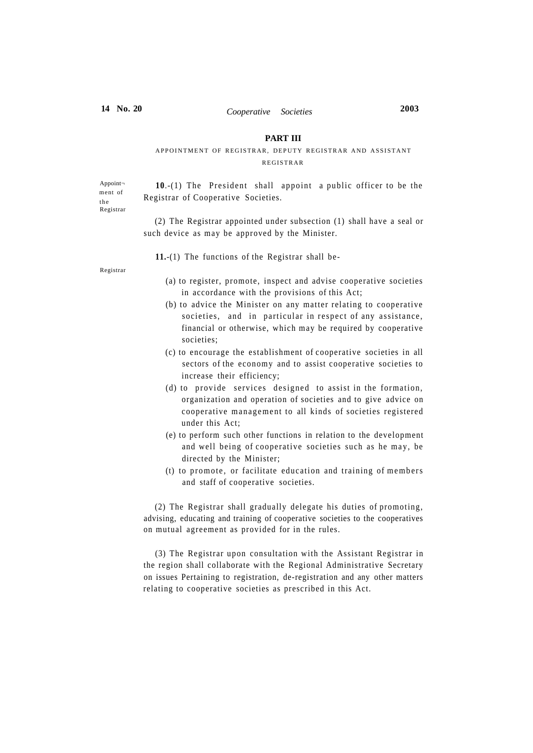## **PART III**

## APPOINTMENT OF REGISTRAR, DEPUTY REGISTRAR AND ASSISTANT REGISTRAR

Appoint ment of t h e Registrar

**10.-(1)** The President shall appoint a public officer to be the Registrar of Cooperative Societies.

(2) The Registrar appointed under subsection (1) shall have a seal or such device as may be approved by the Minister.

**11.**-(1) The functions of the Registrar shall be-

Registrar

- (a) to register, promote, inspect and advise cooperative societies in accordance with the provisions of this Act;
- (b) to advice the Minister on any matter relating to cooperative societies, and in particular in respect of any assistance, financial or otherwise, which may be required by cooperative societies;
- (c) to encourage the establishment of cooperative societies in all sectors of the economy and to assist cooperative societies to increase their efficiency;
- $(d)$  to provide services designed to assist in the formation, organization and operation of societies and to give advice on cooperative management to all kinds of societies registered under this Act;
- (e) to perform such other functions in relation to the development and well being of cooperative societies such as he may, be directed by the Minister;
- (t) to promote, or facilitate education and training of members and staff of cooperative societies.

(2) The Registrar shall gradually delegate his duties of promoting, advising, educating and training of cooperative societies to the cooperatives on mutual agreement as provided for in the rules.

(3) The Registrar upon consultation with the Assistant Registrar in the region shall collaborate with the Regional Administrative Secretary on issues Pertaining to registration, de-registration and any other matters relating to cooperative societies as prescribed in this Act.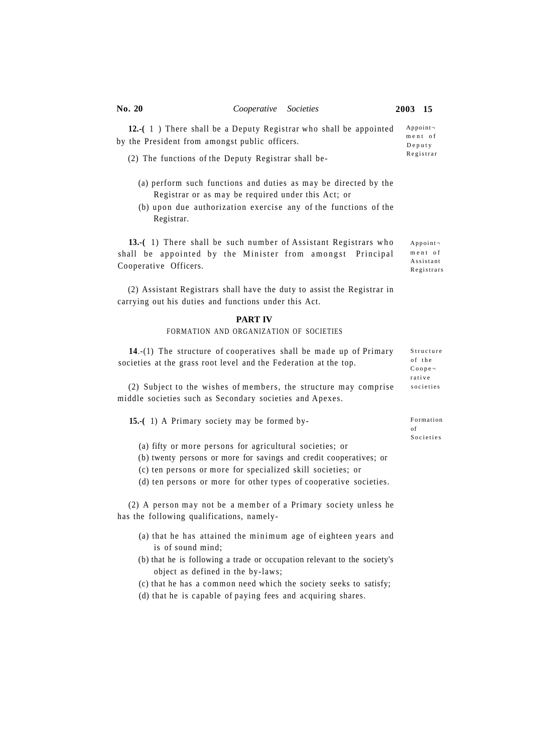**12.-(** 1 ) There shall be a Deputy Registrar who shall be appointed by the President from amongst public officers. Appoint ment of Deput y

- (2) The functions of the Deputy Registrar shall be-
	- (a) perform such functions and duties as may be directed by the Registrar or as may be required under this Act; or
	- (b) upon due authorization exercise any of the functions of the Registrar.

13.-(1) There shall be such number of Assistant Registrars who shall be appointed by the Minister from amongst Principal Cooperative Officers.

(2) Assistant Registrars shall have the duty to assist the Registrar in carrying out his duties and functions under this Act.

#### **PART IV**

### FORMATION AND ORGANIZATION OF SOCIETIES

| 14.-(1) The structure of cooperatives shall be made up of Primary | Structure       |
|-------------------------------------------------------------------|-----------------|
| societies at the grass root level and the Federation at the top.  | of the          |
|                                                                   | $Co$ ope $\neg$ |
|                                                                   | rative          |
| (2) Subject to the wishes of members, the structure may comprise  | societies       |

middle societies such as Secondary societies and Apexes.

**15.-(** 1) A Primary society may be formed by-

(a) fifty or more persons for agricultural societies; or

- (b) twenty persons or more for savings and credit cooperatives; or
- (c) ten persons or more for specialized skill societies; or

(d) ten persons or more for other types of cooperative societies.

(2) A person may not be a member of a Primary society unless he has the following qualifications, namely-

- (a) that he has attained the minimum age of eighteen years and is of sound mind;
- (b) that he is following a trade or occupation relevant to the society's object as defined in the by-laws;
- (c) that he has a common need which the society seeks to satisfy;
- (d) that he is capable of paying fees and acquiring shares.

Registra r

Appoint men t o f **Assistant** Registrars

Formation of **Societies**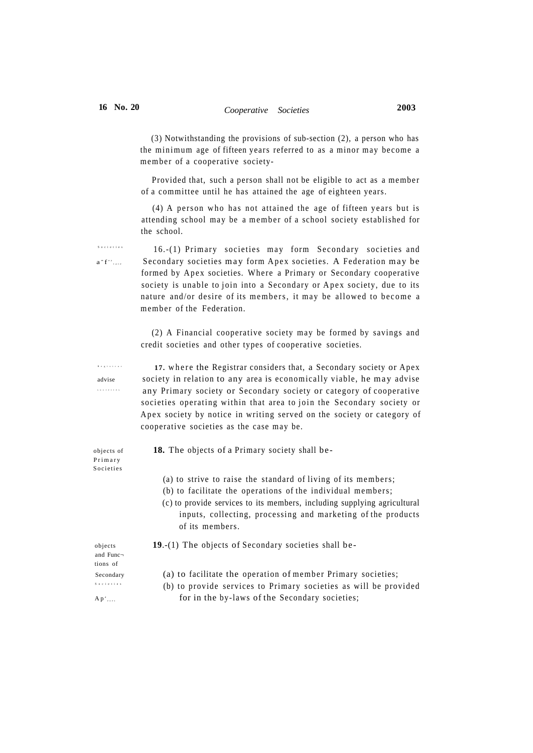(3) Notwithstanding the provisions of sub-section (2), a person who has the minimum age of fifteen years referred to as a minor may become a member of a cooperative society-

Provided that, such a person shall not be eligible to act as a member of a committee until he has attained the age of eighteen years.

 $(4)$  A person who has not attained the age of fifteen years but is attending school may be a member of a school society established for the school.

16.-(1) Primary societies may form Secondary societies and Secondary societies may form Apex societies. A Federation may be formed by Apex societies. Where a Primary or Secondary cooperative society is unable to join into a Secondary or Apex society, due to its nature and/or desire of its members, it may be allowed to become a member of the Federation.

(2) A Financial cooperative society may be formed by savings and credit societies and other types of cooperative societies.

17. where the Registrar considers that, a Secondary society or Apex advise society in relation to any area is economically viable, he may advise any Primary society or Secondary society or category of cooperative societies operating within that area to join the Secondary society or Apex society by notice in writing served on the society or category of cooperative societies as the case may be.

objects of **18.** The objects of a Primary society shall be-

- (a) to strive to raise the standard of living of its members;
- (b) to facilitate the operations of the individual members;
- (c) to provide services to its members, including supplying agricultural inputs, collecting, processing and marketing of the products of its members.

objects **19**.-(1) The objects of Secondary societies shall be-

and Func tions of Societie s

 $A p^d$ 

Secondary (a) to facilitate the operation of member Primary societies;

 (b) to provide services to Primary societies as will be provided for in the by-laws of the Secondary societies;

 $a - f^*$ 

Societie s

Registra r societie s

Primar y Societie s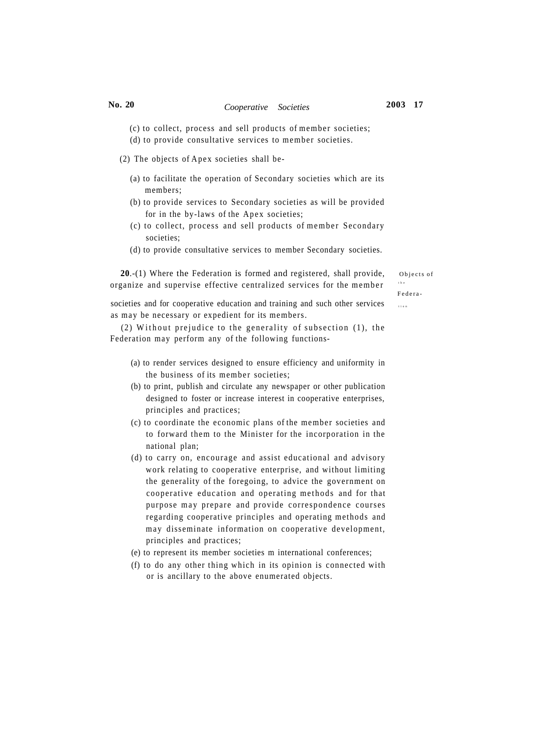# **No. 20** *Cooperative Societies* **2003 17**

- (c) to collect, process and sell products of member societies;
- (d) to provide consultative services to member societies.

(2) The objects of Apex societies shall be-

- (a) to facilitate the operation of Secondary societies which are its members;
- (b) to provide services to Secondary societies as will be provided for in the by-laws of the Apex societies;
- (c) to collect, process and sell products of member Secondary societies;
- (d) to provide consultative services to member Secondary societies.

**20.**-(1) Where the Federation is formed and registered, shall provide, objects of organize and supervise effective centralized services for the member

th e

societies and for cooperative education and training and such other services  $\mathbf{r}_{\text{time}}$ as may be necessary or expedient for its members.

(2) Without prejudice to the generality of subsection  $(1)$ , the Federation may perform any of the following functions-

- (a) to render services designed to ensure efficiency and uniformity in the business of its member societies;
- (b) to print, publish and circulate any newspaper or other publication designed to foster or increase interest in cooperative enterprises, principles and practices;
- (c) to coordinate the economic plans of the member societies and to forward them to the Minister for the incorporation in the national plan;
- (d) to carry on, encourage and assist educational and advisory work relating to cooperative enterprise, and without limiting the generality of the foregoing, to advice the government on cooperative education and operating methods and for that purpose may prepare and provide correspondence courses regarding cooperative principles and operating methods and may disseminate information on cooperative development, principles and practices;
- (e) to represent its member societies m international conferences;
- (f) to do any other thing which in its opinion is connected with or is ancillary to the above enumerated objects.

Federa -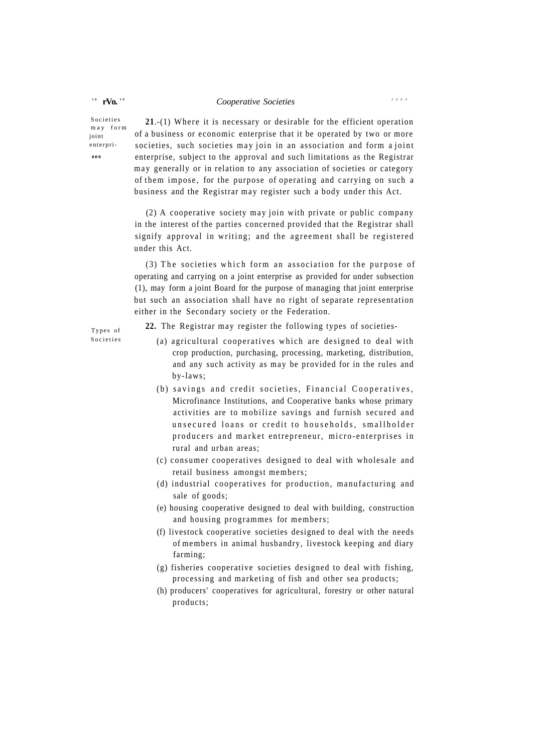## *Cooperative Societies<sup>200</sup> <sup>3</sup>*

**Societies** m a y for m ioint enterpri**ses** 

 $1^8$  **rVo.**  $2^0$ 

21.-(1) Where it is necessary or desirable for the efficient operation of a business or economic enterprise that it be operated by two or more societies, such societies may join in an association and form a joint enterprise, subject to the approval and such limitations as the Registrar m ay generally or in relation to any association of societies or category of them impose , for the purpose of operating and carrying on such a business and the Registrar may register such a body under this Act.

 $(2)$  A cooperative society may join with private or public company in the interest of the parties concerned provided that the Registrar shall signify approval in writing; and the agreement shall be registered under this Act.

 $(3)$  The societies which form an association for the purpose of operating and carrying on a joint enterprise as provided for under subsection (1), may form a joint Board for the purpose of managing that joint enterprise but such an association shall have no right of separate representation either in the Secondary society or the Federation.

Types of **Societies** 

**22.** The Registrar may register the following types of societies-

- (a) agricultural cooperatives which are designed to deal with crop production, purchasing, processing, marketing, distribution, and any such activity as may be provided for in the rules and by-laws;
- (b) savings and credit societies, Financial Cooperatives, Microfinance Institutions, and Cooperative banks whose primary activities are to mobilize savings and furnish secured and unsecured loans or credit to households, smallholder producers and market entrepreneur, micro-enterprises in rural and urban areas;
- (c) consumer cooperatives designed to deal with wholesale and retail business amongst members;
- (d) industrial cooperatives for production, manufacturing and sale of goods;
- (e) housing cooperative designed to deal with building, construction and housing programmes for members;
- (f) livestock cooperative societies designed to deal with the needs of members in animal husbandry, livestock keeping and diary farming;
- (g) fisheries cooperative societies designed to deal with fishing, processing and marketing of fish and other sea products;
- (h) producers' cooperatives for agricultural, forestry or other natural products;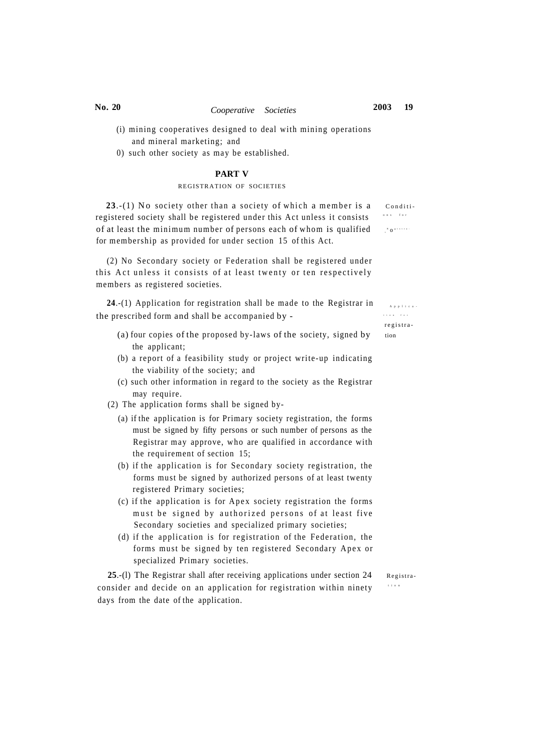- (i) mining cooperatives designed to deal with mining operations and mineral marketing; and
- 0) such other society as may be established.

#### **PART V**

#### REGISTRATION OF SOCIETIES

 $23.-(1)$  No society other than a society of which a member is a conditiregistered society shall be registered under this Act unless it consists of at least the minimum number of persons each of whom is qualified for membership as provided for under section 15 of this Act.

(2) No Secondary society or Federation shall be registered under this Act unless it consists of at least twenty or ten respectively members as registered societies.

**24.**-(1) Application for registration shall be made to the Registrar in  $A_{PP}$ the prescribed form and shall be accompanied by -

- (a) four copies of the proposed by-laws of the society, signed by  $\qquad$  tion the applicant;
- (b) a report of a feasibility study or project write-up indicating the viability of the society; and
- (c) such other information in regard to the society as the Registrar may require.
- (2) The application forms shall be signed by-
	- (a) if the application is for Primary society registration, the forms must be signed by fifty persons or such number of persons as the Registrar may approve, who are qualified in accordance with the requirement of section 15;
	- (b) if the application is for Secondary society registration, the forms must be signed by authorized persons of at least twenty registered Primary societies;
	- (c) if the application is for Apex society registration the forms must be signed by authorized persons of at least five Secondary societies and specialized primary societies;
	- (d) if the application is for registration of the Federation, the forms must be signed by ten registered Secondary Apex or specialized Primary societies.

25.-(1) The Registrar shall after receiving applications under section 24 Registraconsider and decide on an application for registration within ninety days from the date of the application.

tio n

 tio n fo r registra -

on s fo r

 $80$  sistra -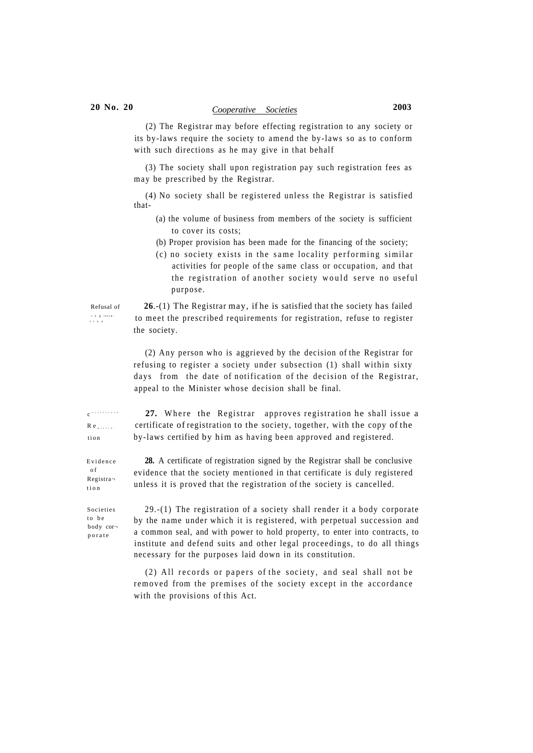# **20 No. 20** *Cooperative Societies* **2003**

(2) The Registrar may before effecting registration to any society or its by-laws require the society to amend the by-laws so as to conform with such directions as he may give in that behalf

(3) The society shall upon registration pay such registration fees as m ay be prescribed by the Registrar.

(4) No society shall be registered unless the Registrar is satisfied that-

- (a) the volume of business from members of the society is sufficient to cover its costs;
- (b) Proper provision has been made for the financing of the society;
- $(c)$  no society exists in the same locality performing similar activities for people of the same class or occupation, and that the registration of another society would serve no useful purpose.

Refusal of **26**.-(1) The Registrar may, if he is satisfied that the society has failed to meet the prescribed requirements for registration, refuse to register the society.

> (2) Any person who is aggrieved by the decision of the Registrar for refusing to register a society under subsection (1) shall within sixty days from the date of notification of the decision of the Registrar, appeal to the Minister whose decision shall be final.

c ertificat e

registra-<br>tion

27. Where the Registrar approves registration he shall issue a Re Fig. certificate of registration to the society, together, with the copy of the tion by-laws certified by him as having been approved and registered.

Evidence  $of$ Registra tio n

**28.** A certificate of registration signed by the Registrar shall be conclusive evidence that the society mentioned in that certificate is duly registered unless it is proved that the registration of the society is cancelled.

**Societies** to be body cor porat e

29.-(1) The registration of a society shall render it a body corporate by the name under which it is registered, with perpetual succession and a common seal, and with power to hold property, to enter into contracts, to institute and defend suits and other legal proceedings, to do all things necessary for the purposes laid down in its constitution.

(2) All records or papers of the society, and seal shall not be removed from the premises of the society except in the accordance with the provisions of this Act.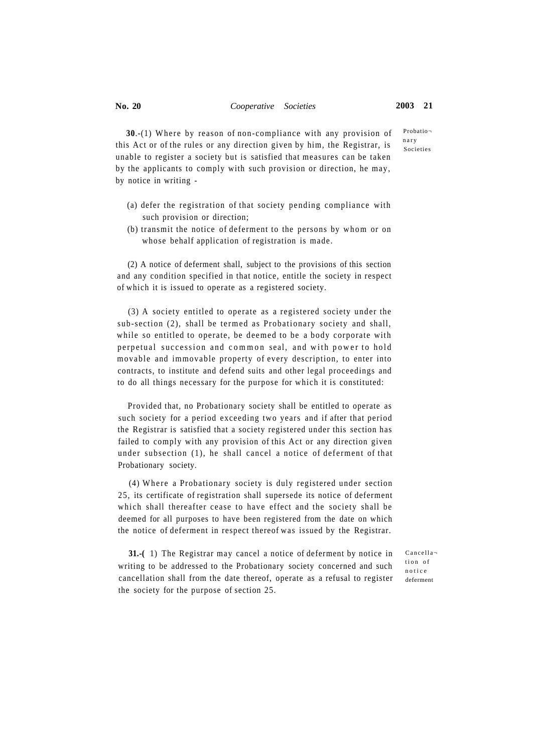Probationar y Societies

**30.**-(1) Where by reason of non-compliance with any provision of this Act or of the rules or any direction given by him, the Registrar, is unable to register a society but is satisfied that measures can be taken by the applicants to comply with such provision or direction, he may, by notice in writing -

- (a) defer the registration of that society pending compliance with such provision or direction;
- (b) transmit the notice of deferment to the persons by whom or on whose behalf application of registration is made.

(2) A notice of deferment shall, subject to the provisions of this section and any condition specified in that notice, entitle the society in respect of which it is issued to operate as a registered society.

 $(3)$  A society entitled to operate as a registered society under the sub-section (2), shall be termed as Probationary society and shall, while so entitled to operate, be deemed to be a body corporate with perpetual succession and common seal, and with power to hold movable and immovable property of every description, to enter into contracts, to institute and defend suits and other legal proceedings and to do all things necessary for the purpose for which it is constituted:

Provided that, no Probationary society shall be entitled to operate as such society for a period exceeding two years and if after that period the Registrar is satisfied that a society registered under this section has failed to comply with any provision of this Act or any direction given under subsection (1), he shall cancel a notice of deferment of that Probationary society.

(4) Where a Probationary society is duly registered under section 25, its certificate of registration shall supersede its notice of deferment which shall thereafter cease to have effect and the society shall be deemed for all purposes to have been registered from the date on which the notice of deferment in respect thereof was issued by the Registrar.

**31.-(** 1) The Registrar may cancel a notice of deferment by notice in writing to be addressed to the Probationary society concerned and such cancellation shall from the date thereof, operate as a refusal to register the society for the purpose of section 25.

Cancella tion of notic e deferment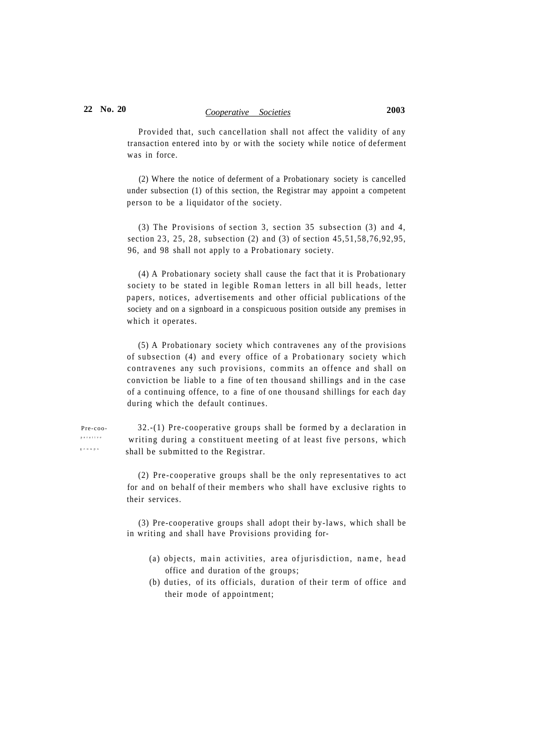# **22 No. 20** *Cooperative Societies* **2003**

Provided that, such cancellation shall not affect the validity of any transaction entered into by or with the society while notice of deferment was in force.

(2) Where the notice of deferment of a Probationary society is cancelled under subsection (1) of this section, the Registrar may appoint a competent person to be a liquidator of the society.

(3) The Provisions of section 3, section 35 subsection (3) and 4, section 23, 25, 28, subsection (2) and (3) of section 45,51,58,76,92,95, 96, and 98 shall not apply to a Probationary society.

(4) A Probationary society shall cause the fact that it is Probationary society to be stated in legible Roman letters in all bill heads, letter papers, notices, advertisements and other official publications of the society and on a signboard in a conspicuous position outside any premises in which it operates.

(5) A Probationary society which contravenes any of the provisions of subsection (4) and every office of a Probationary society which contravenes any such provisions, commits an offence and shall on conviction be liable to a fine of ten thousand shillings and in the case of a continuing offence, to a fine of one thousand shillings for each day during which the default continues.

Pre-coo- 32.-(1) Pre-cooperative groups shall be formed by a declaration in writing during a constituent meeting of at least five persons, which shall be submitted to the Registrar.

> (2) Pre-cooperative groups shall be the only representatives to act for and on behalf of their members who shall have exclusive rights to their services.

> (3) Pre-cooperative groups shall adopt their by-laws, which shall be in writing and shall have Provisions providing for-

- (a) objects, main activities, area of jurisdiction, name, head office and duration of the groups;
- (b) duties, of its officials, duration of their term of office and their mode of appointment;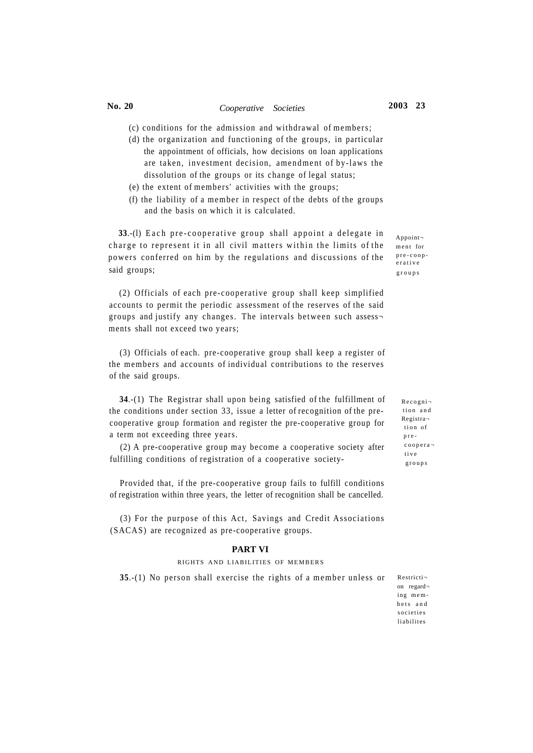## **No. 20** *Cooperative Societies* **2003 23**

- (c) conditions for the admission and withdrawal of members;
- (d) the organization and functioning of the groups, in particular the appointment of officials, how decisions on loan applications are taken, investment decision, amendment of by-laws the dissolution of the groups or its change of legal status;
- (e) the extent of members' activities with the groups;
- (f) the liability of a member in respect of the debts of the groups and the basis on which it is calculated.

**33.**-(1) Each pre-cooperative group shall appoint a delegate in charge to represent it in all civil matters within the limits of the powers conferred on him by the regulations and discussions of the said groups;

(2) Officials of each pre-cooperative group shall keep simplified accounts to permit the periodic assessment of the reserves of the said groups and justify any changes. The intervals between such assess ments shall not exceed two years;

(3) Officials of each. pre-cooperative group shall keep a register of the members and accounts of individual contributions to the reserves of the said groups.

**34**.-(1) The Registrar shall upon being satisfied of the fulfillment of the conditions under section 33, issue a letter of recognition of the precooperative group formation and register the pre-cooperative group for a term not exceeding three years.

(2) A pre-cooperative group may become a cooperative society after fulfilling conditions of registration of a cooperative society-

Provided that, if the pre-cooperative group fails to fulfill conditions of registration within three years, the letter of recognition shall be cancelled.

(3) For the purpose of this Act, Savings and Credit Associations (SACAS) are recognized as pre-cooperative groups.

#### **PART VI**

#### RIGHTS AND LIABILITIES OF MEMBERS

**35.**-(1) No person shall exercise the rights of a member unless or

Appoint ment for pre-coop erativ e group s

> Recogni tion and Registra tion of pre coopera tiv e group s

Restricti on regard ing membets an d societie s liabilite s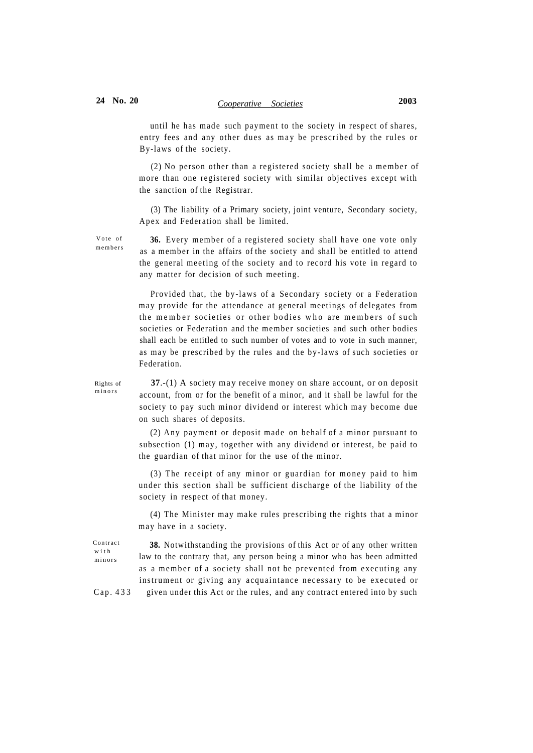until he has made such payment to the society in respect of shares, entry fees and any other dues as may be prescribed by the rules or By-laws of the society.

 $(2)$  No person other than a registered society shall be a member of more than one registered society with similar objectives except with the sanction of the Registrar.

(3) The liability of a Primary society, joint venture, Secondary society, Apex and Federation shall be limited.

Vote of members

36. Every member of a registered society shall have one vote only as a member in the affairs of the society and shall be entitled to attend the general meeting of the society and to record his vote in regard to any matter for decision of such meeting.

Provided that, the by-laws of a Secondary society or a Federation may provide for the attendance at general meetings of delegates from the member societies or other bodies who are members of such societies or Federation and the member societies and such other bodies shall each be entitled to such number of votes and to vote in such manner, as may be prescribed by the rules and the by-laws of such societies or Federation.

minors

Rights of **37**.-(1) A society may receive money on share account, or on deposit account, from or for the benefit of a minor, and it shall be lawful for the society to pay such minor dividend or interest which may become due on such shares of deposits.

> (2) Any payment or deposit made on behalf of a minor pursuant to subsection (1) may, together with any dividend or interest, be paid to the guardian of that minor for the use of the minor.

> (3) The receipt of any minor or guardian for money paid to him under this section shall be sufficient discharge of the liability of the society in respect of that money.

> (4) The Minister may make rules prescribing the rights that a minor m ay have in a society.

Contract wit h minors

**38.** Notwithstanding the provisions of this Act or of any other written law to the contrary that, any person being a minor who has been admitted as a member of a society shall not be prevented from executing any instrument or giving any acquaintance necessary to be executed or Cap. 433 given under this Act or the rules, and any contract entered into by such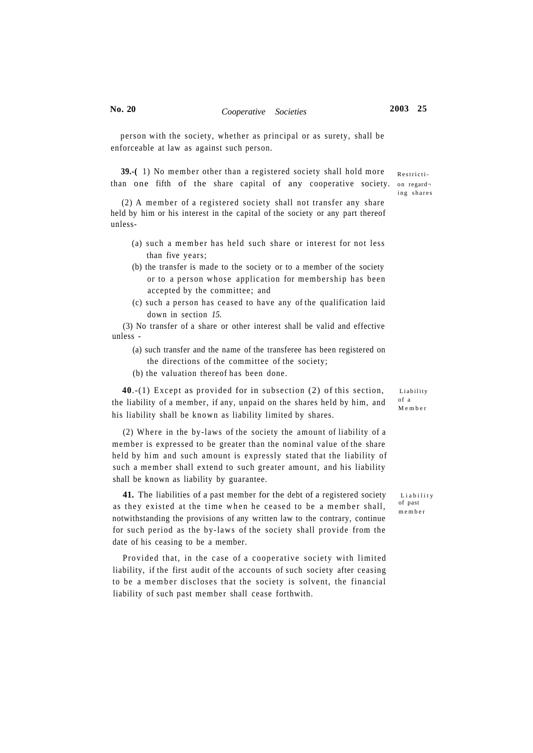Restricti-

ing shares

person with the society, whether as principal or as surety, shall be enforceable at law as against such person.

**39.-(1)** No member other than a registered society shall hold more than one fifth of the share capital of any cooperative society, on regard-

 $(2)$  A member of a registered society shall not transfer any share held by him or his interest in the capital of the society or any part thereof unless-

- (a) such a member has held such share or interest for not less than five years;
- (b) the transfer is made to the society or to a member of the society or to a person whose application for membership has been accepted by the committee; and
- (c) such a person has ceased to have any of the qualification laid down in section *15.*

(3) No transfer of a share or other interest shall be valid and effective unless -

- (a) such transfer and the name of the transferee has been registered on the directions of the committee of the society;
- (b) the valuation thereof has been done.

**40.-(1)** Except as provided for in subsection (2) of this section, Liability the liability of a member, if any, unpaid on the shares held by him, and his liability shall be known as liability limited by shares.

(2) Where in the by-laws of the society the amount of liability of a member is expressed to be greater than the nominal value of the share held by him and such amount is expressly stated that the liability of such a member shall extend to such greater amount, and his liability shall be known as liability by guarantee.

**41.** The liabilities of a past member for the debt of a registered society Liability as they existed at the time when he ceased to be a member shall, notwithstanding the provisions of any written law to the contrary, continue for such period as the by-laws of the society shall provide from the date of his ceasing to be a member.

Provided that, in the case of a cooperative society with limited liability, if the first audit of the accounts of such society after ceasing to be a member discloses that the society is solvent, the financial liability of such past member shall cease forthwith.

of a Membe r

of past membe r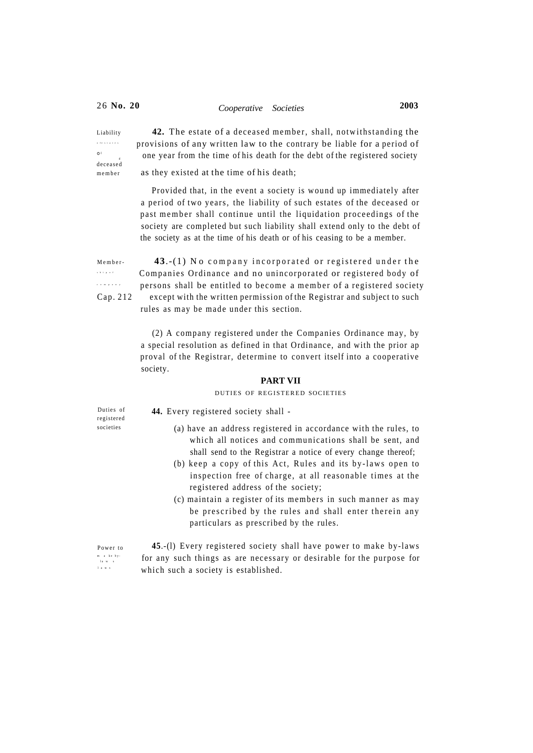o festates  $\overline{\phantom{a}}$ deceased

Liability **42.** The estate of a deceased member, shall, notwithstanding the provisions of any written law to the contrary be liable for a period of one year from the time of his death for the debt of the registered society

member as they existed at the time of his death;

Provided that, in the event a society is wound up immediately after a period of two years, the liability of such estates of the deceased or past member shall continue until the liquidation proceedings of the society are completed but such liability shall extend only to the debt of the society as at the time of his death or of his ceasing to be a member.

shi p o f compan y

Member-<br>**43.-(1)** No company incorporated or registered under the Companies Ordinance and no unincorporated or registered body of persons shall be entitled to become a member of a registered society Cap. 212 except with the written permission of the Registrar and subject to such rules as may be made under this section.

> (2) A company registered under the Companies Ordinance may, by a special resolution as defined in that Ordinance, and with the prior ap proval of the Registrar, determine to convert itself into a cooperative society.

## **PART VII**

## DUTIES OF REGISTERED SOCIETIES

Duties of registered societies

**44.** Every registered society shall -

- (a) have an address registered in accordance with the rules, to which all notices and communications shall be sent, and shall send to the Registrar a notice of every change thereof;
- (b) keep a copy of this Act, Rules and its by-laws open to inspection free of charge, at all reasonable times at the registered address of the society;
- (c) maintain a register of its members in such manner as may be prescribed by the rules and shall enter therein any particulars as prescribed by the rules.

m a ke byla w s law s Power to

45.-(1) Every registered society shall have power to make by-laws for any such things as are necessary or desirable for the purpose for which such a society is established.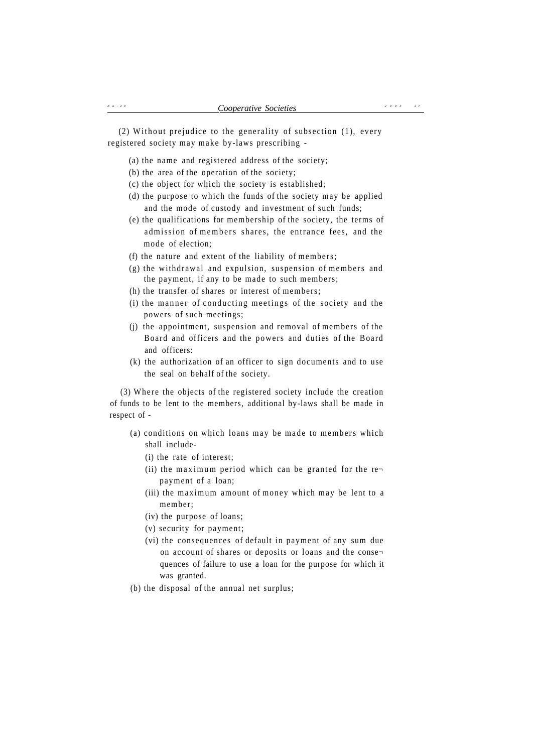(2) Without prejudice to the generality of subsection  $(1)$ , every registered society may make by-laws prescribing -

- (a) the name and registered address of the society;
- (b) the area of the operation of the society;
- (c) the object for which the society is established;
- (d) the purpose to which the funds of the society may be applied and the mode of custody and investment of such funds;
- (e) the qualifications for membership of the society, the terms of admission of members shares, the entrance fees, and the mode of election;
- (f) the nature and extent of the liability of members;
- $(g)$  the withdrawal and expulsion, suspension of members and the payment, if any to be made to such members;
- (h) the transfer of shares or interest of members;
- (i) the manner of conducting meetings of the society and the powers of such meetings;
- (j) the appointment, suspension and removal of members of the Board and officers and the powers and duties of the Board and officers:
- (k) the authorization of an officer to sign documents and to use the seal on behalf of the society.

(3) Where the objects of the registered society include the creation of funds to be lent to the members, additional by-laws shall be made in respect of -

- (a) conditions on which loans may be made to members which shall include-
	- (i) the rate of interest;
	- (ii) the maximum period which can be granted for the re $\neg$ payment of a loan;
	- (iii) the maximum amount of money which may be lent to a member;
	- (iv) the purpose of loans;
	- (v) security for payment;
	- (vi) the consequences of default in payment of any sum due on account of shares or deposits or loans and the conse quences of failure to use a loan for the purpose for which it was granted.
- (b) the disposal of the annual net surplus;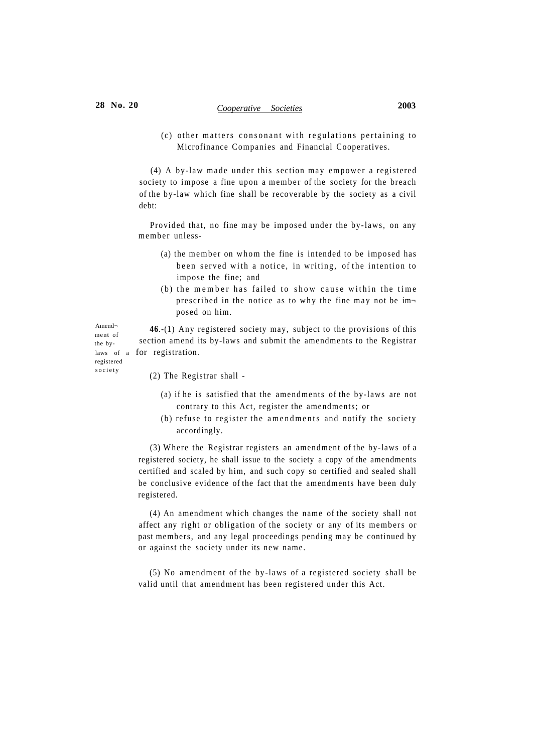# **28 No. 20** *Cooperative Societies* **2003**

 $(c)$  other matters consonant with regulations pertaining to Microfinance Companies and Financial Cooperatives.

 $(4)$  A by-law made under this section may empower a registered society to impose a fine upon a member of the society for the breach of the by-law which fine shall be recoverable by the society as a civil debt:

Provided that, no fine may be imposed under the by-laws, on any member unless-

- (a) the member on whom the fine is intended to be imposed has been served with a notice, in writing, of the intention to impose the fine; and
- (b) the member has failed to show cause within the time prescribed in the notice as to why the fine may not be imposed on him.

**46**.-(1) Any registered society may, subject to the provisions of this section amend its by-laws and submit the amendments to the Registrar laws of a for registration.

registered societ y

Amend ment of the by-

(2) The Registrar shall -

- (a) if he is satisfied that the amendments of the by-laws are not contrary to this Act, register the amendments; or
- (b) refuse to register the amendments and notify the society accordingly.

(3) Where the Registrar registers an amendment of the by-laws of a registered society, he shall issue to the society a copy of the amendments certified and scaled by him, and such copy so certified and sealed shall be conclusive evidence of the fact that the amendments have been duly registered.

(4) An amendment which changes the name of the society shall not affect any right or obligation of the society or any of its members or past members, and any legal proceedings pending may be continued by or against the society under its new name.

(5) No amendment of the by-laws of a registered society shall be valid until that amendment has been registered under this Act.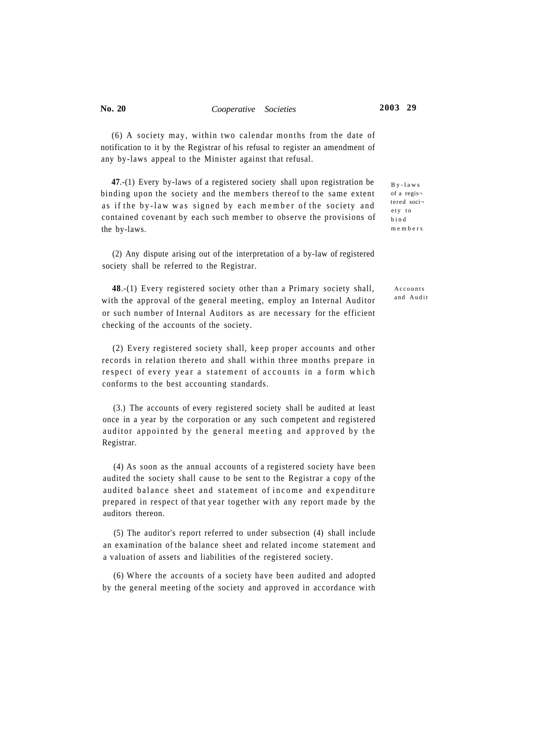$(6)$  A society may, within two calendar months from the date of notification to it by the Registrar of his refusal to register an amendment of any by-laws appeal to the Minister against that refusal.

**47**.-(1) Every by-laws of a registered society shall upon registration be binding upon the society and the members thereof to the same extent as if the by-law was signed by each member of the society and contained covenant by each such member to observe the provisions of the by-laws.

(2) Any dispute arising out of the interpretation of a by-law of registered society shall be referred to the Registrar.

**48**.-(1) Every registered society other than a Primary society shall, with the approval of the general meeting, employ an Internal Auditor or such number of Internal Auditors as are necessary for the efficient checking of the accounts of the society.

(2) Every registered society shall, keep proper accounts and other records in relation thereto and shall within three months prepare in respect of every year a statement of accounts in a form which conforms to the best accounting standards.

(3.) The accounts of every registered society shall be audited at least once in a year by the corporation or any such competent and registered auditor appointed by the general meeting and approved by the Registrar.

(4) As soon as the annual accounts of a registered society have been audited the society shall cause to be sent to the Registrar a copy of the audited balance sheet and statement of income and expenditure prepared in respect of that year together with any report made by the auditors thereon.

(5) The auditor's report referred to under subsection (4) shall include an examination of the balance sheet and related income statement and a valuation of assets and liabilities of the registered society.

(6) Where the accounts of a society have been audited and adopted by the general meeting of the society and approved in accordance with

By-law s of a regis tered soci e ty to bin d member s

> Accounts and Audit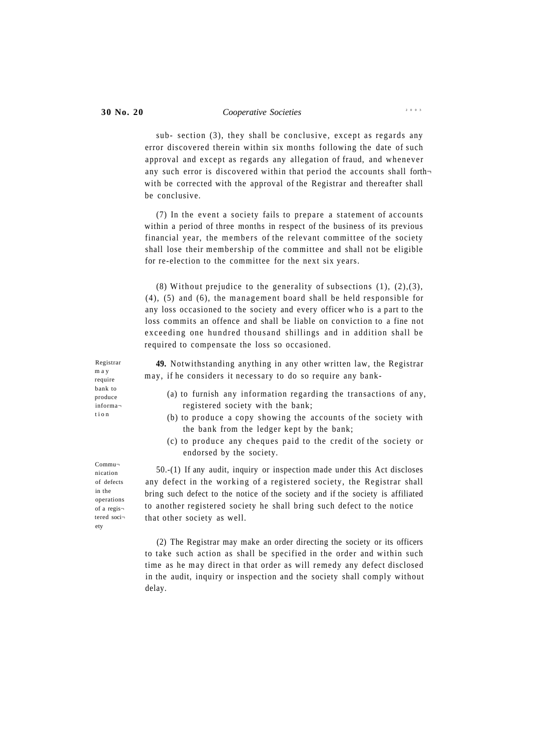sub- section  $(3)$ , they shall be conclusive, except as regards any error discovered therein within six months following the date of such approval and except as regards any allegation of fraud, and whenever any such error is discovered within that period the accounts shall forthwith be corrected with the approval of the Registrar and thereafter shall be conclusive.

(7) In the event a society fails to prepare a statement of accounts within a period of three months in respect of the business of its previous financial year, the members of the relevant committee of the society shall lose their membership of the committee and shall not be eligible for re-election to the committee for the next six years.

(8) Without prejudice to the generality of subsections  $(1)$ ,  $(2)$ ,  $(3)$ ,  $(4)$ ,  $(5)$  and  $(6)$ , the management board shall be held responsible for any loss occasioned to the society and every officer who is a part to the loss commits an offence and shall be liable on conviction to a fine not exceeding one hundred thousand shillings and in addition shall be required to compensate the loss so occasioned.

**49.** Notwithstanding anything in any other written law, the Registrar may, if he considers it necessary to do so require any bank-

- (a) to furnish any information regarding the transactions of any, registered society with the bank;
- (b) to produce a copy showing the accounts of the society with the bank from the ledger kept by the bank;
- (c) to produce any cheques paid to the credit of the society or endorsed by the society.

50.-(1) If any audit, inquiry or inspection made under this Act discloses any defect in the working of a registered society, the Registrar shall bring such defect to the notice of the society and if the society is affiliated to another registered society he shall bring such defect to the notice that other society as well.

(2) The Registrar may make an order directing the society or its officers to take such action as shall be specified in the order and within such time as he may direct in that order as will remedy any defect disclosed in the audit, inquiry or inspection and the society shall comply without delay.

Registrar m a y require bank to produce informa tio n

Commu nication of defects in the operations of a regis tered soci ety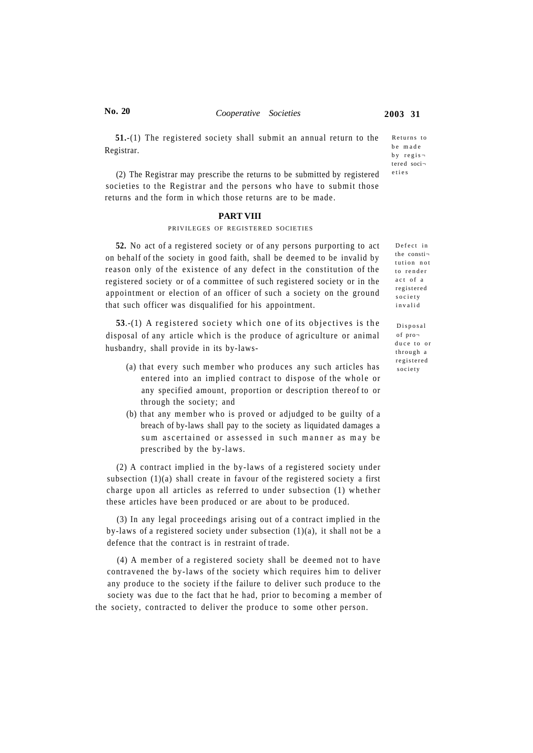## **No. 20** *Cooperative Societies* **2003 31**

Returns to be made  $b \vee r e \circ i s$ tered soci etie s

**51.**-(1) The registered society shall submit an annual return to the Registrar.

(2) The Registrar may prescribe the returns to be submitted by registered societies to the Registrar and the persons who have to submit those returns and the form in which those returns are to be made.

#### **PART VIII**

#### PRIVILEGES OF REGISTERED SOCIETIES

**52.** No act of a registered society or of any persons purporting to act on behalf of the society in good faith, shall be deemed to be invalid by reason only of the existence of any defect in the constitution of the registered society or of a committee of such registered society or in the appointment or election of an officer of such a society on the ground that such officer was disqualified for his appointment.

**53.**-(1) A registered society which one of its objectives is the disposal of any article which is the produce of agriculture or animal husbandry, shall provide in its by-laws-

- (a) that every such member who produces any such articles has entered into an implied contract to dispose of the whole or any specified amount, proportion or description thereof to or through the society; and
- (b) that any member who is proved or adjudged to be guilty of a breach of by-laws shall pay to the society as liquidated damages a sum ascertained or assessed in such manner as may be prescribed by the by-laws.

(2) A contract implied in the by-laws of a registered society under subsection (1)(a) shall create in favour of the registered society a first charge upon all articles as referred to under subsection (1) whether these articles have been produced or are about to be produced.

(3) In any legal proceedings arising out of a contract implied in the by-laws of a registered society under subsection (1)(a), it shall not be a defence that the contract is in restraint of trade.

(4) A member of a registered society shall be deemed not to have contravened the by-laws of the society which requires him to deliver any produce to the society if the failure to deliver such produce to the society was due to the fact that he had, prior to becoming a member of the society, contracted to deliver the produce to some other person.

Defect in the consti tution not to render act of a registered society invali d

Disposa l of pro duce to or throug h a registere d societ y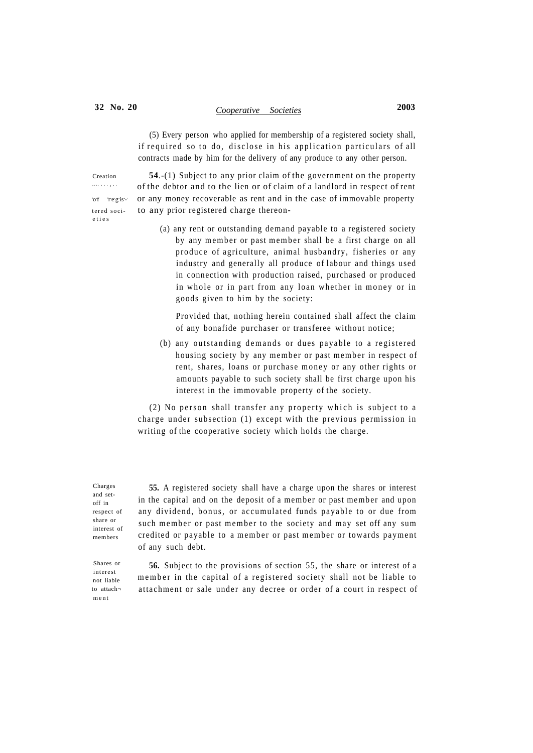# **32 No. 20** *Cooperative Societies* **2003**

(5) Every person who applied for membership of a registered society shall, if required so to do, disclose in his application particulars of all contracts made by him for the delivery of any produce to any other person.

o f charge show of regisetie s

Creation **54**.-(1) Subject to any prior claim of the government on the property of the debtor and to the lien or of claim of a landlord in respect of rent or any money recoverable as rent and in the case of immovable property tered soci- to any prior registered charge thereon-

> (a) any rent or outstanding demand payable to a registered society by any member or past member shall be a first charge on all produce of agriculture, animal husbandry, fisheries or any industry and generally all produce of labour and things used in connection with production raised, purchased or produced in whole or in part from any loan whether in money or in goods given to him by the society:

Provided that, nothing herein contained shall affect the claim of any bonafide purchaser or transferee without notice;

(b) any outstanding demands or dues payable to a registered housing society by any member or past member in respect of rent, shares, loans or purchase money or any other rights or amounts payable to such society shall be first charge upon his interest in the immovable property of the society.

 $(2)$  No person shall transfer any property which is subject to a charge under subsection  $(1)$  except with the previous permission in writing of the cooperative society which holds the charge.

Charges and setoff in respect of share or interest of members

**55.** A registered society shall have a charge upon the shares or interest in the capital and on the deposit of a member or past member and upon any dividend, bonus, or accumulated funds payable to or due from such member or past member to the society and may set off any sum credited or payable to a member or past member or towards payment of any such debt.

Shares or interest not liable to attach men t

**56.** Subject to the provisions of section 55, the share or interest of a member in the capital of a registered society shall not be liable to attachment or sale under any decree or order of a court in respect of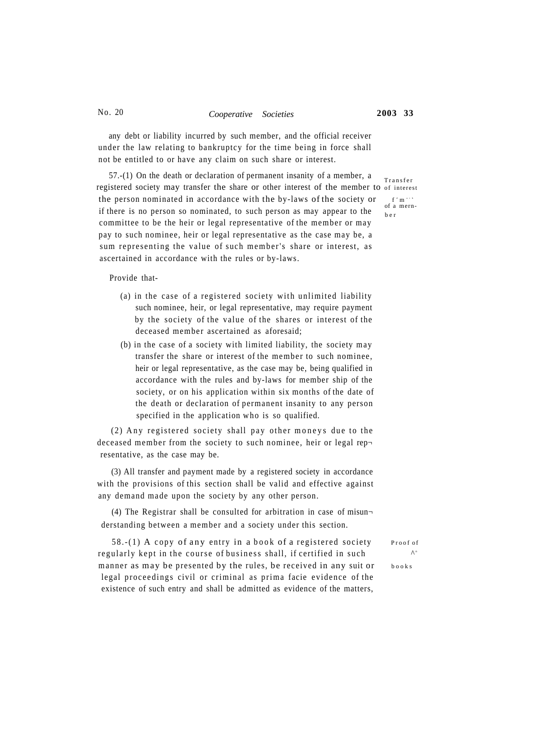## No. 20 *Cooperative Societies* **2003 33**

any debt or liability incurred by such member, and the official receiver under the law relating to bankruptcy for the time being in force shall not be entitled to or have any claim on such share or interest.

57.-(1) On the death or declaration of permanent insanity of a member, a registered society may transfer the share or other interest of the member to of interest the person nominated in accordance with the by-laws of the society or if there is no person so nominated, to such person as may appear to the committee to be the heir or legal representative of the member or may pay to such nominee, heir or legal representative as the case may be, a sum representing the value of such member's share or interest, as ascertained in accordance with the rules or by-laws.

Provide that-

- (a) in the case of a registered society with unlimited liability such nominee, heir, or legal representative, may require payment by the society of the value of the shares or interest of the deceased member ascertained as aforesaid;
- (b) in the case of a society with limited liability, the society may transfer the share or interest of the member to such nominee, heir or legal representative, as the case may be, being qualified in accordance with the rules and by-laws for member ship of the society, or on his application within six months of the date of the death or declaration of permanent insanity to any person specified in the application who is so qualified.

 $(2)$  Any registered society shall pay other moneys due to the deceased member from the society to such nominee, heir or legal rep $\neg$ resentative, as the case may be.

(3) All transfer and payment made by a registered society in accordance with the provisions of this section shall be valid and effective against any demand made upon the society by any other person.

(4) The Registrar shall be consulted for arbitration in case of misun $\neg$ derstanding between a member and a society under this section.

 $58-(1)$  A copy of any entry in a book of a registered society Proof of regularly kept in the course of business shall, if certified in such manner as may be presented by the rules, be received in any suit or books legal proceedings civil or criminal as prima facie evidence of the existence of such entry and shall be admitted as evidence of the matters,

Transfe r  $f'$  m  $\cdot$   $\cdot$   $\cdot$ <br>of a mernb e r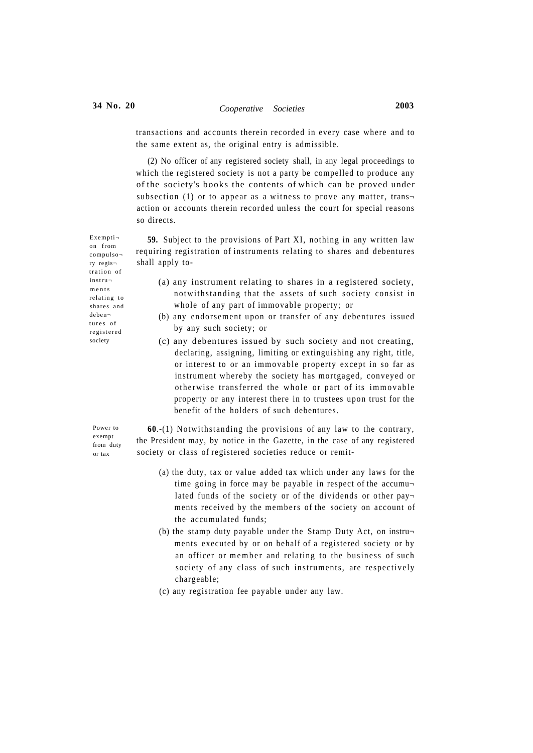(2) No officer of any registered society shall, in any legal proceedings to which the registered society is not a party be compelled to produce any of the society's books the contents of which can be proved under subsection (1) or to appear as a witness to prove any matter, trans $\neg$ action or accounts therein recorded unless the court for special reasons so directs.

**59.** Subject to the provisions of Part XI, nothing in any written law requiring registration of instruments relating to shares and debentures shall apply to-

- (a) any instrument relating to shares in a registered society, notwithstanding that the assets of such society consist in whole of any part of immovable property; or
- (b) any endorsement upon or transfer of any debentures issued by any such society; or
- (c) any debentures issued by such society and not creating, declaring, assigning, limiting or extinguishing any right, title, or interest to or an immovable property except in so far as instrument whereby the society has mortgaged, conveyed or otherwise transferred the whole or part of its immovable property or any interest there in to trustees upon trust for the benefit of the holders of such debentures.

Power to exempt from duty or tax

**60**.-(1) Notwithstanding the provisions of any law to the contrary, the President may, by notice in the Gazette, in the case of any registered society or class of registered societies reduce or remit-

- (a) the duty, tax or value added tax which under any laws for the time going in force may be payable in respect of the accumu lated funds of the society or of the dividends or other pay $\neg$ ments received by the members of the society on account of the accumulated funds;
- (b) the stamp duty payable under the Stamp Duty Act, on instru ments executed by or on behalf of a registered society or by an officer or member and relating to the business of such society of any class of such instruments, are respectively chargeable;
- (c) any registration fee payable under any law.

Exempti on from compulso ry regis tration of instru ments relating to shares and deben tures of registere d society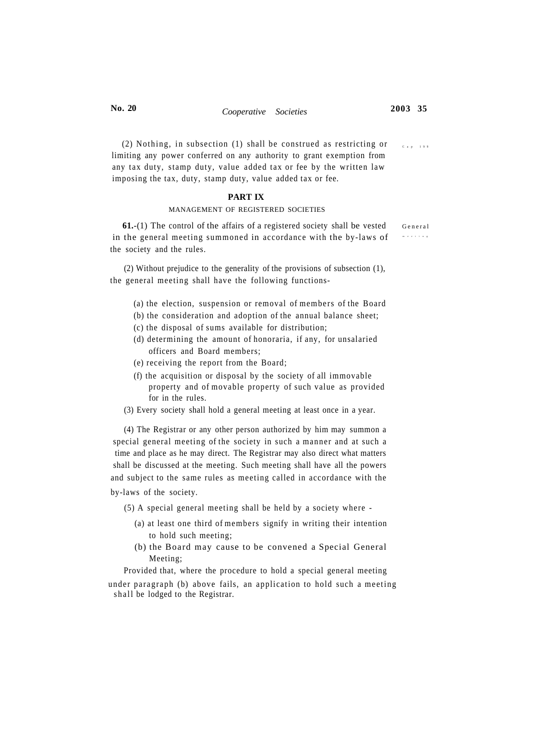(2) Nothing, in subsection (1) shall be construed as restricting or  $C_{\text{max}}$ limiting any power conferred on any authority to grant exemption from any tax duty, stamp duty, value added tax or fee by the written law imposing the tax, duty, stamp duty, value added tax or fee.

## **PART IX**

#### MANAGEMENT OF REGISTERED SOCIETIES

**61.-(1)** The control of the affairs of a registered society shall be vested General in the general meeting summoned in accordance with the by-laws of the society and the rules.

(2) Without prejudice to the generality of the provisions of subsection (1), the general meeting shall have the following functions-

- (a) the election, suspension or removal of members of the Board
- (b) the consideration and adoption of the annual balance sheet;
- (c) the disposal of sums available for distribution;
- (d) determining the amount of honoraria, if any, for unsalaried officers and Board members;
- (e) receiving the report from the Board;
- (f) the acquisition or disposal by the society of all immovable property and of movable property of such value as provided for in the rules.
- (3) Every society shall hold a general meeting at least once in a year.

(4) The Registrar or any other person authorized by him may summon a special general meeting of the society in such a manner and at such a time and place as he may direct. The Registrar may also direct what matters shall be discussed at the meeting. Such meeting shall have all the powers and subject to the same rules as meeting called in accordance with the by-laws of the society.

(5) A special general meeting shall be held by a society where -

- (a) at least one third of members signify in writing their intention to hold such meeting;
- (b) the Board may cause to be convened a Special General Meeting;

Provided that, where the procedure to hold a special general meeting

under paragraph (b) above fails, an application to hold such a meeting shall be lodged to the Registrar.

meetin g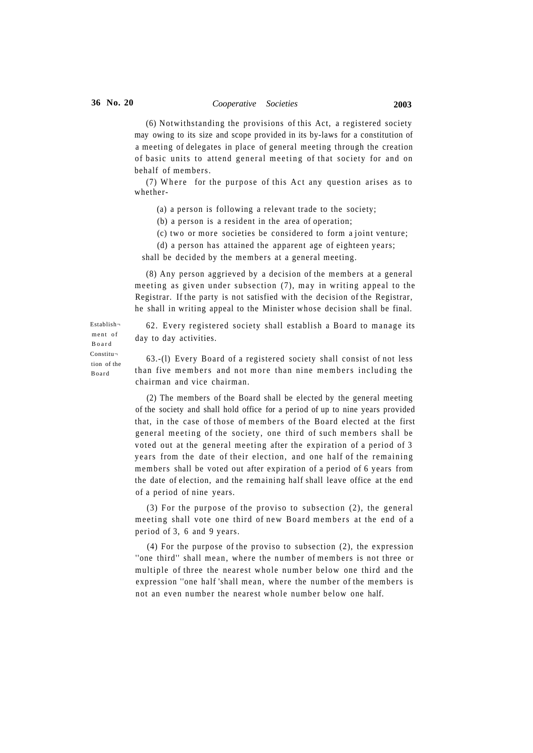(6) Notwithstanding the provisions of this Act, a registered society may owing to its size and scope provided in its by-laws for a constitution of a meeting of delegates in place of general meeting through the creation of basic units to attend general meeting of that society for and on behalf of members.

 $(7)$  Where for the purpose of this Act any question arises as to whether-

(a) a person is following a relevant trade to the society;

(b) a person is a resident in the area of operation;

(c) two or more societies be considered to form a joint venture;

(d) a person has attained the apparent age of eighteen years;

shall be decided by the members at a general meeting.

(8) Any person aggrieved by a decision of the members at a general meeting as given under subsection  $(7)$ , may in writing appeal to the Registrar. If the party is not satisfied with the decision of the Registrar, he shall in writing appeal to the Minister whose decision shall be final.

62. Every registered society shall establish a Board to manage its day to day activities.

63.-(l) Every Board of a registered society shall consist of not less than five members and not more than nine members including the chairman and vice chairman.

(2) The members of the Board shall be elected by the general meeting of the society and shall hold office for a period of up to nine years provided that, in the case of those of members of the Board elected at the first general meeting of the society, one third of such members shall be voted out at the general meeting after the expiration of a period of 3 years from the date of their election, and one half of the remaining members shall be voted out after expiration of a period of 6 years from the date of election, and the remaining half shall leave office at the end of a period of nine years.

(3) For the purpose of the proviso to subsection  $(2)$ , the general meeting shall vote one third of new Board members at the end of a period of 3, 6 and 9 years.

(4) For the purpose of the proviso to subsection (2), the expression "one third" shall mean, where the number of members is not three or multiple of three the nearest whole number below one third and the expression "one half 'shall mean, where the number of the members is not an even number the nearest whole number below one half.

Establish ment of Boar d Constitu tion of the Board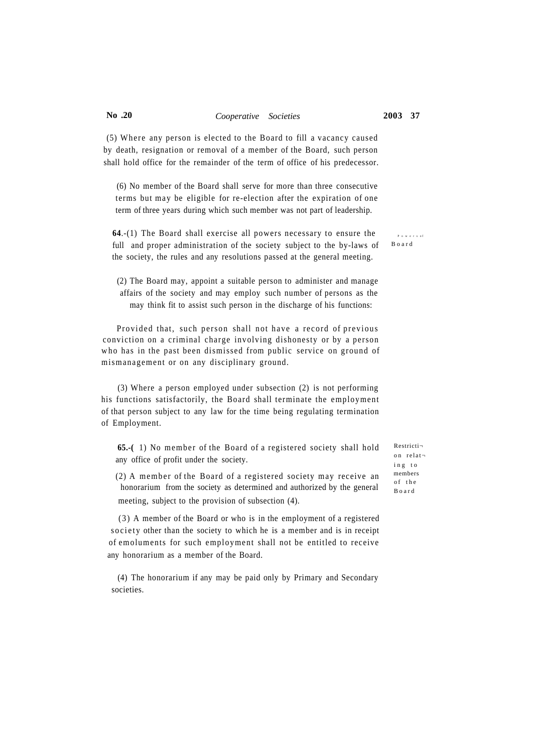# **No .20** *Cooperative Societies* **2003 37**

(5) Where any person is elected to the Board to fill a vacancy caused by death, resignation or removal of a member of the Board, such person shall hold office for the remainder of the term of office of his predecessor.

(6) No member of the Board shall serve for more than three consecutive terms but may be eligible for re-election after the expiration of one term of three years during which such member was not part of leadership.

**64.-(1)** The Board shall exercise all powers necessary to ensure the  $P_{\text{SUSC}}$ full and proper administration of the society subject to the by-laws of the society, the rules and any resolutions passed at the general meeting.

(2) The Board may, appoint a suitable person to administer and manage affairs of the society and may employ such number of persons as the may think fit to assist such person in the discharge of his functions:

Provided that, such person shall not have a record of previous conviction on a criminal charge involving dishonesty or by a person who has in the past been dismissed from public service on ground of mismanagement or on any disciplinary ground.

(3) Where a person employed under subsection (2) is not performing his functions satisfactorily, the Board shall terminate the employment of that person subject to any law for the time being regulating termination of Employment.

**65.-(** 1) No member of the Board of a registered society shall hold any office of profit under the society.

 $(2)$  A member of the Board of a registered society may receive an honorarium from the society as determined and authorized by the general meeting, subject to the provision of subsection (4).

( 3 ) A member of the Board or who is in the employment of a registered society other than the society to which he is a member and is in receipt of emoluments for such employment shall not be entitled to receive any honorarium as a member of the Board.

(4) The honorarium if any may be paid only by Primary and Secondary societies.

Restricti o n relat i n g t o members of the Boar d

Boar d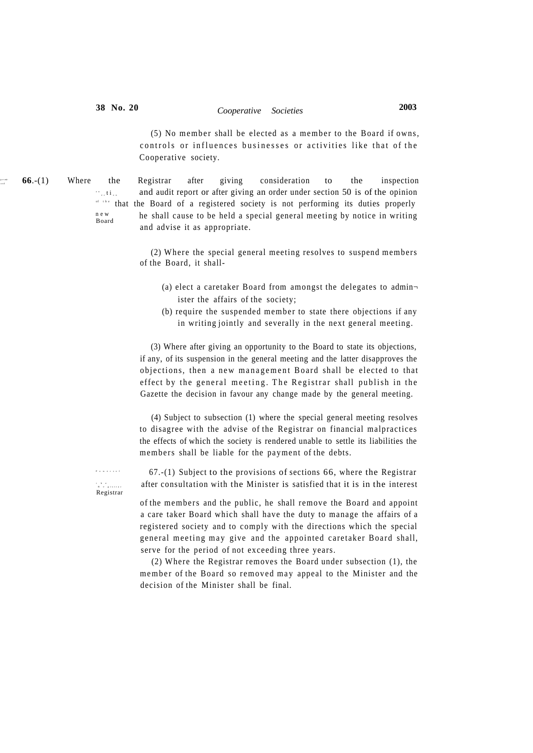a p n e d

 $(5)$  No member shall be elected as a member to the Board if owns, controls or influences businesses or activities like that of the Cooperative society.

n e w Board **66.**-(1) Where the Registrar after giving consideration to the inspection  $\ddot{\ }$  n  $\ddot{\ }$  i. and audit report or after giving an order under section 50 is of the opinion <sup>of the</sup> that the Board of a registered society is not performing its duties properly he shall cause to be held a special general meeting by notice in writing and advise it as appropriate.

> (2) Where the special general meeting resolves to suspend members of the Board, it shall-

- (a) elect a caretaker Board from amongst the delegates to admin ister the affairs of the society;
- $(b)$  require the suspended member to state there objections if any in writing jointly and severally in the next general meeting.

(3) Where after giving an opportunity to the Board to state its objections, if any, of its suspension in the general meeting and the latter disapproves the objections, then a new management Board shall be elected to that effect by the general meeting. The Registrar shall publish in the Gazette the decision in favour any change made by the general meeting.

(4) Subject to subsection (1) where the special general meeting resolves to disagree with the advise of the Registrar on financial malpractices the effects of which the society is rendered unable to settle its liabilities the members shall be liable for the payment of the debts.

 67.-(1) Subject to the provisions of sections 66, where the Registrar after consultation with the Minister is satisfied that it is in the interest

of the members and the public, he shall remove the Board and appoint a care taker Board which shall have the duty to manage the affairs of a registered society and to comply with the directions which the special general meeting may give and the appointed caretaker Board shall, serve for the period of not exceeding three years.

(2) Where the Registrar removes the Board under subsection (1), the member of the Board so removed may appeal to the Minister and the decision of the Minister shall be final.

t R h e e Registrar

Power s o f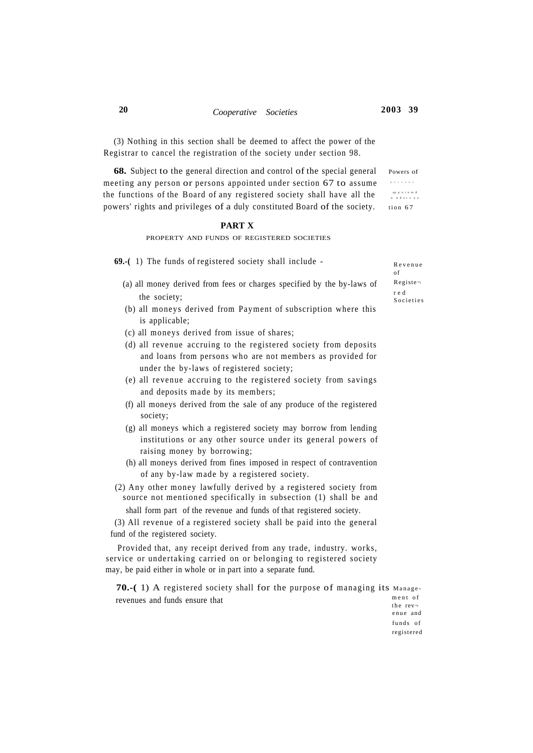person s

appointed<br>ndersee

(3) Nothing in this section shall be deemed to affect the power of the Registrar to cancel the registration of the society under section 98.

**68.** Subject to the general direction and control of the special general Powers of meeting any person or persons appointed under section 67 to assume the functions of the Board of any registered society shall have all the powers' rights and privileges of a duly constituted Board of the society. tion 67

### **PART X**

#### PROPERTY AND FUNDS OF REGISTERED SOCIETIES

**69.-(** 1) The funds of registered society shall include -

- (a) all money derived from fees or charges specified by the by-laws of the society;
- (b) all moneys derived from Payment of subscription where this is applicable;
- (c) all moneys derived from issue of shares;
- (d) all revenue accruing to the registered society from deposits and loans from persons who are not members as provided for under the by-laws of registered society;
- (e) all revenue accruing to the registered society from savings and deposits made by its members;
- (f) all moneys derived from the sale of any produce of the registered society;
- (g) all moneys which a registered society may borrow from lending institutions or any other source under its general powers of raising money by borrowing;
- (h) all moneys derived from fines imposed in respect of contravention of any by-law made by a registered society.
- (2) Any other money lawfully derived by a registered society from source not mentioned specifically in subsection (1) shall be and shall form part of the revenue and funds of that registered society.

(3) All revenue of a registered society shall be paid into the general fund of the registered society.

Provided that, any receipt derived from any trade, industry. works, service or undertaking carried on or belonging to registered society may, be paid either in whole or in part into a separate fund.

revenues and funds ensure that **70.-(** 1) A registered society shall for the purpose of managing its Manage ment of

Revenu e of Registe r e d **Societies** 

the  $rev\neg$ enue and funds of registered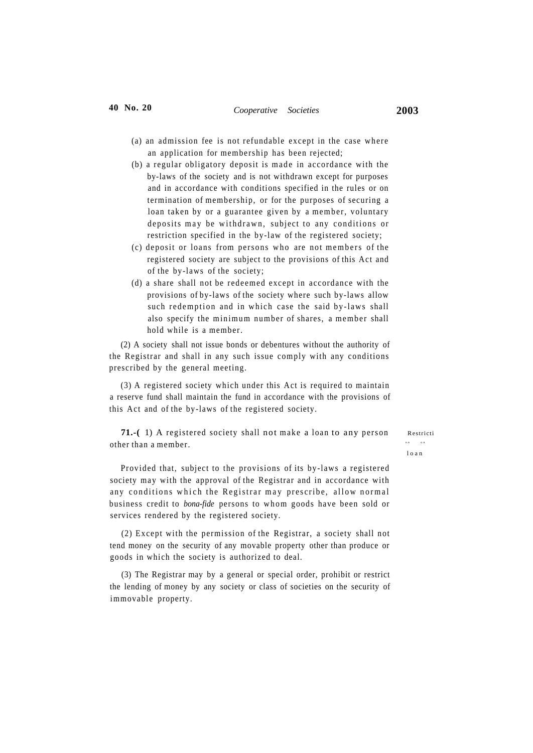- (a) an admission fee is not refundable except in the case where an application for membership has been rejected;
- (b) a regular obligatory deposit is made in accordance with the by-laws of the society and is not withdrawn except for purposes and in accordance with conditions specified in the rules or on termination of membership, or for the purposes of securing a loan taken by or a guarantee given by a member, voluntary deposits may be withdrawn, subject to any conditions or restriction specified in the by-law of the registered society;
- (c) deposit or loans from persons who are not members of the registered society are subject to the provisions of this Act and of the by-laws of the society;
- (d) a share shall not be redeemed except in accordance with the provisions of by-laws of the society where such by-laws allow such redemption and in which case the said by-laws shall also specify the minimum number of shares, a member shall hold while is a member.

(2) A society shall not issue bonds or debentures without the authority of the Registrar and shall in any such issue comply with any conditions prescribed by the general meeting.

(3) A registered society which under this Act is required to maintain a reserve fund shall maintain the fund in accordance with the provisions of this Act and of the by-laws of the registered society.

**71.-(1)** A registered society shall not make a loan to any person Restriction other than a member. o n o n

loa n

Provided that, subject to the provisions of its by-laws a registered society may with the approval of the Registrar and in accordance with any conditions which the Registrar may prescribe, allow normal business credit to *bona-fide* persons to whom goods have been sold or services rendered by the registered society.

(2) Except with the permission of the Registrar, a society shall not tend money on the security of any movable property other than produce or goods in which the society is authorized to deal.

(3) The Registrar may by a general or special order, prohibit or restrict the lending of money by any society or class of societies on the security of immovable property.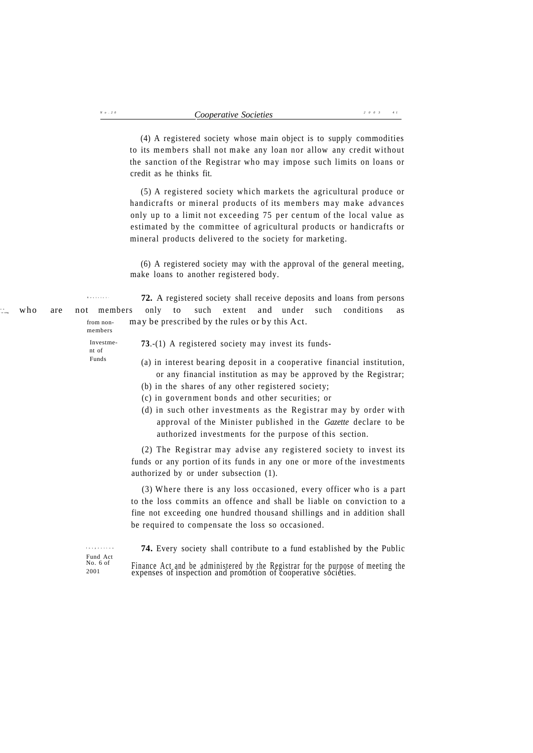(4) A registered society whose main object is to supply commodities to its members shall not make any loan nor allow any credit without the sanction of the Registrar who may impose such limits on loans or

Investment of Funds (6) A registered society may with the approval of the general meeting, make loans to another registered body. Restrict -  **72.** A registered society shall receive deposits and loans from persons who are not members only to such extent and under such conditions as from non- may be prescribed by the rules or by this Act. members **73**.-(1) A registered society may invest its funds- (a) in interest bearing deposit in a cooperative financial institution, or any financial institution as may be approved by the Registrar; (b) in the shares of any other registered society; (c) in government bonds and other securities; or (d) in such other investments as the Registrar may by order with approval of the Minister published in the *Gazette* declare to be authorized investments for the purpose of this section. (2) The Registrar may advise any registered society to invest its funds or any portion of its funds in any one or more of the investments authorized by or under subsection (1). (3) Where there is any loss occasioned, every officer who is a part to the loss commits an offence and shall be liable on conviction to a fine not exceeding one hundred thousand shillings and in addition shall be required to compensate the loss so occasioned. Inspectio n  **74.** Every society shall contribute to a fund established by the Public (5) A registered society which markets the agricultural produce or handicrafts or mineral products of its members may make advances only up to a limit not exceeding 75 per centum of the local value as estimated by the committee of agricultural products or handicrafts or mineral products delivered to the society for marketing.

credit as he thinks fit.

Fund Act<br>No. 6 of

*N o . 2 0*

ro

 $\frac{N_{0.6}}{2001}$  Finance Act and be administered by the Registrar for the purpose of meeting the expenses of inspection and promotion of cooperative societies.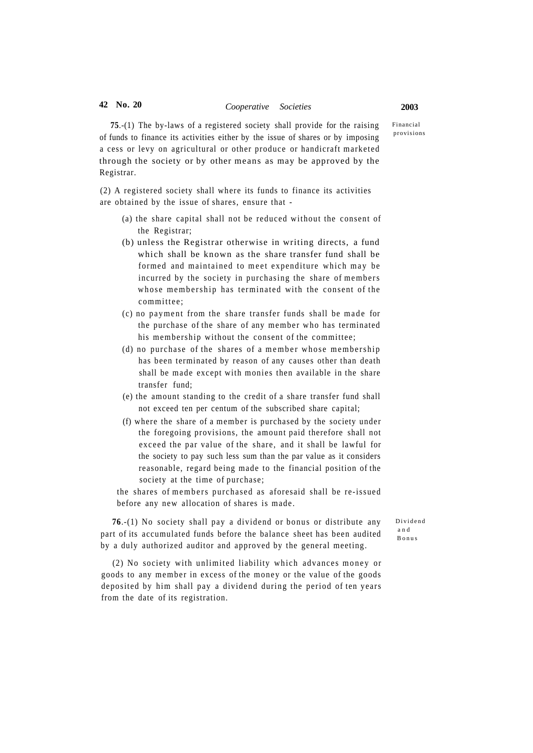Financial provisions

**75**.-(1) The by-laws of a registered society shall provide for the raising of funds to finance its activities either by the issue of shares or by imposing a cess or levy on agricultural or other produce or handicraft marketed through the society or by other means as may be approved by the Registrar.

(2) A registered society shall where its funds to finance its activities are obtained by the issue of shares, ensure that -

- (a) the share capital shall not be reduced without the consent of the Registrar;
- (b) unless the Registrar otherwise in writing directs, a fund which shall be known as the share transfer fund shall be formed and maintained to meet expenditure which may be incurred by the society in purchasing the share of members whose membership has terminated with the consent of the committee ;
- (c) no payment from the share transfer funds shall be made for the purchase of the share of any member who has terminated his membership without the consent of the committee;
- $(d)$  no purchase of the shares of a member whose membership has been terminated by reason of any causes other than death shall be made except with monies then available in the share transfer fund;
- (e) the amount standing to the credit of a share transfer fund shall not exceed ten per centum of the subscribed share capital;
- (f) where the share of a member is purchased by the society under the foregoing provisions, the amount paid therefore shall not exceed the par value of the share, and it shall be lawful for the society to pay such less sum than the par value as it considers reasonable, regard being made to the financial position of the society at the time of purchase;

the shares of members purchased as aforesaid shall be re-issued before any new allocation of shares is made .

**76**.-(1) No society shall pay a dividend or bonus or distribute any part of its accumulated funds before the balance sheet has been audited by a duly authorized auditor and approved by the general meeting.

Dividen d a n d Bonu s

(2) No society with unlimited liability which advances money or goods to any member in excess of the money or the value of the goods deposited by him shall pay a dividend during the period of ten years from the date of its registration.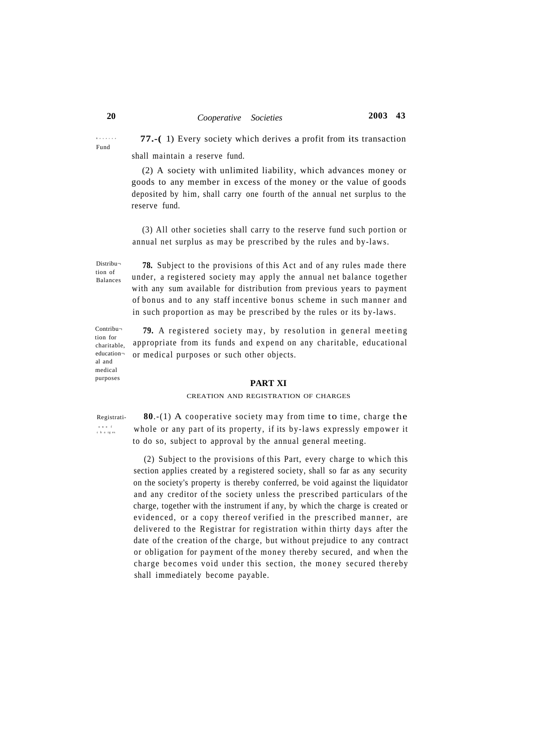# **20** *Cooperative Societies* **2003 43**

Reserv e Fund

 **77.-(** 1) Every society which derives a profit from its transaction shall maintain a reserve fund.

(2) A society with unlimited liability, which advances money or goods to any member in excess of the money or the value of goods deposited by him, shall carry one fourth of the annual net surplus to the reserve fund.

(3) All other societies shall carry to the reserve fund such portion or annual net surplus as may be prescribed by the rules and by-laws.

Distribution of Balances

Contribution for charitable, education al and medical purposes

**78.** Subject to the provisions of this Act and of any rules made there under, a registered society may apply the annual net balance together with any sum available for distribution from previous years to payment of bonus and to any staff incentive bonus scheme in such manner and in such proportion as may be prescribed by the rules or its by-laws.

79. A registered society may, by resolution in general meeting appropriate from its funds and expend on any charitable, educational or medical purposes or such other objects.

#### **PART XI**

#### CREATION AND REGISTRATION OF CHARGES

on of<br>charges

Registrati-<br>**80.-(1)** A cooperative society may from time to time, charge the whole or any part of its property, if its by-laws expressly empower it to do so, subject to approval by the annual general meeting.

> (2) Subject to the provisions of this Part, every charge to which this section applies created by a registered society, shall so far as any security on the society's property is thereby conferred, be void against the liquidator and any creditor of the society unless the prescribed particulars of the charge, together with the instrument if any, by which the charge is created or evidenced, or a copy thereof verified in the prescribed manner, are delivered to the Registrar for registration within thirty days after the date of the creation of the charge, but without prejudice to any contract or obligation for payment of the money thereby secured, and when the charge becomes void under this section, the money secured thereby shall immediately become payable.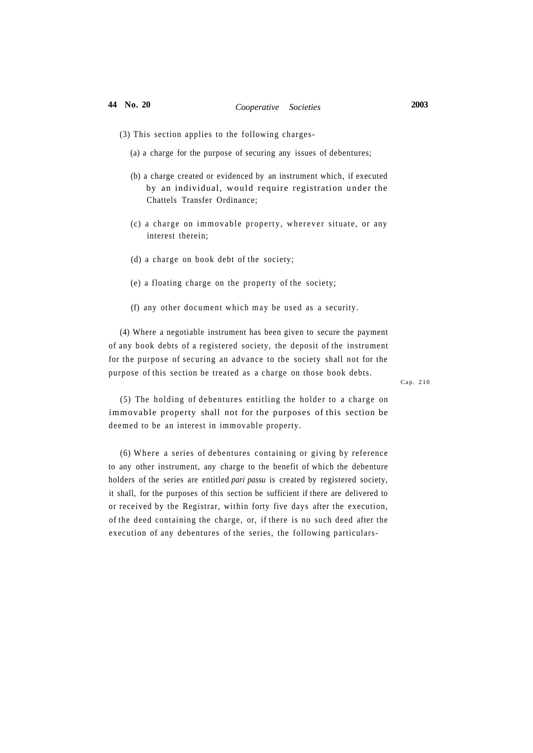- (3) This section applies to the following charges-
	- (a) a charge for the purpose of securing any issues of debentures;
	- (b) a charge created or evidenced by an instrument which, if executed by an individual, would require registration under the Chattels Transfer Ordinance;
	- (c) a charge on immovable property, wherever situate, or any interest therein;
	- (d) a charge on book debt of the society;
	- (e) a floating charge on the property of the society;
	- (f) any other document which may be used as a security.

(4) Where a negotiable instrument has been given to secure the payment of any book debts of a registered society, the deposit of the instrument for the purpose of securing an advance to the society shall not for the purpose of this section be treated as a charge on those book debts.

Cap. 210

(5) The holding of debentures entitling the holder to a charge on immovable property shall not for the purposes of this section be deemed to be an interest in immovable property.

(6) Where a series of debentures containing or giving by reference to any other instrument, any charge to the benefit of which the debenture holders of the series are entitled *pari passu* is created by registered society, it shall, for the purposes of this section be sufficient if there are delivered to or received by the Registrar, within forty five days after the execution, of the deed containing the charge, or, if there is no such deed after the execution of any debentures of the series, the following particulars-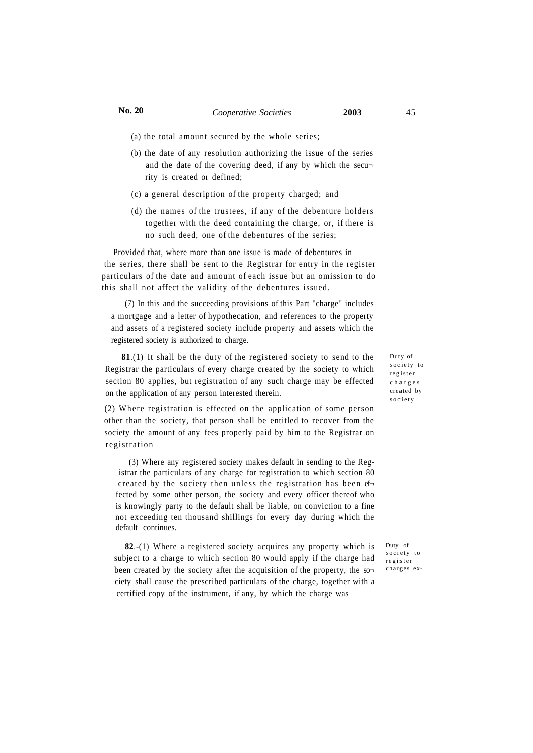- (a) the total amount secured by the whole series;
- (b) the date of any resolution authorizing the issue of the series and the date of the covering deed, if any by which the security is created or defined;
- (c) a general description of the property charged; and
- (d) the names of the trustees, if any of the debenture holders together with the deed containing the charge, or, if there is no such deed, one of the debentures of the series;

Provided that, where more than one issue is made of debentures in the series, there shall be sent to the Registrar for entry in the register particulars of the date and amount of each issue but an omission to do this shall not affect the validity of the debentures issued.

(7) In this and the succeeding provisions of this Part ''charge'' includes a mortgage and a letter of hypothecation, and references to the property and assets of a registered society include property and assets which the registered society is authorized to charge.

**81**.(1) It shall be the duty of the registered society to send to the Registrar the particulars of every charge created by the society to which section 80 applies, but registration of any such charge may be effected on the application of any person interested therein.

 $(2)$  Where registration is effected on the application of some person other than the society, that person shall be entitled to recover from the society the amount of any fees properly paid by him to the Registrar on registration

(3) Where any registered society makes default in sending to the Registrar the particulars of any charge for registration to which section 80 created by the society then unless the registration has been ef fected by some other person, the society and every officer thereof who is knowingly party to the default shall be liable, on conviction to a fine not exceeding ten thousand shillings for every day during which the default continues.

**82**.-(1) Where a registered society acquires any property which is subject to a charge to which section 80 would apply if the charge had been created by the society after the acquisition of the property, the so ciety shall cause the prescribed particulars of the charge, together with a certified copy of the instrument, if any, by which the charge was

Duty of society to register charge s created by societ y

Duty of society to register charges ex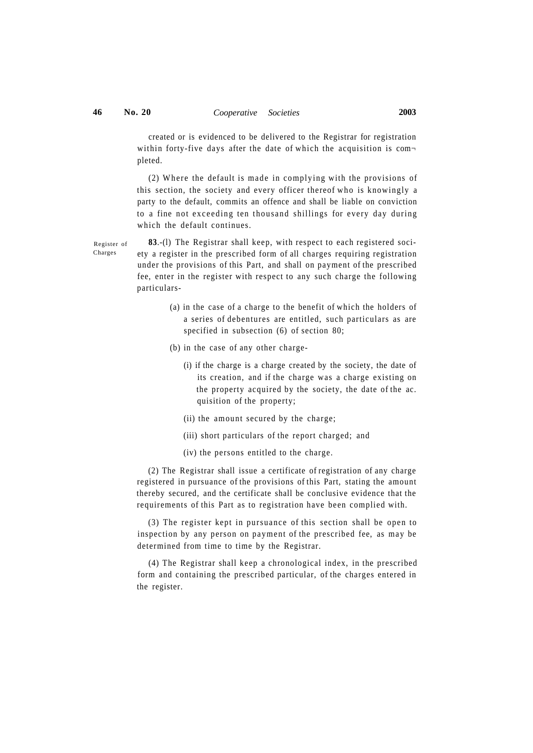Charges

created or is evidenced to be delivered to the Registrar for registration within forty-five days after the date of which the acquisition is completed.

 $(2)$  Where the default is made in complying with the provisions of this section, the society and every officer thereof who is knowingly a party to the default, commits an offence and shall be liable on conviction to a fine not exceeding ten thousand shillings for every day during which the default continues.

**83**.-(l) The Registrar shall keep, with respect to each registered society a register in the prescribed form of all charges requiring registration under the provisions of this Part, and shall on payment of the prescribed fee, enter in the register with respect to any such charge the following particulars- Register of

- (a) in the case of a charge to the benefit of which the holders of a series of debentures are entitled, such particulars as are specified in subsection (6) of section 80;
- (b) in the case of any other charge-
	- (i) if the charge is a charge created by the society, the date of its creation, and if the charge was a charge existing on the property acquired by the society, the date of the ac. quisition of the property;
	- (ii) the amount secured by the charge;
	- (iii) short particulars of the report charged; and
	- (iv) the persons entitled to the charge.

(2) The Registrar shall issue a certificate of registration of any charge registered in pursuance of the provisions of this Part, stating the amount thereby secured, and the certificate shall be conclusive evidence that the requirements of this Part as to registration have been complied with.

(3) The register kept in pursuance of this section shall be open to inspection by any person on payment of the prescribed fee, as may be determined from time to time by the Registrar.

(4) The Registrar shall keep a chronological index, in the prescribed form and containing the prescribed particular, of the charges entered in the register.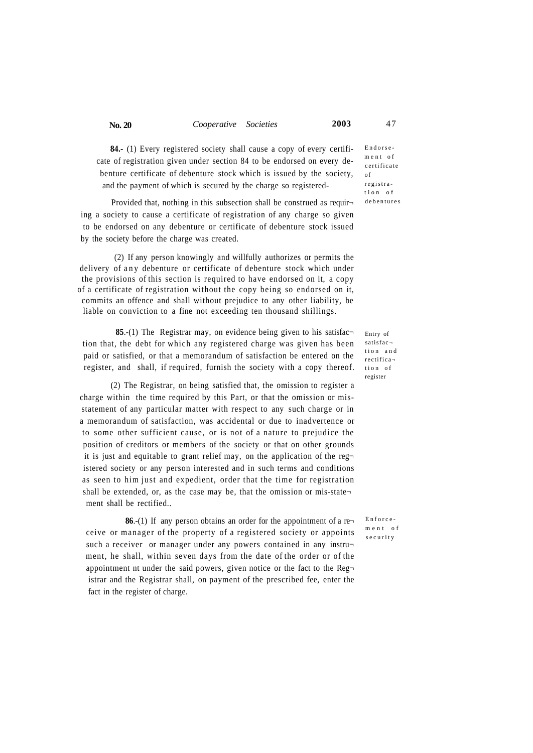|  | No. 20 | Cooperative Societies |  | 2003 | 47 |
|--|--------|-----------------------|--|------|----|
|--|--------|-----------------------|--|------|----|

**84.-** (1) Every registered society shall cause a copy of every certificate of registration given under section 84 to be endorsed on every debenture certificate of debenture stock which is issued by the society, and the payment of which is secured by the charge so registered-

Provided that, nothing in this subsection shall be construed as requir ing a society to cause a certificate of registration of any charge so given to be endorsed on any debenture or certificate of debenture stock issued by the society before the charge was created.

(2) If any person knowingly and willfully authorizes or permits the delivery of any debenture or certificate of debenture stock which under the provisions of this section is required to have endorsed on it, a copy of a certificate of registration without the copy being so endorsed on it, commits an offence and shall without prejudice to any other liability, be liable on conviction to a fine not exceeding ten thousand shillings.

**85.**-(1) The Registrar may, on evidence being given to his satisfaction that, the debt for which any registered charge was given has been paid or satisfied, or that a memorandum of satisfaction be entered on the register, and shall, if required, furnish the society with a copy thereof.

(2) The Registrar, on being satisfied that, the omission to register a charge within the time required by this Part, or that the omission or misstatement of any particular matter with respect to any such charge or in a memorandum of satisfaction, was accidental or due to inadvertence or to some other sufficient cause, or is not of a nature to prejudice the position of creditors or members of the society or that on other grounds it is just and equitable to grant relief may, on the application of the reg $\neg$ istered society or any person interested and in such terms and conditions as seen to him just and expedient, order that the time for registration shall be extended, or, as the case may be, that the omission or mis-state $\neg$ ment shall be rectified..

**86.**-(1) If any person obtains an order for the appointment of a re ceive or manager of the property of a registered society or appoints such a receiver or manager under any powers contained in any instrument, he shall, within seven days from the date of the order or of the appointment nt under the said powers, given notice or the fact to the Registrar and the Registrar shall, on payment of the prescribed fee, enter the fact in the register of charge.

Endorse men t o f certificate of registra tio n o f debenture s

Entry of satisfac tion and rectifica tio n o f register

Enforce ment of securit y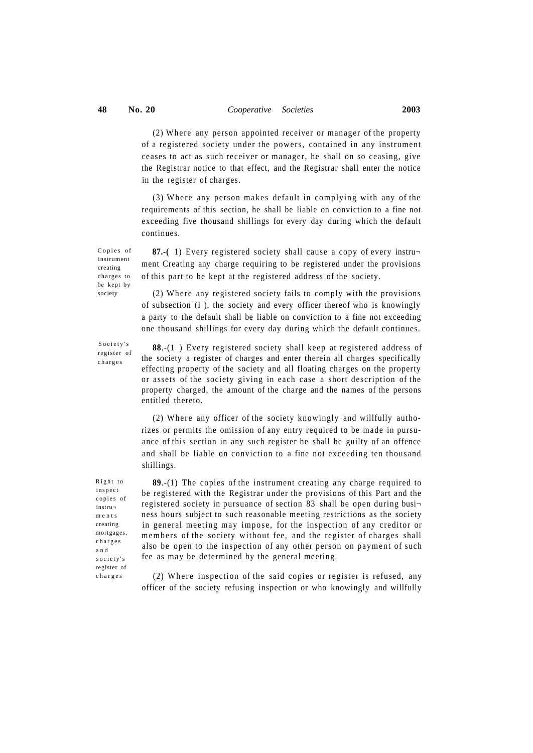$(2)$  Where any person appointed receiver or manager of the property of a registered society under the powers, contained in any instrument ceases to act as such receiver or manager, he shall on so ceasing, give the Registrar notice to that effect, and the Registrar shall enter the notice in the register of charges.

 $(3)$  Where any person makes default in complying with any of the requirements of this section, he shall be liable on conviction to a fine not exceeding five thousand shillings for every day during which the default continues.

Copies of instrument creating charges to be kept by society

**87.-(** 1) Every registered society shall cause a copy of every instru ment Creating any charge requiring to be registered under the provisions of this part to be kept at the registered address of the society.

 $(2)$  Where any registered society fails to comply with the provisions of subsection (I ), the society and every officer thereof who is knowingly a party to the default shall be liable on conviction to a fine not exceeding one thousand shillings for every day during which the default continues.

Society's register of charge s

**88**.-(1 ) Every registered society shall keep at registered address of the society a register of charges and enter therein all charges specifically effecting property of the society and all floating charges on the property or assets of the society giving in each case a short description of the property charged, the amount of the charge and the names of the persons entitled thereto.

(2) Where any officer of the society knowingly and willfully authorizes or permits the omission of any entry required to be made in pursuance of this section in any such register he shall be guilty of an offence and shall be liable on conviction to a fine not exceeding ten thousand shillings.

Right to inspect copies of instru ment s creating mortgages, charge s a n d society's register of charge s

**89**.-(1) The copies of the instrument creating any charge required to be registered with the Registrar under the provisions of this Part and the registered society in pursuance of section 83 shall be open during business hours subject to such reasonable meeting restrictions as the society in general meeting may impose, for the inspection of any creditor or members of the society without fee, and the register of charges shall also be open to the inspection of any other person on payment of such fee as may be determined by the general meeting.

 $(2)$  Where inspection of the said copies or register is refused, any officer of the society refusing inspection or who knowingly and willfully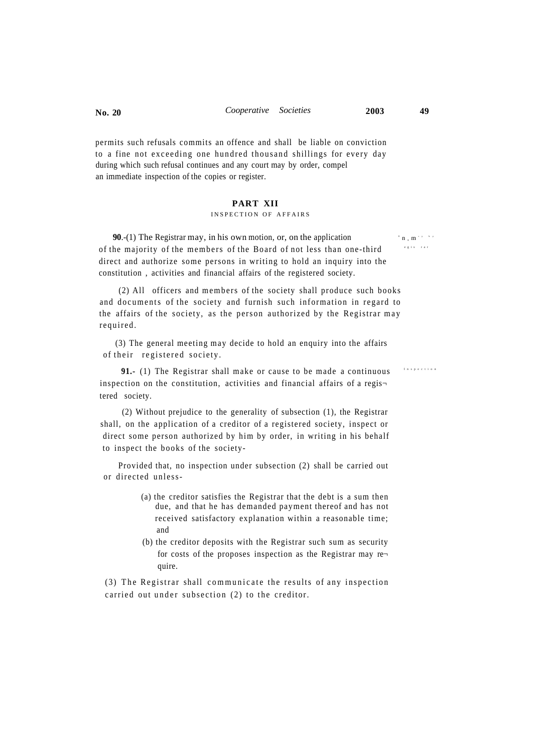permits such refusals commits an offence and shall be liable on conviction to a fine not exceeding one hundred thousand shillings for every day during which such refusal continues and any court may by order, compel an immediate inspection of the copies or register.

## **PART XII**

### INSPECTION OF AFFAIRS

**90**.-(1) The Registrar may, in his own motion, or, on the application of the majority of the members of the Board of not less than one-third direct and authorize some persons in writing to hold an inquiry into the constitution , activities and financial affairs of the registered society.

(2) All officers and members of the society shall produce such books and documents of the society and furnish such information in regard to the affairs of the society, as the person authorized by the Registrar may required .

(3) The general meeting may decide to hold an enquiry into the affairs of their registered society.

**91.-** (1) The Registrar shall make or cause to be made a continuous inspection on the constitution, activities and financial affairs of a regis $\neg$ tered society.

(2) Without prejudice to the generality of subsection (1), the Registrar shall, on the application of a creditor of a registered society, inspect or direct some person authorized by him by order, in writing in his behalf to inspect the books of the society-

Provided that, no inspection under subsection (2) shall be carried out or directed unless-

- (a) the creditor satisfies the Registrar that the debt is a sum then due, and that he has demanded payment thereof and has not received satisfactory explanation within a reasonable time; and
- (b) the creditor deposits with the Registrar such sum as security for costs of the proposes inspection as the Registrar may re $\neg$ quire.

(3) The Registrar shall communicate the results of any inspection carried out under subsection  $(2)$  to the creditor.

 $\mathbb{E} \left[ \mathbf{n} \right]_{\mathbf{z}} \mathbf{m}^{(r)}$ egis rar

Inspectio n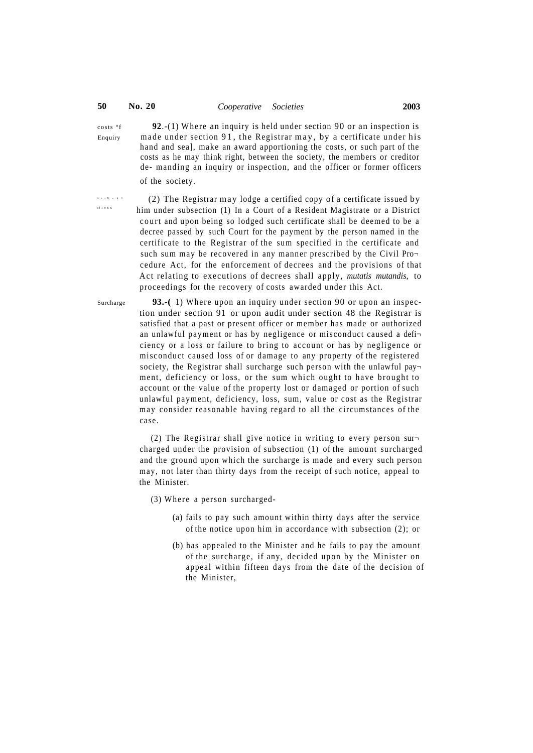costs °f **92**.-(1) Wher e an inquiry is held under section 90 or an inspection is Enquiry made under section  $91$ , the Registrar may, by a certificate under his hand and sea], make an award apportioning the costs, or such part of the costs as he may think right, between the society, the members or creditor de- manding an inquiry or inspection, and the officer or former officers of the society.

A c t No4 9 o f 196 6

 (2) The Registrar may lodge a certified copy of a certificate issued by him under subsection (1) In a Court of a Resident Magistrate or a District court and upon being so lodged such certificate shall be deemed to be a decree passed by such Court for the payment by the person named in the certificate to the Registrar of the sum specified in the certificate and such sum may be recovered in any manner prescribed by the Civil Procedure Act, for the enforcement of decrees and the provisions of that Act relating to executions of decrees shall apply, *mutatis mutandis*, to proceedings for the recovery of costs awarded under this Act.

Surcharge **93.-**(1) Where upon an inquiry under section 90 or upon an inspection under section 91 or upon audit under section 48 the Registrar is satisfied that a past or present officer or member has made or authorized an unlawful payment or has by negligence or misconduct caused a defi ciency or a loss or failure to bring to account or has by negligence or misconduct caused loss of or damage to any property of the registered society, the Registrar shall surcharge such person with the unlawful payment, deficiency or loss, or the sum which ought to have brought to account or the value of the property lost or damaged or portion of such unlawful payment, deficiency, loss, sum, value or cost as the Registrar m ay consider reasonable having regard to all the circumstances of the case.

> (2) The Registrar shall give notice in writing to every person surcharged under the provision of subsection (1) of the amount surcharged and the ground upon which the surcharge is made and every such person may, not later than thirty days from the receipt of such notice, appeal to the Minister.

 $(3)$  Where a person surcharged-

- (a) fails to pay such amount within thirty days after the service of the notice upon him in accordance with subsection (2); or
- (b) has appealed to the Minister and he fails to pay the amount of the surcharge, if any, decided upon by the Minister on appeal within fifteen days from the date of the decision of the Minister,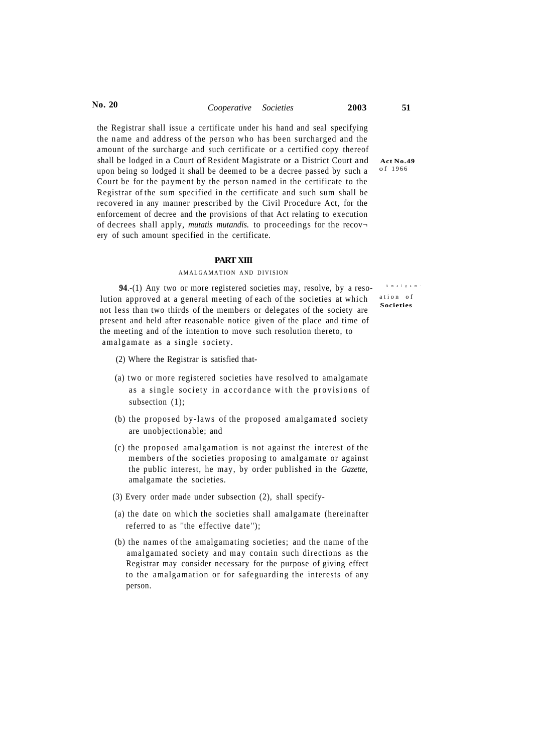**No. 20** *Cooperative Societies* **2003 51** 

the Registrar shall issue a certificate under his hand and seal specifying the name and address of the person who has been surcharged and the amount of the surcharge and such certificate or a certified copy thereof shall be lodged in a Court of Resident Magistrate or a District Court and Act No.49 upon being so lodged it shall be deemed to be a decree passed by such a Court be for the payment by the person named in the certificate to the Registrar of the sum specified in the certificate and such sum shall be recovered in any manner prescribed by the Civil Procedure Act, for the enforcement of decree and the provisions of that Act relating to execution of decrees shall apply, *mutatis mutandis.* to proceedings for the recov ery of such amount specified in the certificate.

#### **PART XIII**

### AMALGAMATION AND DIVISION

**94.**-(1) Any two or more registered societies may, resolve, by a resolution approved at a general meeting of each of the societies at which not less than two thirds of the members or delegates of the society are present and held after reasonable notice given of the place and time of the meeting and of the intention to move such resolution thereto, to amalgamate as a single society.

- (2) Where the Registrar is satisfied that-
- (a) two or more registered societies have resolved to amalgamate as a single society in accordance with the provisions of subsection  $(1)$ ;
- (b) the proposed by-laws of the proposed amalgamated society are unobjectionable; and
- (c) the proposed amalgamation is not against the interest of the members of the societies proposing to amalgamate or against the public interest, he may, by order published in the *Gazette,*  amalgamate the societies.
- (3) Every order made under subsection (2), shall specify-
- (a) the date on which the societies shall amalgamate (hereinafter referred to as ''the effective date'');
- (b) the names of the amalgamating societies; and the name of the amalgamated society and may contain such directions as the Registrar may consider necessary for the purpose of giving effect to the amalgamation or for safeguarding the interests of any person.

o f 196 6

Amalgam  $\bar{A}$ ation of **Societies**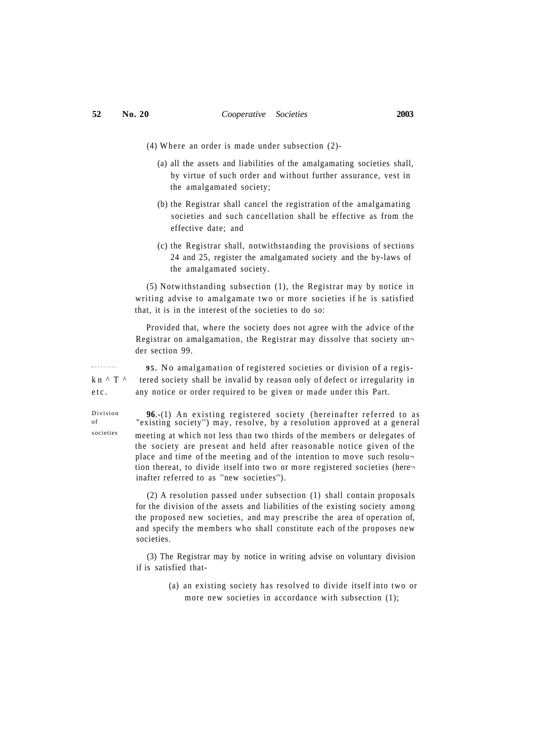- (4) Where an order is made under subsection  $(2)$ -
	- (a) all the assets and liabilities of the amalgamating societies shall, by virtue of such order and without further assurance, vest in the amalgamated society;
	- (b) the Registrar shall cancel the registration of the amalgamating societies and such cancellation shall be effective as from the effective date; and
	- (c) the Registrar shall, notwithstanding the provisions of sections 24 and 25, register the amalgamated society and the by-laws of the amalgamated society.

(5) Notwithstanding subsection (1), the Registrar may by notice in writing advise to amalgamate two or more societies if he is satisfied that, it is in the interest of the societies to do so:

Provided that, where the society does not agree with the advice of the Registrar on amalgamation, the Registrar may dissolve that society un der section 99.

 **95 .** No amalgamation of registered societies or division of a regisk n $\wedge$  T  $\wedge$  tered society shall be invalid by reason only of defect or irregularity in etc. any notice or order required to be given or made under this Part.

> **96.**-(1) An existing registered society (hereinafter referred to as "existing society") may, resolve, by a resolution approved at a general meeting at which not less than two thirds of the members or delegates of the society are present and held after reasonable notice given of the place and time of the meeting and of the intention to move such resolu tion thereat, to divide itself into two or more registered societies (here inafter referred to as ''new societies'').

> (2) A resolution passed under subsection (1) shall contain proposals for the division of the assets and liabilities of the existing society among the proposed new societies, and may prescribe the area of operation of, and specify the members who shall constitute each of the proposes new societies.

> (3) The Registrar may by notice in writing advise on voluntary division if is satisfied that-

> > (a) an existing society has resolved to divide itself into two or more new societies in accordance with subsection (1);

Defect s o r

Division of societies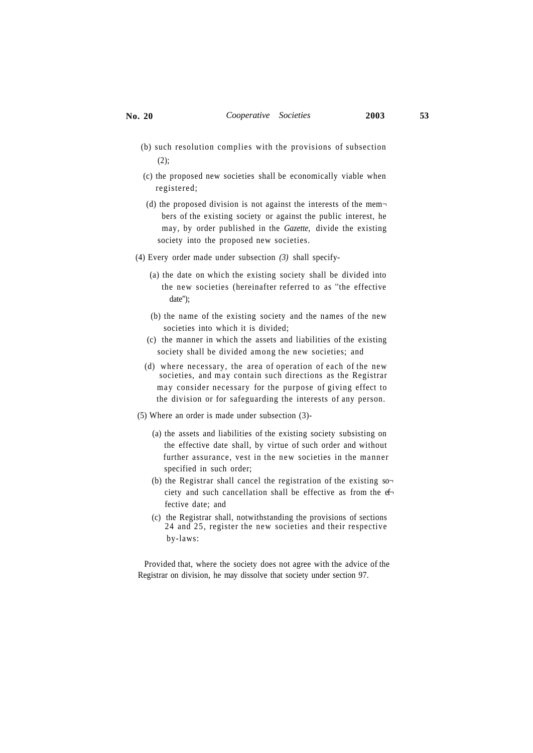- (b) such resolution complies with the provisions of subsection (2);
- (c) the proposed new societies shall be economically viable when registered;
- (d) the proposed division is not against the interests of the members of the existing society or against the public interest, he may, by order published in the *Gazette,* divide the existing society into the proposed new societies.
- (4) Every order made under subsection *(3)* shall specify-
	- (a) the date on which the existing society shall be divided into the new societies (hereinafter referred to as ''the effective date'');
	- (b) the name of the existing society and the names of the new societies into which it is divided;
	- (c) the manner in which the assets and liabilities of the existing society shall be divided among the new societies; and
	- (d) where necessary, the area of operation of each of the new societies, and may contain such directions as the Registrar may consider necessary for the purpose of giving effect to the division or for safeguarding the interests of any person.
- (5) Where an order is made under subsection (3)-
	- (a) the assets and liabilities of the existing society subsisting on the effective date shall, by virtue of such order and without further assurance, vest in the new societies in the manner specified in such order;
	- (b) the Registrar shall cancel the registration of the existing society and such cancellation shall be effective as from the ef fective date; and
	- (c) the Registrar shall, notwithstanding the provisions of sections 24 and 25, register the new societies and their respective by-laws:

Provided that, where the society does not agree with the advice of the Registrar on division, he may dissolve that society under section 97.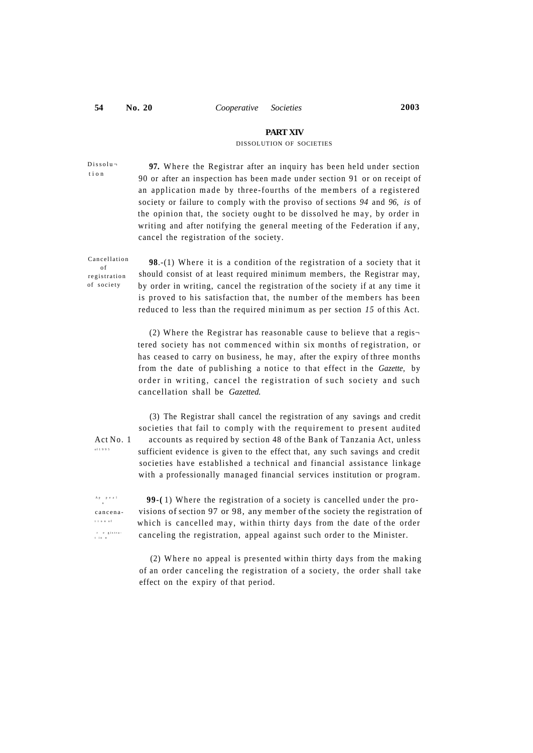### **PART XIV**

#### DISSOLUTION OF SOCIETIES

Dissolu tio n

97. Where the Registrar after an inquiry has been held under section 90 or after an inspection has been made under section 91 or on receipt of an application made by three-fourths of the members of a registered society or failure to comply with the proviso of sections *94* and *96, is* of the opinion that, the society ought to be dissolved he may, by order in writing and after notifying the general meeting of the Federation if any, cancel the registration of the society.

Cancellation o f registration of societ y

**98.**-(1) Where it is a condition of the registration of a society that it should consist of at least required minimum members, the Registrar may, by order in writing, cancel the registration of the society if at any time it is proved to his satisfaction that, the number of the members has been reduced to less than the required minimum as per section *15* of this Act.

(2) Where the Registrar has reasonable cause to believe that a registered society has not commenced within six months of registration, or has ceased to carry on business, he may, after the expiry of three months from the date of publishing a notice to that effect in the *Gazette,* by order in writing, cancel the registration of such society and such cancellation shall be *Gazetted.* 

o f 199 5

(3) The Registrar shall cancel the registration of any savings and credit societies that fail to comply with the requirement to present audited Act No. 1 accounts as required by section 48 of the Bank of Tanzania Act, unless sufficient evidence is given to the effect that, any such savings and credit societies have established a technical and financial assistance linkage with a professionally managed financial services institution or program.

A p n tio n o f r e gistra-<br>tion

99-(1) Where the registration of a society is cancelled under the procancena - visions of section 97 or 98, any member of the society the registration of which is cancelled may, within thirty days from the date of the order canceling the registration, appeal against such order to the Minister.

> $(2)$  Where no appeal is presented within thirty days from the making of an order canceling the registration of a society, the order shall take effect on the expiry of that period.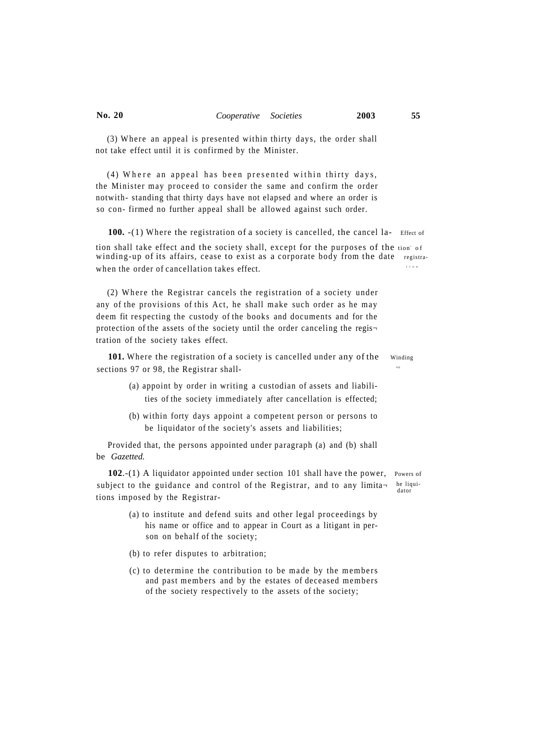(3) Where an appeal is presented within thirty days, the order shall not take effect until it is confirmed by the Minister.

(4) Where an appeal has been presented within thirty days, the Minister may proceed to consider the same and confirm the order notwith- standing that thirty days have not elapsed and where an order is so con- firmed no further appeal shall be allowed against such order.

**100.** -(1) Where the registration of a society is cancelled, the cancel la- Effect of tion shall take effect and the society shall, except for the purposes of the tion of winding-up of its affairs, cease to exist as a corporate body from the date registrawhen the order of cancellation takes effect. tio n

(2) Where the Registrar cancels the registration of a society under any of the provisions of this Act, he shall make such order as he may deem fit respecting the custody of the books and documents and for the protection of the assets of the society until the order canceling the regis $\neg$ tration of the society takes effect.

101. Where the registration of a society is cancelled under any of the Winding sections 97 or 98, the Registrar shall u poznata u poznata u poznata u poznata u poznata u poznata u poznata u poznata u poznata u poznata u poznata

- (a) appoint by order in writing a custodian of assets and liabilities of the society immediately after cancellation is effected;
- (b) within forty days appoint a competent person or persons to be liquidator of the society's assets and liabilities;

Provided that, the persons appointed under paragraph (a) and (b) shall be *Gazetted.* 

**102.**-(1) A liquidator appointed under section 101 shall have the power, Powers of subject to the guidance and control of the Registrar, and to any limita- he liquitions imposed by the Registrar-

- (a) to institute and defend suits and other legal proceedings by his name or office and to appear in Court as a litigant in person on behalf of the society;
- (b) to refer disputes to arbitration;
- (c) to determine the contribution to be made by the members and past members and by the estates of deceased members of the society respectively to the assets of the society;

dator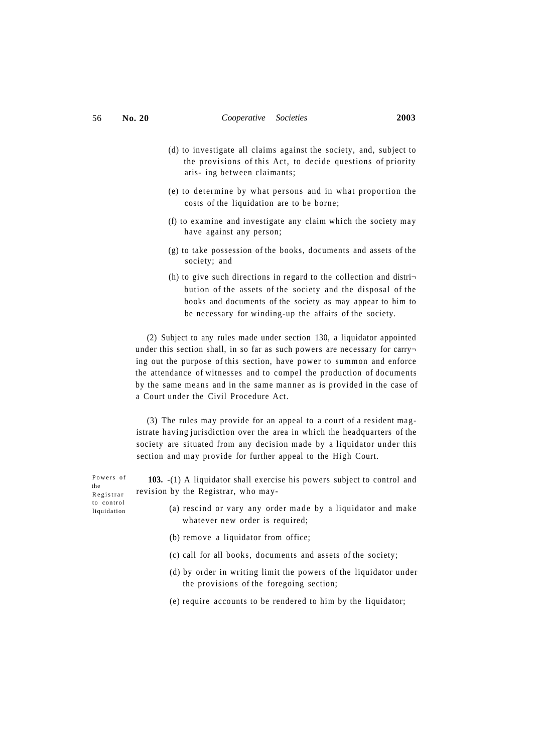- (d) to investigate all claims against the society, and, subject to the provisions of this Act, to decide questions of priority aris- ing between claimants;
- $(e)$  to determine by what persons and in what proportion the costs of the liquidation are to be borne;
- (f) to examine and investigate any claim which the society may have against any person;
- (g) to take possession of the books, documents and assets of the society; and
- (h) to give such directions in regard to the collection and distribution of the assets of the society and the disposal of the books and documents of the society as may appear to him to be necessary for winding-up the affairs of the society.

(2) Subject to any rules made under section 130, a liquidator appointed under this section shall, in so far as such powers are necessary for carry ing out the purpose of this section, have power to summon and enforce the attendance of witnesses and to compel the production of documents by the same means and in the same manner as is provided in the case of a Court under the Civil Procedure Act.

(3) The rules may provide for an appeal to a court of a resident magistrate having jurisdiction over the area in which the headquarters of the society are situated from any decision made by a liquidator under this section and may provide for further appeal to the High Court.

**103.** -(1) A liquidator shall exercise his powers subject to control and revision by the Registrar, who may-

- (a) rescind or vary any order made by a liquidator and make whatever new order is required;
- (b) remove a liquidator from office;
- (c) call for all books, documents and assets of the society;
- (d) by order in writing limit the powers of the liquidator under the provisions of the foregoing section;
- (e) require accounts to be rendered to him by the liquidator;

Powers of the Registra r to control liquidation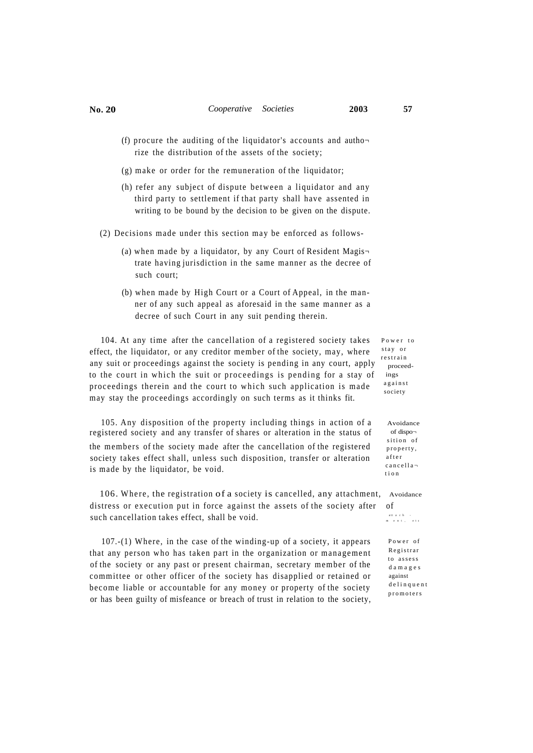- 
- (f) procure the auditing of the liquidator's accounts and authorize the distribution of the assets of the society;
- (g) make or order for the remuneration of the liquidator;
- (h) refer any subject of dispute between a liquidator and any third party to settlement if that party shall have assented in writing to be bound by the decision to be given on the dispute.
- (2) Decisions made under this section may be enforced as follows-
	- (a) when made by a liquidator, by any Court of Resident Magis $\neg$ trate having jurisdiction in the same manner as the decree of such court;
	- (b) when made by High Court or a Court of Appeal, in the manner of any such appeal as aforesaid in the same manner as a decree of such Court in any suit pending therein.

104. At any time after the cancellation of a registered society takes effect, the liquidator, or any creditor member of the society, may, where any suit or proceedings against the society is pending in any court, apply to the court in which the suit or proceedings is pending for a stay of proceedings therein and the court to which such application is made may stay the proceedings accordingly on such terms as it thinks fit.

105. Any disposition of the property including things in action of a registered society and any transfer of shares or alteration in the status of the members of the society made after the cancellation of the registered society takes effect shall, unless such disposition, transfer or alteration is made by the liquidator, be void.

106. Where, the registration of a society is cancelled, any attachment, Avoidance distress or execution put in force against the assets of the society after of such cancellation takes effect, shall be void.

 $107-(1)$  Where, in the case of the winding-up of a society, it appears that any person who has taken part in the organization or management of the society or any past or present chairman, secretary member of the committee or other officer of the society has disapplied or retained or become liable or accountable for any money or property of the society or has been guilty of misfeance or breach of trust in relation to the society, Power to stay or restrai n proceedings against society

> Avoidance of dispo sition of property , afte r cancella tio n

attach -<br>ent, etc

Power of Registrar to assess damage s against delinquent promoters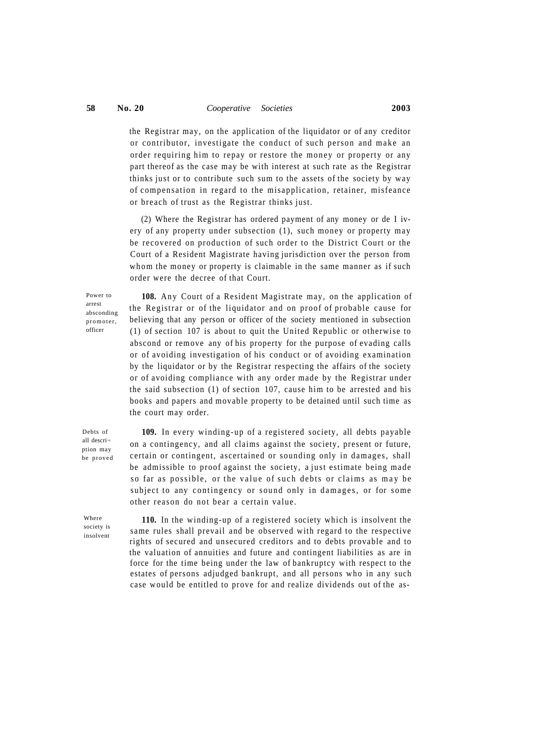the Registrar may, on the application of the liquidator or of any creditor or contributor, investigate the conduct of such person and make an order requiring him to repay or restore the money or property or any part thereof as the case may be with interest at such rate as the Registrar thinks just or to contribute such sum to the assets of the society by way of compensation in regard to the misapplication, retainer, misfeance or breach of trust as the Registrar thinks just.

(2) Where the Registrar has ordered payment of any money or de I ivery of any property under subsection (1), such money or property may be recovered on production of such order to the District Court or the Court of a Resident Magistrate having jurisdiction over the person from whom the money or property is claimable in the same manner as if such order were the decree of that Court.

Power to arrest absconding promoter, officer

**108.** Any Court of a Resident Magistrate may, on the application of the Registrar or of the liquidator and on proof of probable cause for believing that any person or officer of the society mentioned in subsection (1) of section 107 is about to quit the United Republic or otherwise to abscond or remove any of his property for the purpose of evading calls or of avoiding investigation of his conduct or of avoiding examination by the liquidator or by the Registrar respecting the affairs of the society or of avoiding compliance with any order made by the Registrar under the said subsection (1) of section 107, cause him to be arrested and his books and papers and movable property to be detained until such time as the court may order.

Debts of all descri ption may be proved

**109.** In every winding-up of a registered society, all debts payable on a contingency, and all claims against the society, present or future, certain or contingent, ascertained or sounding only in damages, shall be admissible to proof against the society, a just estimate being made so far as possible, or the value of such debts or claims as may be subject to any contingency or sound only in damages, or for some other reason do not bear a certain value .

Where society is insolvent

**110.** In the winding-up of a registered society which is insolvent the same rules shall prevail and be observed with regard to the respective rights of secured and unsecured creditors and to debts provable and to the valuation of annuities and future and contingent liabilities as are in force for the time being under the law of bankruptcy with respect to the estates of persons adjudged bankrupt, and all persons who in any such case would be entitled to prove for and realize dividends out of the as-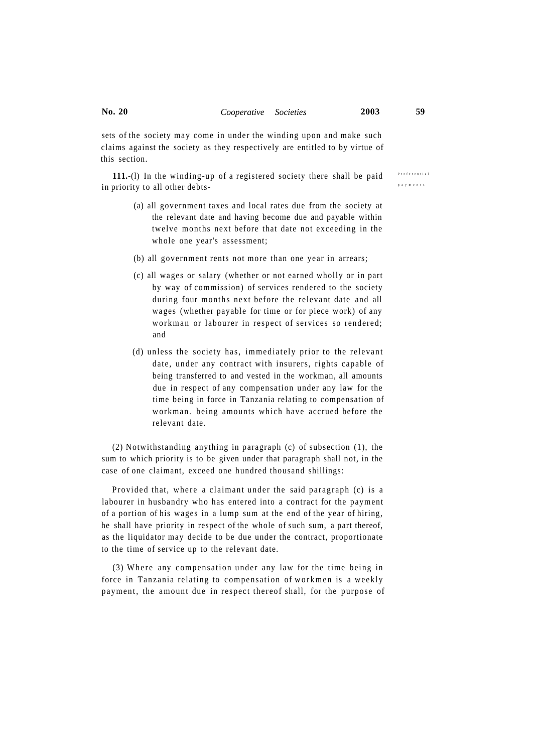sets of the society may come in under the winding upon and make such claims against the society as they respectively are entitled to by virtue of this section.

**111.**-(l) In the winding-up of a registered society there shall be paid in priority to all other debts payment s

- (a) all government taxes and local rates due from the society at the relevant date and having become due and payable within twelve months next before that date not exceeding in the whole one year's assessment;
- (b) all government rents not more than one year in arrears;
- (c) all wages or salary (whether or not earned wholly or in part by way of commission) of services rendered to the society during four months next before the relevant date and all wages (whether payable for time or for piece work) of any workman or labourer in respect of services so rendered; and
- (d) unless the society has, immediately prior to the relevant date, under any contract with insurers, rights capable of being transferred to and vested in the workman, all amounts due in respect of any compensation under any law for the time being in force in Tanzania relating to compensation of workman. being amounts which have accrued before the relevant date.

(2) Notwithstanding anything in paragraph (c) of subsection (1), the sum to which priority is to be given under that paragraph shall not, in the case of one claimant, exceed one hundred thousand shillings:

Provided that, where a claimant under the said paragraph (c) is a labourer in husbandry who has entered into a contract for the payment of a portion of his wages in a lump sum at the end of the year of hiring, he shall have priority in respect of the whole of such sum, a part thereof, as the liquidator may decide to be due under the contract, proportionate to the time of service up to the relevant date.

(3) Where any compensation under any law for the time being in force in Tanzania relating to compensation of workmen is a weekly payment, the amount due in respect thereof shall, for the purpose of Preferentia l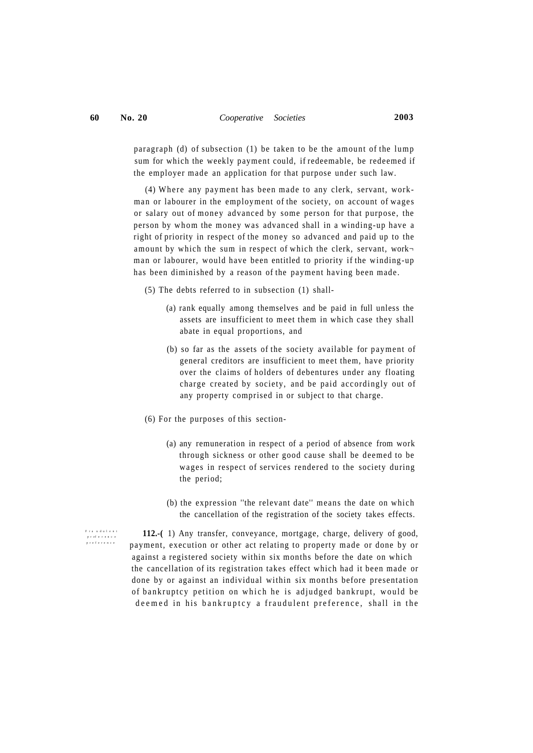paragraph (d) of subsection (1) be taken to be the amount of the lump sum for which the weekly payment could, if redeemable, be redeemed if the employer made an application for that purpose under such law.

(4) Where any payment has been made to any clerk, servant, workman or labourer in the employment of the society, on account of wages or salary out of money advanced by some person for that purpose, the person by whom the money was advanced shall in a winding-up have a right of priority in respect of the money so advanced and paid up to the amount by which the sum in respect of which the clerk, servant, work $\neg$ man or labourer, would have been entitled to priority if the winding-up has been diminished by a reason of the payment having been made.

(5) The debts referred to in subsection (1) shall-

- (a) rank equally among themselves and be paid in full unless the assets are insufficient to meet them in which case they shall abate in equal proportions, and
- (b) so far as the assets of the society available for payment of general creditors are insufficient to meet them, have priority over the claims of holders of debentures under any floating charge created by society, and be paid accordingly out of any property comprised in or subject to that charge.
- (6) For the purposes of this section-
	- (a) any remuneration in respect of a period of absence from work through sickness or other good cause shall be deemed to be wages in respect of services rendered to the society during the period;
	- (b) the expression ''the relevant date'' means the date on which the cancellation of the registration of the society takes effects.

 **112.-(** 1) Any transfer, conveyance, mortgage, charge, delivery of good, payment, execution or other act relating to property made or done by or against a registered society within six months before the date on which the cancellation of its registration takes effect which had it been made or done by or against an individual within six months before presentation of bankruptcy petition on which he is adjudged bankrupt, would be deemed in his bankruptcy a fraudulent preference, shall in the

Fra udulent preference<br>preference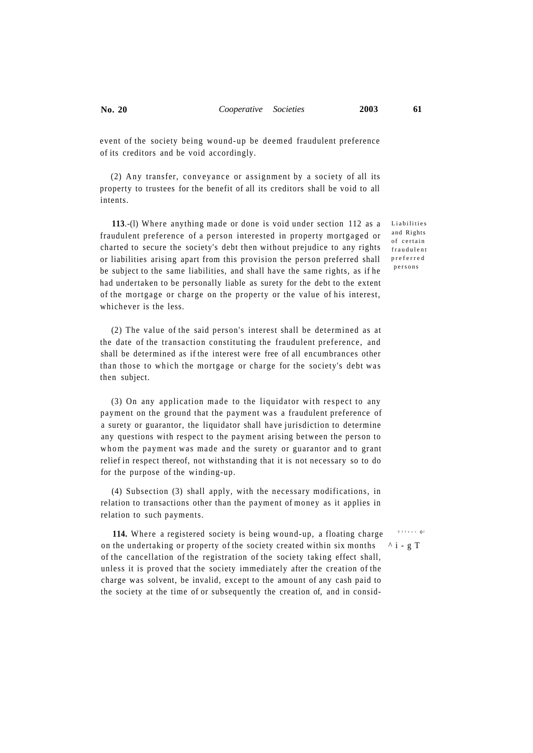event of the society being wound-up be deemed fraudulent preference of its creditors and be void accordingly.

(2) Any transfer, conveyance or assignment by a society of all its property to trustees for the benefit of all its creditors shall be void to all intents.

**113.**-(1) Where anything made or done is void under section 112 as a Liabilities fraudulent preference of a person interested in property mortgaged or charted to secure the society's debt then without prejudice to any rights or liabilities arising apart from this provision the person preferred shall be subject to the same liabilities, and shall have the same rights, as if he had undertaken to be personally liable as surety for the debt to the extent of the mortgage or charge on the property or the value of his interest, whichever is the less.

(2) The value of the said person's interest shall be determined as at the date of the transaction constituting the fraudulent preference, and shall be determined as if the interest were free of all encumbrances other than those to which the mortgage or charge for the society's debt was then subject.

 $(3)$  On any application made to the liquidator with respect to any payment on the ground that the payment was a fraudulent preference of a surety or guarantor, the liquidator shall have jurisdiction to determine any questions with respect to the payment arising between the person to whom the payment was made and the surety or guarantor and to grant relief in respect thereof, not withstanding that it is not necessary so to do for the purpose of the winding-up.

(4) Subsection (3) shall apply, with the necessary modifications, in relation to transactions other than the payment of money as it applies in relation to such payments.

**114.** Where a registered society is being wound-up, a floating charge on the undertaking or property of the society created within six months  $\wedge i-g$  T of the cancellation of the registration of the society taking effect shall, unless it is proved that the society immediately after the creation of the charge was solvent, be invalid, except to the amount of any cash paid to the society at the time of or subsequently the creation of, and in consid-

and Rights of certain fraudulent preferre d person s

Effect Of<br>,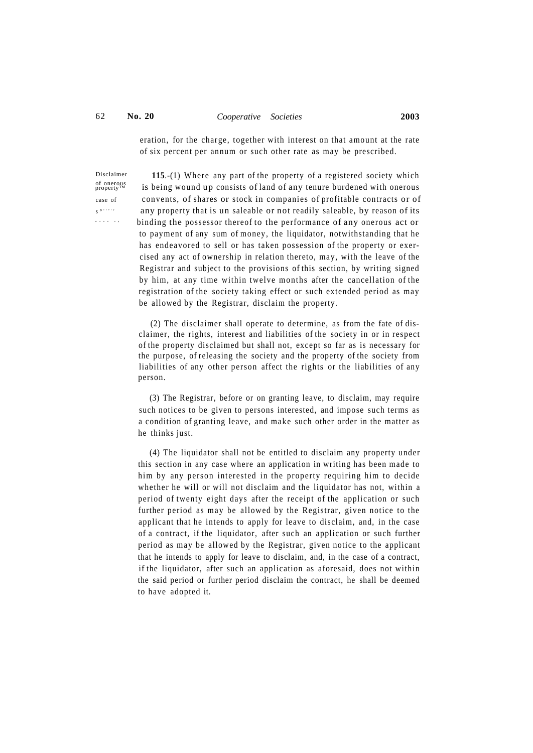## 62 **No. 20** *Cooperative Societies* **2003**

eration, for the charge, together with interest on that amount at the rate of six percent per annum or such other rate as may be prescribed.

Disclaimer of onerous<br>property<sup>TM</sup> s ° ciet <sup>y</sup> wou n u p

**115**.-(1) Where any part of the property of a registered society which is being wound up consists of land of any tenure burdened with onerous case of convents, of shares or stock in companies of profitable contracts or of any property that is un saleable or not readily saleable, by reason of its binding the possessor thereof to the performance of any onerous act or to payment of any sum of money, the liquidator, notwithstanding that he has endeavored to sell or has taken possession of the property or exercised any act of ownership in relation thereto, may, with the leave of the Registrar and subject to the provisions of this section, by writing signed by him, at any time within twelve months after the cancellation of the registration of the society taking effect or such extended period as may be allowed by the Registrar, disclaim the property.

> (2) The disclaimer shall operate to determine, as from the fate of disclaimer, the rights, interest and liabilities of the society in or in respect of the property disclaimed but shall not, except so far as is necessary for the purpose, of releasing the society and the property of the society from liabilities of any other person affect the rights or the liabilities of any person.

> (3) The Registrar, before or on granting leave, to disclaim, may require such notices to be given to persons interested, and impose such terms as a condition of granting leave, and make such other order in the matter as he thinks just.

> (4) The liquidator shall not be entitled to disclaim any property under this section in any case where an application in writing has been made to him by any person interested in the property requiring him to decide whether he will or will not disclaim and the liquidator has not, within a period of twenty eight days after the receipt of the application or such further period as may be allowed by the Registrar, given notice to the applicant that he intends to apply for leave to disclaim, and, in the case of a contract, if the liquidator, after such an application or such further period as may be allowed by the Registrar, given notice to the applicant that he intends to apply for leave to disclaim, and, in the case of a contract, if the liquidator, after such an application as aforesaid, does not within the said period or further period disclaim the contract, he shall be deemed to have adopted it.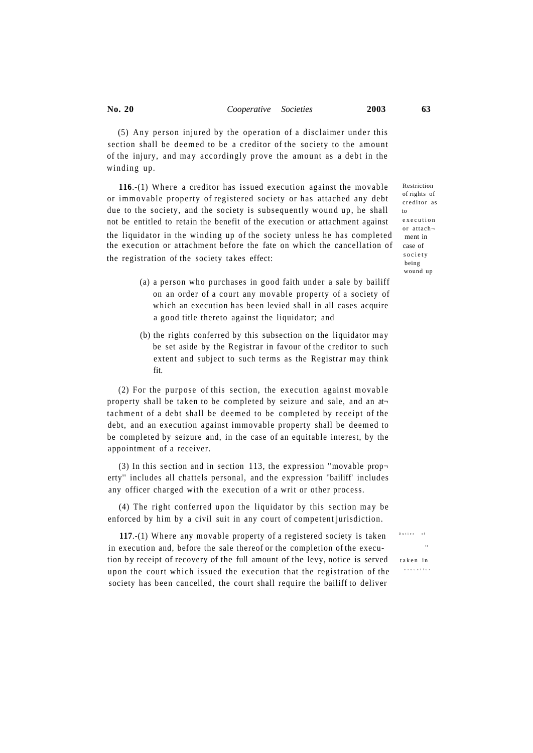$(5)$  Any person injured by the operation of a disclaimer under this section shall be deemed to be a creditor of the society to the amount of the injury, and may accordingly prove the amount as a debt in the winding up.

116.-(1) Where a creditor has issued execution against the movable or immovable property of registered society or has attached any debt due to the society, and the society is subsequently wound up, he shall not be entitled to retain the benefit of the execution or attachment against the liquidator in the winding up of the society unless he has completed the execution or attachment before the fate on which the cancellation of the registration of the society takes effect:

- (a) a person who purchases in good faith under a sale by bailiff on an order of a court any movable property of a society of which an execution has been levied shall in all cases acquire a good title thereto against the liquidator; and
- (b) the rights conferred by this subsection on the liquidator may be set aside by the Registrar in favour of the creditor to such extent and subject to such terms as the Registrar may think fit.

 $(2)$  For the purpose of this section, the execution against movable property shall be taken to be completed by seizure and sale, and an at tachment of a debt shall be deemed to be completed by receipt of the debt, and an execution against immovable property shall be deemed to be completed by seizure and, in the case of an equitable interest, by the appointment of a receiver.

(3) In this section and in section 113, the expression "movable property'' includes all chattels personal, and the expression ''bailiff' includes any officer charged with the execution of a writ or other process.

(4) The right conferred upon the liquidator by this section may be enforced by him by a civil suit in any court of competent jurisdiction.

117.-(1) Where any movable property of a registered society is taken in execution and, before the sale thereof or the completion of the execu tion by receipt of recovery of the full amount of the levy, notice is served taken in upon the court which issued the execution that the registration of the society has been cancelled, the court shall require the bailiff to deliver

Restriction of rights of creditor as to executio n or attach ment in case of societ y being wound up

 Dutie s o f  $\overline{t}$ 

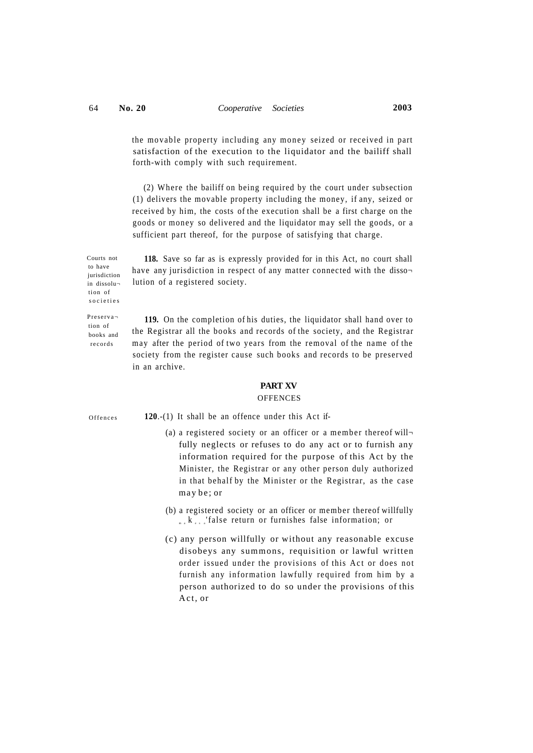the movable property including any money seized or received in part satisfaction of the execution to the liquidator and the bailiff shall forth-with comply with such requirement.

(2) Where the bailiff on being required by the court under subsection (1) delivers the movable property including the money, if any, seized or received by him, the costs of the execution shall be a first charge on the goods or money so delivered and the liquidator may sell the goods, or a sufficient part thereof, for the purpose of satisfying that charge.

Courts not to have iurisdiction in dissolu tion of societie s

**118.** Save so far as is expressly provided for in this Act, no court shall have any jurisdiction in respect of any matter connected with the dissolution of a registered society.

Preserva tion of books and records

**119.** On the completion of his duties, the liquidator shall hand over to the Registrar all the books and records of the society, and the Registrar may after the period of two years from the removal of the name of the society from the register cause such books and records to be preserved in an archive.

## **PART XV**

#### **OFFENCES**

**Offences** 

- **120**.-(1) It shall be an offence under this Act if-
	- (a) a registered society or an officer or a member thereof willfully neglects or refuses to do any act or to furnish any information required for the purpose of this Act by the Minister, the Registrar or any other person duly authorized in that behalf by the Minister or the Registrar, as the case may be ; or
	- (b) a registered society or an officer or member thereof willfully  $_{m,k}$  k  $_{s,s}$  'false return or furnishes false information; or
	- (c) any person willfully or without any reasonable excuse disobeys any summons, requisition or lawful written order issued under the provisions of this Act or does not furnish any information lawfully required from him by a person authorized to do so under the provisions of this Act, or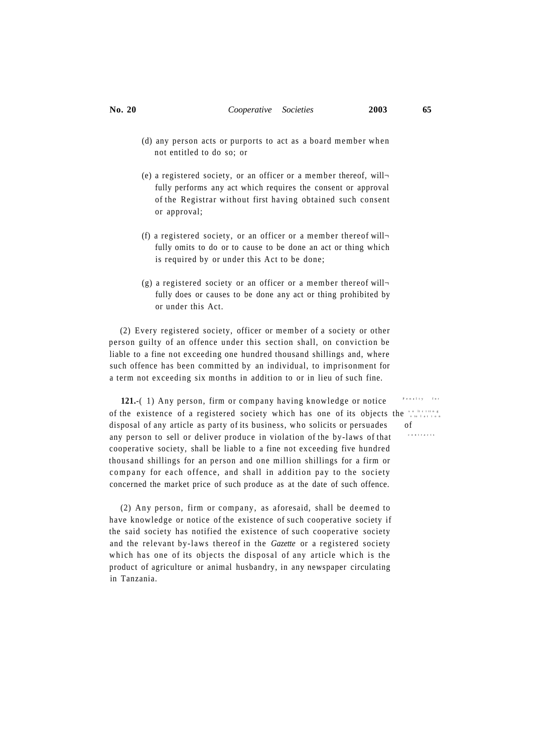- (d) any person acts or purports to act as a board member when not entitled to do so; or
- (e) a registered society, or an officer or a member thereof, will $\neg$ fully performs any act which requires the consent or approval of the Registrar without first having obtained such consent or approval;
- (f) a registered society, or an officer or a member thereof willfully omits to do or to cause to be done an act or thing which is required by or under this Act to be done;
- (g) a registered society or an officer or a member thereof willfully does or causes to be done any act or thing prohibited by or under this Act.

(2) Every registered society, officer or member of a society or other person guilty of an offence under this section shall, on conviction be liable to a fine not exceeding one hundred thousand shillings and, where such offence has been committed by an individual, to imprisonment for a term not exceeding six months in addition to or in lieu of such fine.

**121.**-( 1) Any person, firm or company having knowledge or notice of the existence of a registered society which has one of its objects the  $\frac{1}{2}$ disposal of any article as party of its business, who solicits or persuades of any person to sell or deliver produce in violation of the by-laws of that cooperative society, shall be liable to a fine not exceeding five hundred thousand shillings for an person and one million shillings for a firm or company for each offence, and shall in addition pay to the society concerned the market price of such produce as at the date of such offence.

(2) Any person, firm or company, as aforesaid, shall be deemed to have knowledge or notice of the existence of such cooperative society if the said society has notified the existence of such cooperative society and the relevant by-laws thereof in the *Gazette* or a registered society which has one of its objects the disposal of any article which is the product of agriculture or animal husbandry, in any newspaper circulating in Tanzania.

 Penalt y fo r contract s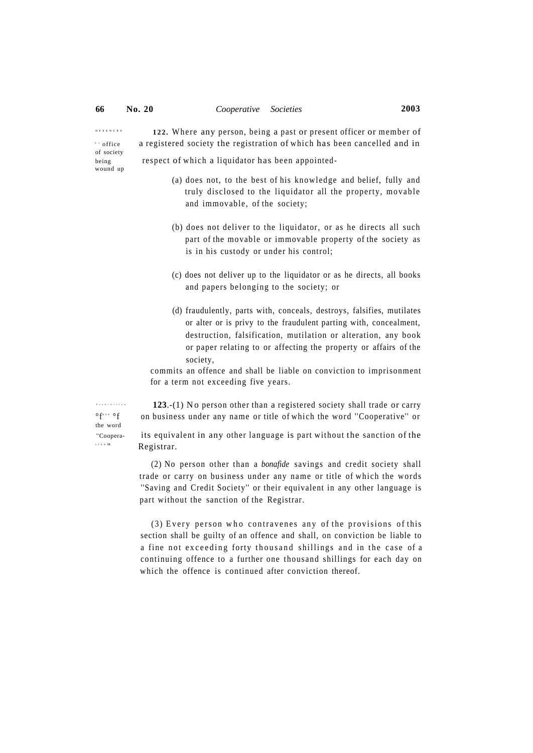**OFFENCE S**

 $\rightarrow$  office

wound up

122. Where any person, being a past or present officer or member of a registered society the registration of which has been cancelled and in of society

being respect of which a liquidator has been appointed-

- (a) does not, to the best of his knowledge and belief, fully and truly disclosed to the liquidator all the property, movable and immovable, of the society;
- (b) does not deliver to the liquidator, or as he directs all such part of the movable or immovable property of the society as is in his custody or under his control;
- (c) does not deliver up to the liquidator or as he directs, all books and papers belonging to the society; or
- (d) fraudulently, parts with, conceals, destroys, falsifies, mutilates or alter or is privy to the fraudulent parting with, concealment, destruction, falsification, mutilation or alteration, any book or paper relating to or affecting the property or affairs of the society,

commits an offence and shall be liable on conviction to imprisonment for a term not exceeding five years.

 $^{\circ}f$ " se the word

Prohibitio n

 **123**.-(1) No person other than a registered society shall trade or carry °f on business under any name or title of which the word ''Cooperative'' or

"Coopera- its equivalent in any other language is part without the sanction of the Registrar.

> (2) No person other than a *bonafide* savings and credit society shall trade or carry on business under any name or title of which the words ''Saving and Credit Society'' or their equivalent in any other language is part without the sanction of the Registrar.

> $(3)$  Every person who contravenes any of the provisions of this section shall be guilty of an offence and shall, on conviction be liable to a fine not exceeding forty thousand shillings and in the case of a continuing offence to a further one thousand shillings for each day on which the offence is continued after conviction thereof.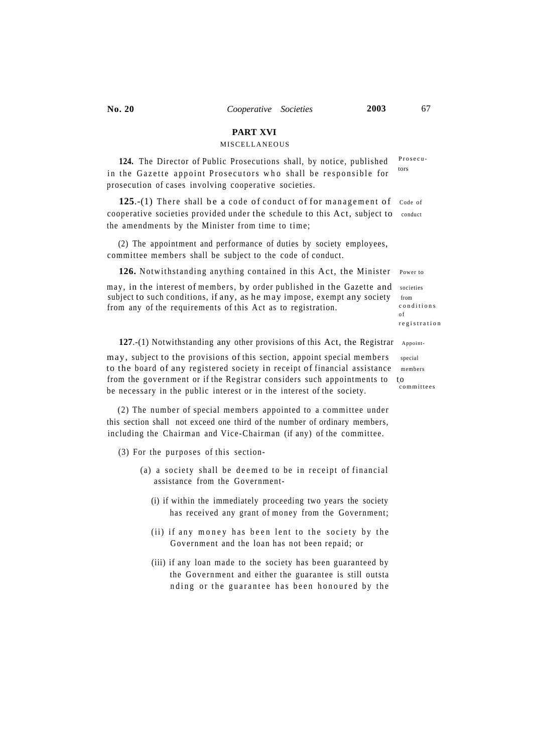# **PART XVI**

# MISCELLANEOUS

Prosecu tors **124.** The Director of Public Prosecutions shall, by notice, published in the Gazette appoint Prosecutors who shall be responsible for prosecution of cases involving cooperative societies.

**125.-(1)** There shall be a code of conduct of for management of Code of cooperative societies provided under the schedule to this Act, subject to conduct the amendments by the Minister from time to time ;

(2) The appointment and performance of duties by society employees, committee members shall be subject to the code of conduct.

**126.** Notwithstanding anything contained in this Act, the Minister Power to

may, in the interest of members, by order published in the Gazette and societies subject to such conditions, if any, as he may impose, exempt any society from from any of the requirements of this Act as to registration.

**127.**-(1) Notwithstanding any other provisions of this Act, the Registrar Appoint-

may, subject to the provisions of this section, appoint special members special to the board of any registered society in receipt of financial assistance members from the government or if the Registrar considers such appointments to to be necessary in the public interest or in the interest of the society.

(2) The number of special members appointed to a committee under this section shall not exceed one third of the number of ordinary members, including the Chairman and Vice-Chairman (if any) of the committee.

- $(3)$  For the purposes of this section-
	- (a) a society shall be deemed to be in receipt of financial assistance from the Government-
		- (i) if within the immediately proceeding two years the society has received any grant of money from the Government;
		- (ii) if any money has been lent to the society by the Government and the loan has not been repaid; or
		- (iii) if any loan made to the society has been guaranteed by the Government and either the guarantee is still outsta nding or the guarantee has been honoured by the

registratio n

condition s o f

committees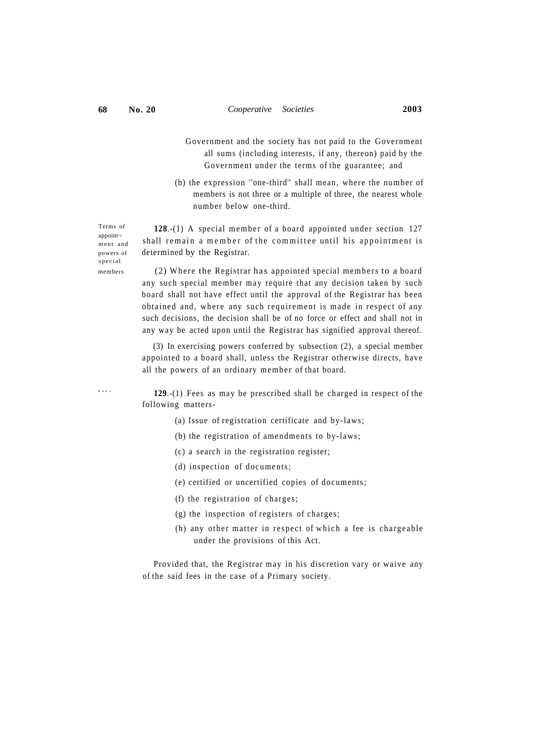Terms of appoint ment and

specia l

**Fee s**

- Government and the society has not paid to the Government all sums (including interests, if any, thereon) paid by the Government under the terms of the guarantee; and
- (b) the expression "one-third" shall mean, where the number of members is not three or a multiple of three, the nearest whole number below one-third.

128.-(1) A special member of a board appointed under section 127 shall remain a member of the committee until his appointment is powers of determined by the Registrar.

members (2) Where the Registrar has appointed special members to a board any such special member may require that any decision taken by such board shall not have effect until the approval of the Registrar has been obtained and, where any such requirement is made in respect of any such decisions, the decision shall be of no force or effect and shall not in any way be acted upon until the Registrar has signified approval thereof.

> (3) In exercising powers conferred by subsection (2), a special member appointed to a board shall, unless the Registrar otherwise directs, have all the powers of an ordinary member of that board.

> **129**.-(1) Fees as may be prescribed shall be charged in respect of the following matters-

- (a) Issue of registration certificate and by-laws;
- (b) the registration of amendments to by-laws;
- (c) a search in the registration register;
- (d) inspection of documents;
- (e) certified or uncertified copies of documents;
- (f) the registration of charges;
- (g) the inspection of registers of charges;
- (h) any other matter in respect of which a fee is chargeable under the provisions of this Act.

Provided that, the Registrar may in his discretion vary or waive any of the said fees in the case of a Primary society.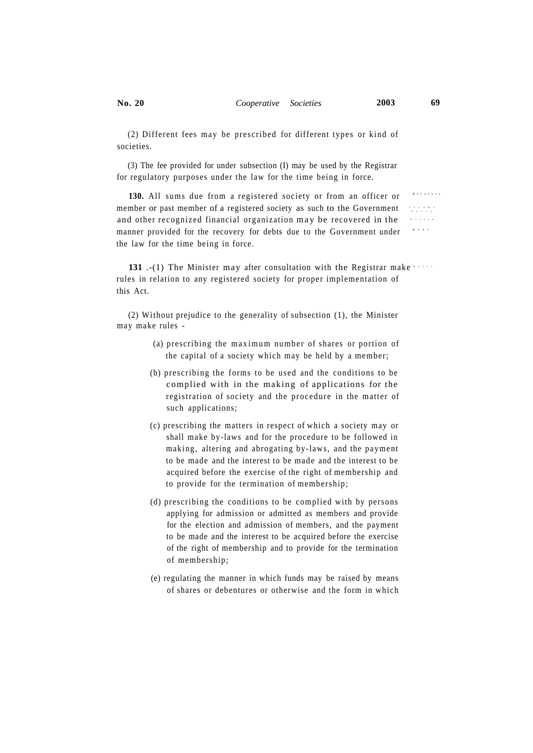Recover y

Govern -

(2) Different fees may be prescribed for different types or kind of societies.

(3) The fee provided for under subsection (I) may be used by the Registrar for regulatory purposes under the law for the time being in force.

**130.** All sums due from a registered society or from an officer or member or past member of a registered society as such to the Government d a to and other recognized financial organization ma y be recovered in the manner provided for the recovery for debts due to the Government under men t the law for the time being in force.

**131** .-(1) The Minister may after consultation with the Registrar make served rules in relation to any registered society for proper implementation of this Act.

(2) Without prejudice to the generality of subsection (1), the Minister may make rules -

- (a) prescribing the maximum number of shares or portion of the capital of a society which may be held by a member;
- (b) prescribing the forms to be used and the conditions to be complied with in the making of applications for the registration of society and the procedure in the matter of such applications;
- (c) prescribing the matters in respect of which a society may or shall make by-laws and for the procedure to be followed in making, altering and abrogating by-laws, and the payment to be made and the interest to be made and the interest to be acquired before the exercise of the right of membership and to provide for the termination of membership;
- (d) prescribing the conditions to be complied with by persons applying for admission or admitted as members and provide for the election and admission of members, and the payment to be made and the interest to be acquired before the exercise of the right of membership and to provide for the termination of membership;
- (e) regulating the manner in which funds may be raised by means of shares or debentures or otherwise and the form in which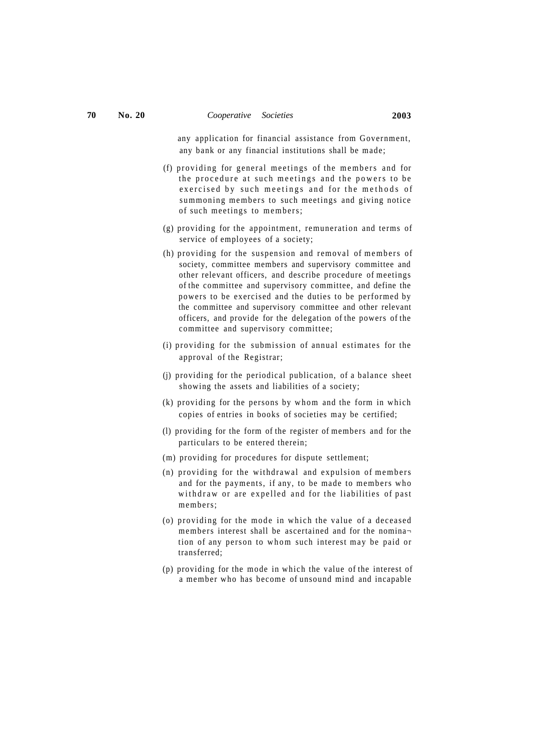any application for financial assistance from Government, any bank or any financial institutions shall be made;

- (f) providing for general meetings of the members and for the procedure at such meetings and the powers to be exercised by such meetings and for the methods of summoning members to such meetings and giving notice of such meetings to members;
- (g) providing for the appointment, remuneration and terms of service of employees of a society;
- $(h)$  providing for the suspension and removal of members of society, committee members and supervisory committee and other relevant officers, and describe procedure of meetings of the committee and supervisory committee, and define the powers to be exercised and the duties to be performed by the committee and supervisory committee and other relevant officers, and provide for the delegation of the powers of the committee and supervisory committee;
- (i) providing for the submission of annual estimates for the approval of the Registrar;
- (j) providing for the periodical publication, of a balance sheet showing the assets and liabilities of a society;
- (k) providing for the persons by whom and the form in which copies of entries in books of societies may be certified;
- (l) providing for the form of the register of members and for the particulars to be entered therein;
- (m) providing for procedures for dispute settlement;
- (n) providing for the withdrawal and expulsion of members and for the payments, if any, to be made to members who withdraw or are expelled and for the liabilities of past members;
- (o) providing for the mode in which the value of a deceased members interest shall be ascertained and for the nomina tion of any person to whom such interest may be paid or transferred;
- (p) providing for the mode in which the value of the interest of a member who has become of unsound mind and incapable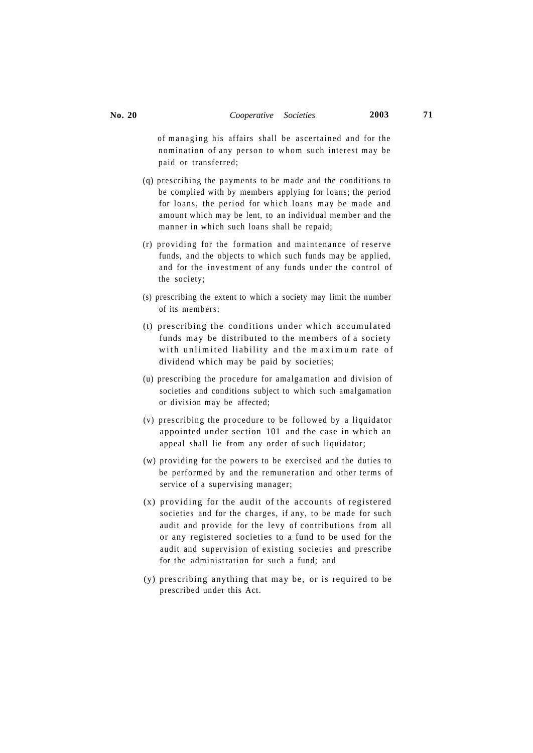of managing his affairs shall be ascertained and for the nomination of any person to whom such interest may be paid or transferred;

- (q) prescribing the payments to be made and the conditions to be complied with by members applying for loans; the period for loans, the period for which loans may be made and amount which may be lent, to an individual member and the manner in which such loans shall be repaid;
- (r) providing for the formation and maintenance of reserve funds, and the objects to which such funds may be applied, and for the investment of any funds under the control of the society;
- (s) prescribing the extent to which a society may limit the number of its members;
- (t) prescribing the conditions under which accumulated funds may be distributed to the members of a society with unlimited liability and the maximum rate of dividend which may be paid by societies;
- (u) prescribing the procedure for amalgamation and division of societies and conditions subject to which such amalgamation or division may be affected;
- (v) prescribing the procedure to be followed by a liquidator appointed under section 101 and the case in which an appeal shall lie from any order of such liquidator;
- (w) providing for the powers to be exercised and the duties to be performed by and the remuneration and other terms of service of a supervising manager;
- (x) providing for the audit of the accounts of registered societies and for the charges, if any, to be made for such audit and provide for the levy of contributions from all or any registered societies to a fund to be used for the audit and supervision of existing societies and prescribe for the administration for such a fund; and
- (y) prescribing anything that may be, or is required to be prescribed under this Act.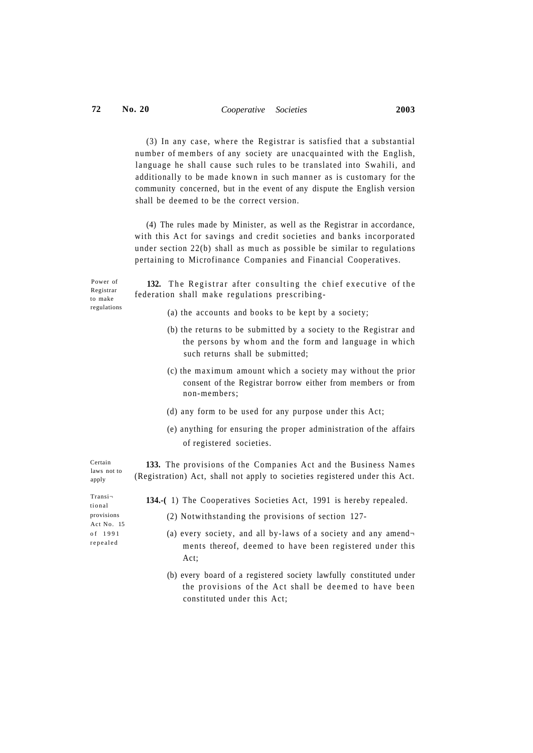$(3)$  In any case, where the Registrar is satisfied that a substantial number of members of any society are unacquainted with the English, language he shall cause such rules to be translated into Swahili, and additionally to be made known in such manner as is customary for the community concerned, but in the event of any dispute the English version shall be deemed to be the correct version.

(4) The rules made by Minister, as well as the Registrar in accordance, with this Act for savings and credit societies and banks incorporated under section 22(b) shall as much as possible be similar to regulations pertaining to Microfinance Companies and Financial Cooperatives.

Power of Registrar to make regulations

132. The Registrar after consulting the chief executive of the federation shall make regulations prescribing-

- (a) the accounts and books to be kept by a society;
- (b) the returns to be submitted by a society to the Registrar and the persons by whom and the form and language in which such returns shall be submitted;
- (c) the maximum amount which a society may without the prior consent of the Registrar borrow either from members or from non-members;
- (d) any form to be used for any purpose under this Act;
- (e) anything for ensuring the proper administration of the affairs of registered societies.

133. The provisions of the Companies Act and the Business Names (Registration) Act, shall not apply to societies registered under this Act.

**134.-(** 1) The Cooperatives Societies Act, 1991 is hereby repealed.

- (2) Notwithstanding the provisions of section 127-
- (a) every society, and all by-laws of a society and any amend $\neg$ ments thereof, deemed to have been registered under this Act;
- (b) every board of a registered society lawfully constituted under the provisions of the Act shall be deemed to have been constituted under this Act;

Transi tiona l provisions Act No. 15 o f 199 1 repeale d

Certain laws not to apply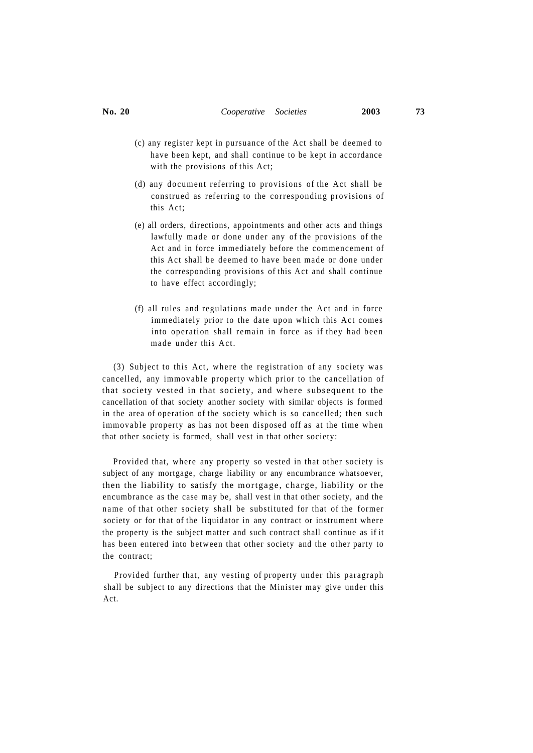- (c) any register kept in pursuance of the Act shall be deemed to have been kept, and shall continue to be kept in accordance with the provisions of this Act;
- (d) any document referring to provisions of the Act shall be construed as referring to the corresponding provisions of this Act;
- (e) all orders, directions, appointments and other acts and things lawfully made or done under any of the provisions of the Act and in force immediately before the commencement of this Act shall be deemed to have been made or done under the corresponding provisions of this Act and shall continue to have effect accordingly;
- $(f)$  all rules and regulations made under the Act and in force immediately prior to the date upon which this Act comes into operation shall remain in force as if they had been made under this Act.

(3) Subject to this Act, where the registration of any society was cancelled, any immovable property which prior to the cancellation of that society vested in that society, and where subsequent to the cancellation of that society another society with similar objects is formed in the area of operation of the society which is so cancelled; then such immovable property as has not been disposed off as at the time when that other society is formed, shall vest in that other society:

Provided that, where any property so vested in that other society is subject of any mortgage, charge liability or any encumbrance whatsoever, then the liability to satisfy the mortgage, charge, liability or the encumbrance as the case may be, shall vest in that other society, and the name of that other society shall be substituted for that of the former society or for that of the liquidator in any contract or instrument where the property is the subject matter and such contract shall continue as if it has been entered into between that other society and the other party to the contract;

Provided further that, any vesting of property under this paragraph shall be subject to any directions that the Minister may give under this Act.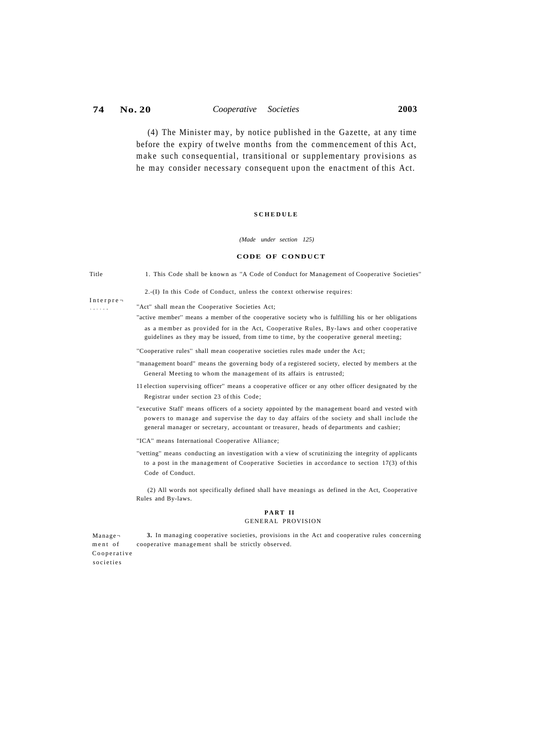(4) The Minister may, by notice published in the Gazette, at any time before the expiry of twelve months from the commencement of this Act, make such consequential, transitional or supplementary provisions as he may consider necessary consequent upon the enactment of this Act.

## **SCHEDUL E**

### *(Made under section 125)*

### **CODE OF CONDUCT**

Title 1. This Code shall be known as ''A Code of Conduct for Management of Cooperative Societies''

2.-(I) In this Code of Conduct, unless the context otherwise requires:

Interpre tatio n

"Act" shall mean the Cooperative Societies Act;

''active member'' means a member of the cooperative society who is fulfilling his or her obligations as a member as provided for in the Act, Cooperative Rules, By-laws and other cooperative guidelines as they may be issued, from time to time, by the cooperative general meeting;

''Cooperative rules'' shall mean cooperative societies rules made under the Act;

- ''management board'' means the governing body of a registered society, elected by members at the General Meeting to whom the management of its affairs is entrusted;
- 11 election supervising officer'' means a cooperative officer or any other officer designated by the Registrar under section 23 of this Code;
- ''executive Staff' means officers of a society appointed by the management board and vested with powers to manage and supervise the day to day affairs of the society and shall include the general manager or secretary, accountant or treasurer, heads of departments and cashier;
- ''ICA'' means International Cooperative Alliance;
- ''vetting'' means conducting an investigation with a view of scrutinizing the integrity of applicants to a post in the management of Cooperative Societies in accordance to section 17(3) of this Code of Conduct.

(2) All words not specifically defined shall have meanings as defined in the Act, Cooperative Rules and By-laws.

## **PAR T II**  GENERAL PROVISION

**3.** In managing cooperative societies, provisions in the Act and cooperative rules concerning cooperative management shall be strictly observed. Manage ment of Cooperative societie s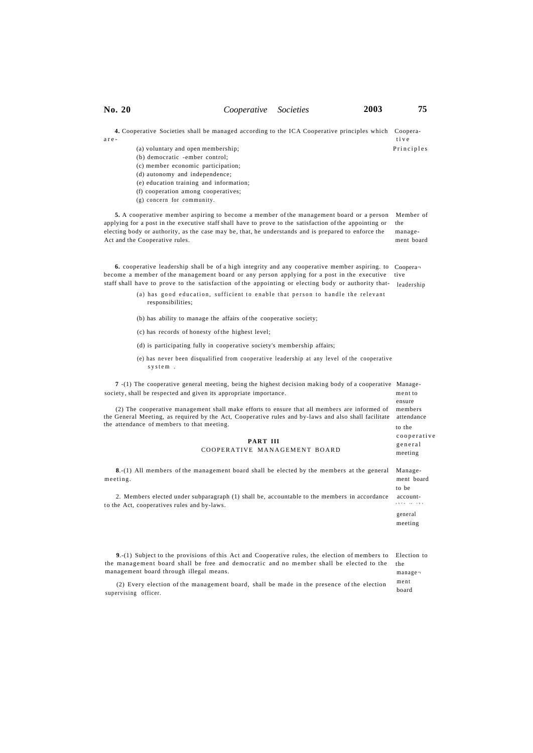| No. 20                                                                                                                                                                                                                                                                                                                                                                                                             | Cooperative Societies                     |  | 2003 | 75                                                  |  |  |
|--------------------------------------------------------------------------------------------------------------------------------------------------------------------------------------------------------------------------------------------------------------------------------------------------------------------------------------------------------------------------------------------------------------------|-------------------------------------------|--|------|-----------------------------------------------------|--|--|
| 4. Cooperative Societies shall be managed according to the ICA Cooperative principles which<br>are-<br>(a) voluntary and open membership;<br>(b) democratic -ember control;<br>(c) member economic participation;<br>(d) autonomy and independence;<br>(e) education training and information;<br>(f) cooperation among cooperatives;<br>(g) concern for community.                                                |                                           |  |      | Coopera-<br>tive<br>Principles                      |  |  |
| 5. A cooperative member aspiring to become a member of the management board or a person<br>applying for a post in the executive staff shall have to prove to the satisfaction of the appointing or<br>electing body or authority, as the case may be, that, he understands and is prepared to enforce the<br>Act and the Cooperative rules.                                                                        |                                           |  |      | Member of<br>the<br>manage-<br>ment board           |  |  |
| <b>6.</b> cooperative leadership shall be of a high integrity and any cooperative member aspiring. to<br>become a member of the management board or any person applying for a post in the executive<br>staff shall have to prove to the satisfaction of the appointing or electing body or authority that-<br>(a) has good education, sufficient to enable that person to handle the relevant<br>responsibilities; |                                           |  |      | Coopera <sub>7</sub><br>tive<br>leadership          |  |  |
| (b) has ability to manage the affairs of the cooperative society;                                                                                                                                                                                                                                                                                                                                                  |                                           |  |      |                                                     |  |  |
| (c) has records of honesty of the highest level;                                                                                                                                                                                                                                                                                                                                                                   |                                           |  |      |                                                     |  |  |
| (d) is participating fully in cooperative society's membership affairs;                                                                                                                                                                                                                                                                                                                                            |                                           |  |      |                                                     |  |  |
| (e) has never been disqualified from cooperative leadership at any level of the cooperative<br>system.                                                                                                                                                                                                                                                                                                             |                                           |  |      |                                                     |  |  |
| 7.(1) The cooperative general meeting, being the highest decision making body of a cooperative Manage-<br>society, shall be respected and given its appropriate importance.                                                                                                                                                                                                                                        |                                           |  |      |                                                     |  |  |
| (2) The cooperative management shall make efforts to ensure that all members are informed of<br>the General Meeting, as required by the Act, Cooperative rules and by-laws and also shall facilitate<br>the attendance of members to that meeting.                                                                                                                                                                 | ensure<br>members<br>attendance<br>to the |  |      |                                                     |  |  |
|                                                                                                                                                                                                                                                                                                                                                                                                                    | PART III                                  |  |      | cooperative<br>general                              |  |  |
|                                                                                                                                                                                                                                                                                                                                                                                                                    | COOPERATIVE MANAGEMENT BOARD              |  |      | meeting                                             |  |  |
| 8.-(1) All members of the management board shall be elected by the members at the general<br>meeting.                                                                                                                                                                                                                                                                                                              |                                           |  |      | Manage-<br>ment board<br>to be                      |  |  |
| 2. Members elected under subparagraph (1) shall be, accountable to the members in accordance<br>to the Act, cooperatives rules and by-laws.                                                                                                                                                                                                                                                                        |                                           |  |      | account-<br>$a \ b \ l \ e \ \ t \ o \ \ t \ h \ e$ |  |  |
|                                                                                                                                                                                                                                                                                                                                                                                                                    |                                           |  |      | general<br>meeting                                  |  |  |
| $9-(1)$ Subject to the provisions of this Act and Cooperative rules, the election of members to<br>the management board shall be free and democratic and no member shall be elected to the<br>management board through illegal means.                                                                                                                                                                              |                                           |  |      | Election to<br>the<br>$m$ anage $\neg$              |  |  |
| (2) Every election of the management board, shall be made in the presence of the election<br>supervising officer.                                                                                                                                                                                                                                                                                                  |                                           |  |      | ment<br>board                                       |  |  |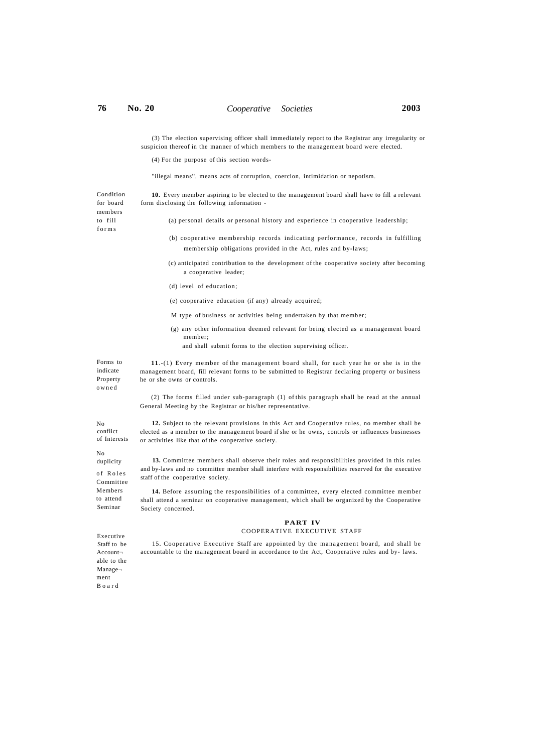members to fill form s

(3) The election supervising officer shall immediately report to the Registrar any irregularity or suspicion thereof in the manner of which members to the management board were elected.

(4) For the purpose of this section words-

''illegal means'', means acts of corruption, coercion, intimidation or nepotism.

Condition for board **10.** Every member aspiring to be elected to the management board shall have to fill a relevant form disclosing the following information -

(a) personal details or personal history and experience in cooperative leadership;

- (b) cooperative membership records indicating performance, records in fulfilling membership obligations provided in the Act, rules and by-laws;
- (c) anticipated contribution to the development of the cooperative society after becoming a cooperative leader;
- (d) level of education;
- (e) cooperative education (if any) already acquired;
- M type of business or activities being undertaken by that member;
- (g) any other information deemed relevant for being elected as a management board member;
	- and shall submit forms to the election supervising officer.

**11**.-(1) Every member of the management board shall, for each year he or she is in the management board, fill relevant forms to be submitted to Registrar declaring property or business he or she owns or controls.

(2) The forms filled under sub-paragraph (1) of this paragraph shall be read at the annual General Meeting by the Registrar or his/her representative.

No conflict of Interests

 $N<sub>0</sub>$ duplicity

Forms to indicate Property owne d

of Roles Committee Members to attend Seminar

**12.** Subject to the relevant provisions in this Act and Cooperative rules, no member shall be elected as a member to the management board if she or he owns, controls or influences businesses or activities like that of the cooperative society.

**13.** Committee members shall observe their roles and responsibilities provided in this rules and by-laws and no committee member shall interfere with responsibilities reserved for the executive staff of the cooperative society.

**14.** Before assuming the responsibilities of a committee, every elected committee member shall attend a seminar on cooperative management, which shall be organized by the Cooperative Society concerned.

# **PART IV**

## COOPERATIVE EXECUTIVE STAFF

Executive Staff to be Account able to the Manage ment Boar d

15. Cooperative Executive Staff are appointed by the management board, and shall be accountable to the management board in accordance to the Act, Cooperative rules and by- laws.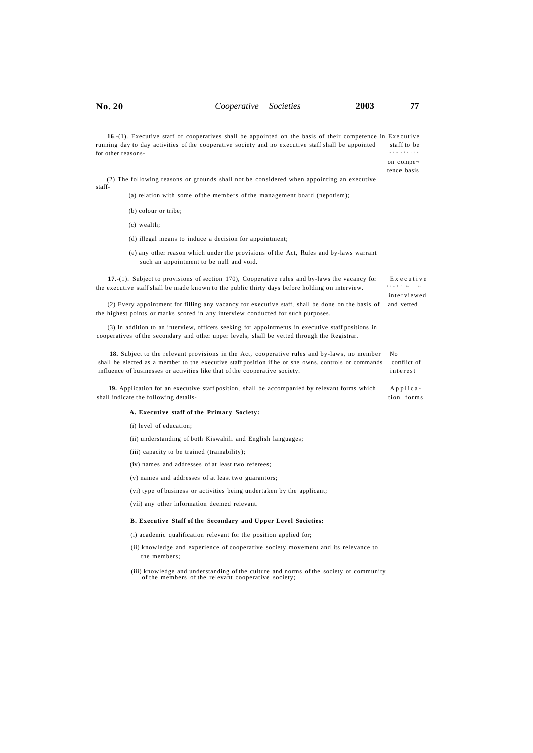**16**.-(1). Executive staff of cooperatives shall be appointed on the basis of their competence in Executive running day to day activities of the cooperative society and no executive staff shall be appointed staff to be for other reasons appointe d

> on compe tence basis

interviewe d

(2) The following reasons or grounds shall not be considered when appointing an executive staff-

(a) relation with some of the members of the management board (nepotism);

- (b) colour or tribe;
- (c) wealth;
- (d) illegal means to induce a decision for appointment;
- (e) any other reason which under the provisions of the Act, Rules and by-laws warrant such an appointment to be null and void.

**17.**-(1). Subject to provisions of section 170), Cooperative rules and by-laws the vacancy for Executiv e the executive staff shall be made known to the public thirty days before holding on interview. Staf f t o b e

(2) Every appointment for filling any vacancy for executive staff, shall be done on the basis of and vetted the highest points or marks scored in any interview conducted for such purposes.

(3) In addition to an interview, officers seeking for appointments in executive staff positions in cooperatives of the secondary and other upper levels, shall be vetted through the Registrar.

**18.** Subject to the relevant provisions in the Act, cooperative rules and by-laws, no member No shall be elected as a member to the executive staff position if he or she owns, controls or commands conflict of influence of businesses or activities like that of the cooperative society. interest

**19.** Application for an executive staff position, shall be accompanied by relevant forms which Applicashall indicate the following details- tion forms

### **A. Executive staff of the Primary Society:**

(i) level of education;

(ii) understanding of both Kiswahili and English languages;

(iii) capacity to be trained (trainability);

- (iv) names and addresses of at least two referees;
- (v) names and addresses of at least two guarantors;
- (vi) type of business or activities being undertaken by the applicant;

(vii) any other information deemed relevant.

## **B. Executive Staff of the Secondary and Upper Level Societies:**

(i) academic qualification relevant for the position applied for;

(ii) knowledge and experience of cooperative society movement and its relevance to the members;

(iii) knowledge and understanding of the culture and norms of the society or community of the members of the relevant cooperative society;